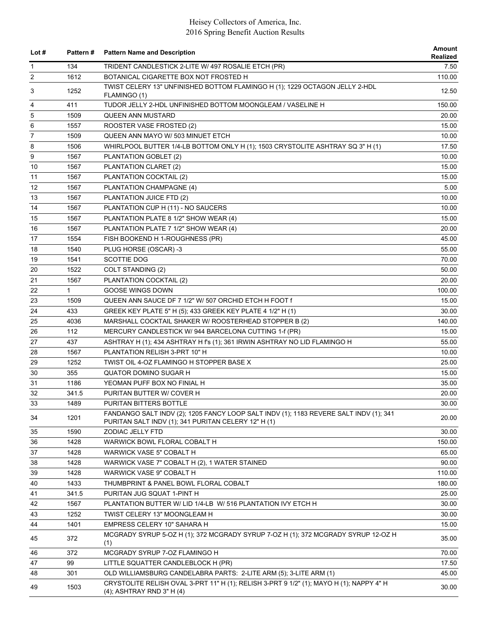| Lot $#$        | <b>Pattern#</b> | <b>Pattern Name and Description</b>                                                                                                          | Amount<br>Realized |
|----------------|-----------------|----------------------------------------------------------------------------------------------------------------------------------------------|--------------------|
| 1              | 134             | TRIDENT CANDLESTICK 2-LITE W/ 497 ROSALIE ETCH (PR)                                                                                          | 7.50               |
| 2              | 1612            | BOTANICAL CIGARETTE BOX NOT FROSTED H                                                                                                        | 110.00             |
| 3              | 1252            | TWIST CELERY 13" UNFINISHED BOTTOM FLAMINGO H (1); 1229 OCTAGON JELLY 2-HDL<br>FLAMINGO (1)                                                  | 12.50              |
| 4              | 411             | TUDOR JELLY 2-HDL UNFINISHED BOTTOM MOONGLEAM / VASELINE H                                                                                   | 150.00             |
| 5              | 1509            | <b>QUEEN ANN MUSTARD</b>                                                                                                                     | 20.00              |
| 6              | 1557            | ROOSTER VASE FROSTED (2)                                                                                                                     | 15.00              |
| $\overline{7}$ | 1509            | QUEEN ANN MAYO W/ 503 MINUET ETCH                                                                                                            | 10.00              |
| 8              | 1506            | WHIRLPOOL BUTTER 1/4-LB BOTTOM ONLY H (1); 1503 CRYSTOLITE ASHTRAY SQ 3" H (1)                                                               | 17.50              |
| 9              | 1567            | PLANTATION GOBLET (2)                                                                                                                        | 10.00              |
| 10             | 1567            | PLANTATION CLARET (2)                                                                                                                        | 15.00              |
| 11             | 1567            | PLANTATION COCKTAIL (2)                                                                                                                      | 15.00              |
| 12             | 1567            | PLANTATION CHAMPAGNE (4)                                                                                                                     | 5.00               |
| 13             | 1567            | PLANTATION JUICE FTD (2)                                                                                                                     | 10.00              |
| 14             | 1567            | PLANTATION CUP H (11) - NO SAUCERS                                                                                                           | 10.00              |
| 15             | 1567            | PLANTATION PLATE 8 1/2" SHOW WEAR (4)                                                                                                        | 15.00              |
| 16             | 1567            | PLANTATION PLATE 7 1/2" SHOW WEAR (4)                                                                                                        | 20.00              |
| 17             | 1554            | FISH BOOKEND H 1-ROUGHNESS (PR)                                                                                                              | 45.00              |
| 18             | 1540            | PLUG HORSE (OSCAR) -3                                                                                                                        | 55.00              |
| 19             | 1541            | <b>SCOTTIE DOG</b>                                                                                                                           | 70.00              |
| 20             | 1522            | COLT STANDING (2)                                                                                                                            | 50.00              |
| 21             | 1567            | PLANTATION COCKTAIL (2)                                                                                                                      | 20.00              |
| 22             | $\mathbf{1}$    | GOOSE WINGS DOWN                                                                                                                             | 100.00             |
| 23             | 1509            | QUEEN ANN SAUCE DF 7 1/2" W/ 507 ORCHID ETCH H FOOT f                                                                                        | 15.00              |
| 24             | 433             | GREEK KEY PLATE 5" H (5); 433 GREEK KEY PLATE 4 1/2" H (1)                                                                                   | 30.00              |
| 25             | 4036            | MARSHALL COCKTAIL SHAKER W/ ROOSTERHEAD STOPPER B (2)                                                                                        | 140.00             |
| 26             | 112             | MERCURY CANDLESTICK W/944 BARCELONA CUTTING 1-f (PR)                                                                                         | 15.00              |
| 27             | 437             | ASHTRAY H (1); 434 ASHTRAY H fs (1); 361 IRWIN ASHTRAY NO LID FLAMINGO H                                                                     | 55.00              |
| 28             | 1567            | PLANTATION RELISH 3-PRT 10" H                                                                                                                | 10.00              |
| 29             | 1252            | TWIST OIL 4-OZ FLAMINGO H STOPPER BASE X                                                                                                     | 25.00              |
| 30             | 355             | <b>QUATOR DOMINO SUGAR H</b>                                                                                                                 | 15.00              |
| 31             | 1186            | YEOMAN PUFF BOX NO FINIAL H                                                                                                                  | 35.00              |
| 32             | 341.5           | PURITAN BUTTER W/ COVER H                                                                                                                    | 20.00              |
| 33             | 1489            | PURITAN BITTERS BOTTLE                                                                                                                       | 30.00              |
| 34             | 1201            | FANDANGO SALT INDV (2); 1205 FANCY LOOP SALT INDV (1); 1183 REVERE SALT INDV (1); 341<br>PURITAN SALT INDV (1); 341 PURITAN CELERY 12" H (1) | 20.00              |
| 35             | 1590            | ZODIAC JELLY FTD                                                                                                                             | 30.00              |
| 36             | 1428            | WARWICK BOWL FLORAL COBALT H                                                                                                                 | 150.00             |
| 37             | 1428            | WARWICK VASE 5" COBALT H                                                                                                                     | 65.00              |
| 38             | 1428            | WARWICK VASE 7" COBALT H (2), 1 WATER STAINED                                                                                                | 90.00              |
| 39             | 1428            | WARWICK VASE 9" COBALT H                                                                                                                     | 110.00             |
| 40             | 1433            | THUMBPRINT & PANEL BOWL FLORAL COBALT                                                                                                        | 180.00             |
| 41             | 341.5           | PURITAN JUG SQUAT 1-PINT H                                                                                                                   | 25.00              |
| 42             | 1567            | PLANTATION BUTTER W/ LID 1/4-LB W/ 516 PLANTATION IVY ETCH H                                                                                 | 30.00              |
| 43             | 1252            | TWIST CELERY 13" MOONGLEAM H                                                                                                                 | 30.00              |
| 44             | 1401            | EMPRESS CELERY 10" SAHARA H                                                                                                                  | 15.00              |
| 45             | 372             | MCGRADY SYRUP 5-OZ H (1); 372 MCGRADY SYRUP 7-OZ H (1); 372 MCGRADY SYRUP 12-OZ H<br>(1)                                                     | 35.00              |
| 46             | 372             | MCGRADY SYRUP 7-OZ FLAMINGO H                                                                                                                | 70.00              |
| 47             | 99              | LITTLE SQUATTER CANDLEBLOCK H (PR)                                                                                                           | 17.50              |
| 48             | 301             | OLD WILLIAMSBURG CANDELABRA PARTS: 2-LITE ARM (5); 3-LITE ARM (1)                                                                            | 45.00              |
| 49             | 1503            | CRYSTOLITE RELISH OVAL 3-PRT 11" H (1); RELISH 3-PRT 9 1/2" (1); MAYO H (1); NAPPY 4" H<br>(4); ASHTRAY RND 3" H (4)                         | 30.00              |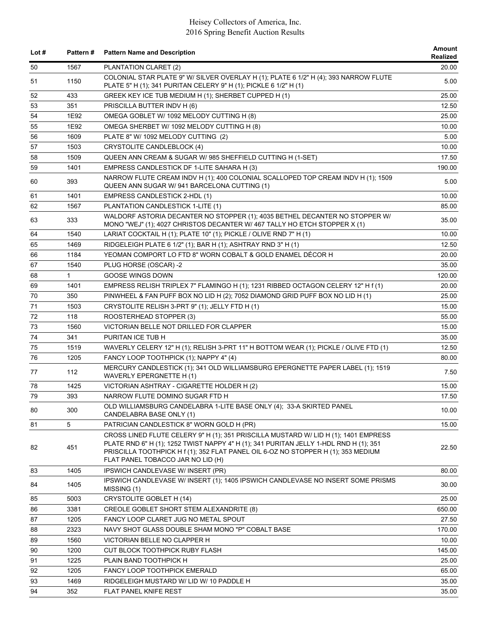| Lot $#$ | <b>Pattern#</b> | <b>Pattern Name and Description</b>                                                                                                                                                                                                                                                                    | Amount<br>Realized |
|---------|-----------------|--------------------------------------------------------------------------------------------------------------------------------------------------------------------------------------------------------------------------------------------------------------------------------------------------------|--------------------|
| 50      | 1567            | PLANTATION CLARET (2)                                                                                                                                                                                                                                                                                  | 20.00              |
| 51      | 1150            | COLONIAL STAR PLATE 9" W/ SILVER OVERLAY H (1); PLATE 6 1/2" H (4); 393 NARROW FLUTE<br>PLATE 5" H (1); 341 PURITAN CELERY 9" H (1); PICKLE 6 1/2" H (1)                                                                                                                                               | 5.00               |
| 52      | 433             | GREEK KEY ICE TUB MEDIUM H (1); SHERBET CUPPED H (1)                                                                                                                                                                                                                                                   | 25.00              |
| 53      | 351             | PRISCILLA BUTTER INDV H (6)                                                                                                                                                                                                                                                                            | 12.50              |
| 54      | 1E92            | OMEGA GOBLET W/ 1092 MELODY CUTTING H (8)                                                                                                                                                                                                                                                              | 25.00              |
| 55      | 1E92            | OMEGA SHERBET W/ 1092 MELODY CUTTING H (8)                                                                                                                                                                                                                                                             | 10.00              |
| 56      | 1609            | PLATE 8" W/ 1092 MELODY CUTTING (2)                                                                                                                                                                                                                                                                    | 5.00               |
| 57      | 1503            | CRYSTOLITE CANDLEBLOCK (4)                                                                                                                                                                                                                                                                             | 10.00              |
| 58      | 1509            | QUEEN ANN CREAM & SUGAR W/ 985 SHEFFIELD CUTTING H (1-SET)                                                                                                                                                                                                                                             | 17.50              |
| 59      | 1401            | EMPRESS CANDLESTICK DF 1-LITE SAHARA H (3)                                                                                                                                                                                                                                                             | 190.00             |
| 60      | 393             | NARROW FLUTE CREAM INDV H (1); 400 COLONIAL SCALLOPED TOP CREAM INDV H (1); 1509<br>QUEEN ANN SUGAR W/ 941 BARCELONA CUTTING (1)                                                                                                                                                                       | 5.00               |
| 61      | 1401            | EMPRESS CANDLESTICK 2-HDL (1)                                                                                                                                                                                                                                                                          | 10.00              |
| 62      | 1567            | PLANTATION CANDLESTICK 1-LITE (1)                                                                                                                                                                                                                                                                      | 85.00              |
| 63      | 333             | WALDORF ASTORIA DECANTER NO STOPPER (1); 4035 BETHEL DECANTER NO STOPPER W/<br>MONO "WEJ" (1); 4027 CHRISTOS DECANTER W/ 467 TALLY HO ETCH STOPPER X (1)                                                                                                                                               | 35.00              |
| 64      | 1540            | LARIAT COCKTAIL H (1); PLATE 10" (1); PICKLE / OLIVE RND 7" H (1)                                                                                                                                                                                                                                      | 10.00              |
| 65      | 1469            | RIDGELEIGH PLATE 6 1/2" (1); BAR H (1); ASHTRAY RND 3" H (1)                                                                                                                                                                                                                                           | 12.50              |
| 66      | 1184            | YEOMAN COMPORT LO FTD 8" WORN COBALT & GOLD ENAMEL DÉCOR H                                                                                                                                                                                                                                             | 20.00              |
| 67      | 1540            | PLUG HORSE (OSCAR) -2                                                                                                                                                                                                                                                                                  | 35.00              |
| 68      | $\mathbf{1}$    | <b>GOOSE WINGS DOWN</b>                                                                                                                                                                                                                                                                                | 120.00             |
| 69      | 1401            | EMPRESS RELISH TRIPLEX 7" FLAMINGO H (1); 1231 RIBBED OCTAGON CELERY 12" H f (1)                                                                                                                                                                                                                       | 20.00              |
| 70      | 350             | PINWHEEL & FAN PUFF BOX NO LID H (2); 7052 DIAMOND GRID PUFF BOX NO LID H (1)                                                                                                                                                                                                                          | 25.00              |
| 71      | 1503            | CRYSTOLITE RELISH 3-PRT 9" (1); JELLY FTD H (1)                                                                                                                                                                                                                                                        | 15.00              |
| 72      | 118             | ROOSTERHEAD STOPPER (3)                                                                                                                                                                                                                                                                                | 55.00              |
| 73      | 1560            | VICTORIAN BELLE NOT DRILLED FOR CLAPPER                                                                                                                                                                                                                                                                | 15.00              |
| 74      | 341             | PURITAN ICE TUB H                                                                                                                                                                                                                                                                                      | 35.00              |
| 75      | 1519            | WAVERLY CELERY 12" H (1); RELISH 3-PRT 11" H BOTTOM WEAR (1); PICKLE / OLIVE FTD (1)                                                                                                                                                                                                                   | 12.50              |
| 76      | 1205            | FANCY LOOP TOOTHPICK (1); NAPPY 4" (4)                                                                                                                                                                                                                                                                 | 80.00              |
| 77      | 112             | MERCURY CANDLESTICK (1); 341 OLD WILLIAMSBURG EPERGNETTE PAPER LABEL (1); 1519<br>WAVERLY EPERGNETTE H (1)                                                                                                                                                                                             | 7.50               |
| 78      | 1425            | VICTORIAN ASHTRAY - CIGARETTE HOLDER H (2)                                                                                                                                                                                                                                                             | 15.00              |
| 79      | 393             | NARROW FLUTE DOMINO SUGAR FTD H                                                                                                                                                                                                                                                                        | 17.50              |
| 80      | 300             | OLD WILLIAMSBURG CANDELABRA 1-LITE BASE ONLY (4); 33-A SKIRTED PANEL<br>CANDELABRA BASE ONLY (1)                                                                                                                                                                                                       | 10.00              |
| 81      | 5               | PATRICIAN CANDLESTICK 8" WORN GOLD H (PR)                                                                                                                                                                                                                                                              | 15.00              |
| 82      | 451             | CROSS LINED FLUTE CELERY 9" H (1); 351 PRISCILLA MUSTARD W/ LID H (1); 1401 EMPRESS<br>PLATE RND 6" H (1); 1252 TWIST NAPPY 4" H (1); 341 PURITAN JELLY 1-HDL RND H (1); 351<br>PRISCILLA TOOTHPICK H f (1); 352 FLAT PANEL OIL 6-OZ NO STOPPER H (1); 353 MEDIUM<br>FLAT PANEL TOBACCO JAR NO LID (H) | 22.50              |
| 83      | 1405            | IPSWICH CANDLEVASE W/ INSERT (PR)                                                                                                                                                                                                                                                                      | 80.00              |
| 84      | 1405            | IPSWICH CANDLEVASE W/ INSERT (1); 1405 IPSWICH CANDLEVASE NO INSERT SOME PRISMS<br>MISSING (1)                                                                                                                                                                                                         | 30.00              |
| 85      | 5003            | <b>CRYSTOLITE GOBLET H (14)</b>                                                                                                                                                                                                                                                                        | 25.00              |
| 86      | 3381            | <b>CREOLE GOBLET SHORT STEM ALEXANDRITE (8)</b>                                                                                                                                                                                                                                                        | 650.00             |
| 87      | 1205            | FANCY LOOP CLARET JUG NO METAL SPOUT                                                                                                                                                                                                                                                                   | 27.50              |
| 88      | 2323            | NAVY SHOT GLASS DOUBLE SHAM MONO "P" COBALT BASE                                                                                                                                                                                                                                                       | 170.00             |
| 89      | 1560            | VICTORIAN BELLE NO CLAPPER H                                                                                                                                                                                                                                                                           | 10.00              |
| 90      | 1200            | CUT BLOCK TOOTHPICK RUBY FLASH                                                                                                                                                                                                                                                                         | 145.00             |
| 91      | 1225            | PLAIN BAND TOOTHPICK H                                                                                                                                                                                                                                                                                 | 25.00              |
| 92      | 1205            | FANCY LOOP TOOTHPICK EMERALD                                                                                                                                                                                                                                                                           | 65.00              |
| 93      | 1469            | RIDGELEIGH MUSTARD W/ LID W/ 10 PADDLE H                                                                                                                                                                                                                                                               | 35.00              |
| 94      | 352             | FLAT PANEL KNIFE REST                                                                                                                                                                                                                                                                                  | 35.00              |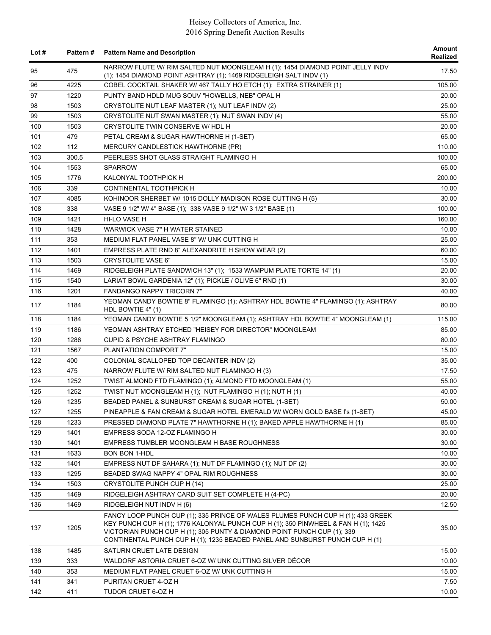| Lot # | <b>Pattern#</b> | <b>Pattern Name and Description</b>                                                                                                                                                                                                                                                                                             | Amount<br>Realized |
|-------|-----------------|---------------------------------------------------------------------------------------------------------------------------------------------------------------------------------------------------------------------------------------------------------------------------------------------------------------------------------|--------------------|
| 95    | 475             | NARROW FLUTE W/ RIM SALTED NUT MOONGLEAM H (1); 1454 DIAMOND POINT JELLY INDV<br>(1); 1454 DIAMOND POINT ASHTRAY (1); 1469 RIDGELEIGH SALT INDV (1)                                                                                                                                                                             | 17.50              |
| 96    | 4225            | COBEL COCKTAIL SHAKER W/ 467 TALLY HO ETCH (1); EXTRA STRAINER (1)                                                                                                                                                                                                                                                              | 105.00             |
| 97    | 1220            | PUNTY BAND HDLD MUG SOUV "HOWELLS, NEB" OPAL H                                                                                                                                                                                                                                                                                  | 20.00              |
| 98    | 1503            | CRYSTOLITE NUT LEAF MASTER (1); NUT LEAF INDV (2)                                                                                                                                                                                                                                                                               | 25.00              |
| 99    | 1503            | CRYSTOLITE NUT SWAN MASTER (1); NUT SWAN INDV (4)                                                                                                                                                                                                                                                                               | 55.00              |
| 100   | 1503            | CRYSTOLITE TWIN CONSERVE W/ HDL H                                                                                                                                                                                                                                                                                               | 20.00              |
| 101   | 479             | PETAL CREAM & SUGAR HAWTHORNE H (1-SET)                                                                                                                                                                                                                                                                                         | 65.00              |
| 102   | 112             | MERCURY CANDLESTICK HAWTHORNE (PR)                                                                                                                                                                                                                                                                                              | 110.00             |
| 103   | 300.5           | PEERLESS SHOT GLASS STRAIGHT FLAMINGO H                                                                                                                                                                                                                                                                                         | 100.00             |
| 104   | 1553            | <b>SPARROW</b>                                                                                                                                                                                                                                                                                                                  | 65.00              |
| 105   | 1776            | KALONYAL TOOTHPICK H                                                                                                                                                                                                                                                                                                            | 200.00             |
| 106   | 339             | CONTINENTAL TOOTHPICK H                                                                                                                                                                                                                                                                                                         | 10.00              |
| 107   | 4085            | KOHINOOR SHERBET W/ 1015 DOLLY MADISON ROSE CUTTING H (5)                                                                                                                                                                                                                                                                       | 30.00              |
| 108   | 338             | VASE 9 1/2" W/ 4" BASE (1); 338 VASE 9 1/2" W/ 3 1/2" BASE (1)                                                                                                                                                                                                                                                                  | 100.00             |
| 109   | 1421            | HI-LO VASE H                                                                                                                                                                                                                                                                                                                    | 160.00             |
| 110   | 1428            | WARWICK VASE 7" H WATER STAINED                                                                                                                                                                                                                                                                                                 | 10.00              |
| 111   | 353             | MEDIUM FLAT PANEL VASE 8" W/ UNK CUTTING H                                                                                                                                                                                                                                                                                      | 25.00              |
| 112   | 1401            | EMPRESS PLATE RND 8" ALEXANDRITE H SHOW WEAR (2)                                                                                                                                                                                                                                                                                | 60.00              |
| 113   | 1503            | <b>CRYSTOLITE VASE 6"</b>                                                                                                                                                                                                                                                                                                       | 15.00              |
| 114   | 1469            | RIDGELEIGH PLATE SANDWICH 13" (1); 1533 WAMPUM PLATE TORTE 14" (1)                                                                                                                                                                                                                                                              | 20.00              |
| 115   | 1540            | LARIAT BOWL GARDENIA 12" (1); PICKLE / OLIVE 6" RND (1)                                                                                                                                                                                                                                                                         | 30.00              |
| 116   | 1201            | FANDANGO NAPPY TRICORN 7"                                                                                                                                                                                                                                                                                                       | 40.00              |
| 117   | 1184            | YEOMAN CANDY BOWTIE 8" FLAMINGO (1); ASHTRAY HDL BOWTIE 4" FLAMINGO (1); ASHTRAY<br>HDL BOWTIE 4" (1)                                                                                                                                                                                                                           | 80.00              |
| 118   | 1184            | YEOMAN CANDY BOWTIE 5 1/2" MOONGLEAM (1); ASHTRAY HDL BOWTIE 4" MOONGLEAM (1)                                                                                                                                                                                                                                                   | 115.00             |
| 119   | 1186            | YEOMAN ASHTRAY ETCHED "HEISEY FOR DIRECTOR" MOONGLEAM                                                                                                                                                                                                                                                                           | 85.00              |
| 120   | 1286            | <b>CUPID &amp; PSYCHE ASHTRAY FLAMINGO</b>                                                                                                                                                                                                                                                                                      | 80.00              |
| 121   | 1567            | PLANTATION COMPORT 7"                                                                                                                                                                                                                                                                                                           | 15.00              |
| 122   | 400             | COLONIAL SCALLOPED TOP DECANTER INDV (2)                                                                                                                                                                                                                                                                                        | 35.00              |
| 123   | 475             | NARROW FLUTE W/ RIM SALTED NUT FLAMINGO H (3)                                                                                                                                                                                                                                                                                   | 17.50              |
| 124   | 1252            | TWIST ALMOND FTD FLAMINGO (1); ALMOND FTD MOONGLEAM (1)                                                                                                                                                                                                                                                                         | 55.00              |
| 125   | 1252            | TWIST NUT MOONGLEAM H (1); NUT FLAMINGO H (1); NUT H (1)                                                                                                                                                                                                                                                                        | 40.00              |
| 126   | 1235            | BEADED PANEL & SUNBURST CREAM & SUGAR HOTEL (1-SET)                                                                                                                                                                                                                                                                             | 50.00              |
| 127   | 1255            | PINEAPPLE & FAN CREAM & SUGAR HOTEL EMERALD W/ WORN GOLD BASE f's (1-SET)                                                                                                                                                                                                                                                       | 45.00              |
| 128   | 1233            | PRESSED DIAMOND PLATE 7" HAWTHORNE H (1); BAKED APPLE HAWTHORNE H (1)                                                                                                                                                                                                                                                           | 85.00              |
| 129   | 1401            | EMPRESS SODA 12-OZ FLAMINGO H                                                                                                                                                                                                                                                                                                   | 30.00              |
| 130   | 1401            | EMPRESS TUMBLER MOONGLEAM H BASE ROUGHNESS                                                                                                                                                                                                                                                                                      | 30.00              |
| 131   | 1633            | <b>BON BON 1-HDL</b>                                                                                                                                                                                                                                                                                                            | 10.00              |
| 132   | 1401            | EMPRESS NUT DF SAHARA (1); NUT DF FLAMINGO (1); NUT DF (2)                                                                                                                                                                                                                                                                      | 30.00              |
| 133   | 1295            | BEADED SWAG NAPPY 4" OPAL RIM ROUGHNESS                                                                                                                                                                                                                                                                                         | 30.00              |
| 134   | 1503            | CRYSTOLITE PUNCH CUP H (14)                                                                                                                                                                                                                                                                                                     | 25.00              |
| 135   | 1469            | RIDGELEIGH ASHTRAY CARD SUIT SET COMPLETE H (4-PC)                                                                                                                                                                                                                                                                              | 20.00              |
| 136   | 1469            | RIDGELEIGH NUT INDV H (6)                                                                                                                                                                                                                                                                                                       | 12.50              |
| 137   | 1205            | FANCY LOOP PUNCH CUP (1); 335 PRINCE OF WALES PLUMES PUNCH CUP H (1); 433 GREEK<br>KEY PUNCH CUP H (1); 1776 KALONYAL PUNCH CUP H (1); 350 PINWHEEL & FAN H (1); 1425<br>VICTORIAN PUNCH CUP H (1); 305 PUNTY & DIAMOND POINT PUNCH CUP (1); 339<br>CONTINENTAL PUNCH CUP H (1); 1235 BEADED PANEL AND SUNBURST PUNCH CUP H (1) | 35.00              |
| 138   | 1485            | SATURN CRUET LATE DESIGN                                                                                                                                                                                                                                                                                                        | 15.00              |
| 139   | 333             | WALDORF ASTORIA CRUET 6-OZ W/ UNK CUTTING SILVER DÉCOR                                                                                                                                                                                                                                                                          | 10.00              |
| 140   | 353             | MEDIUM FLAT PANEL CRUET 6-OZ W/ UNK CUTTING H                                                                                                                                                                                                                                                                                   | 15.00              |
| 141   | 341             | PURITAN CRUET 4-OZ H                                                                                                                                                                                                                                                                                                            | 7.50               |
| 142   | 411             | TUDOR CRUET 6-OZ H                                                                                                                                                                                                                                                                                                              | 10.00              |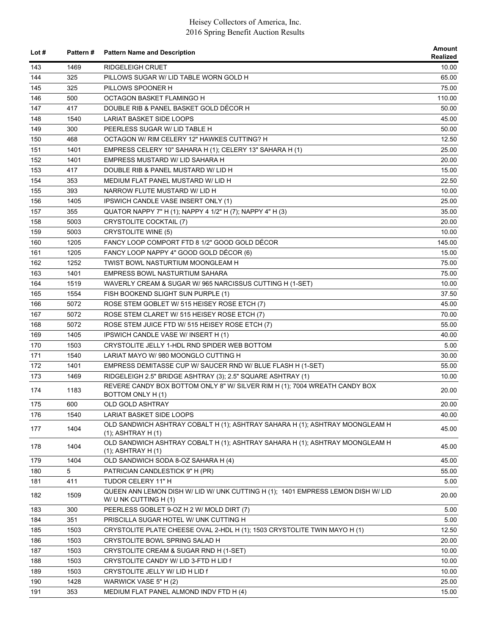| Lot # | <b>Pattern#</b> | <b>Pattern Name and Description</b>                                                                       | Amount<br>Realized |
|-------|-----------------|-----------------------------------------------------------------------------------------------------------|--------------------|
| 143   | 1469            | <b>RIDGELEIGH CRUET</b>                                                                                   | 10.00              |
| 144   | 325             | PILLOWS SUGAR W/ LID TABLE WORN GOLD H                                                                    | 65.00              |
| 145   | 325             | PILLOWS SPOONER H                                                                                         | 75.00              |
| 146   | 500             | OCTAGON BASKET FLAMINGO H                                                                                 | 110.00             |
| 147   | 417             | DOUBLE RIB & PANEL BASKET GOLD DÉCOR H                                                                    | 50.00              |
| 148   | 1540            | LARIAT BASKET SIDE LOOPS                                                                                  | 45.00              |
| 149   | 300             | PEERLESS SUGAR W/ LID TABLE H                                                                             | 50.00              |
| 150   | 468             | OCTAGON W/ RIM CELERY 12" HAWKES CUTTING? H                                                               | 12.50              |
| 151   | 1401            | EMPRESS CELERY 10" SAHARA H (1); CELERY 13" SAHARA H (1)                                                  | 25.00              |
| 152   | 1401            | EMPRESS MUSTARD W/ LID SAHARA H                                                                           | 20.00              |
| 153   | 417             | DOUBLE RIB & PANEL MUSTARD W/ LID H                                                                       | 15.00              |
| 154   | 353             | MEDIUM FLAT PANEL MUSTARD W/ LID H                                                                        | 22.50              |
| 155   | 393             | NARROW FLUTE MUSTARD W/ LID H                                                                             | 10.00              |
| 156   | 1405            | IPSWICH CANDLE VASE INSERT ONLY (1)                                                                       | 25.00              |
| 157   | 355             | QUATOR NAPPY 7" H (1); NAPPY 4 1/2" H (7); NAPPY 4" H (3)                                                 | 35.00              |
| 158   | 5003            | <b>CRYSTOLITE COCKTAIL (7)</b>                                                                            | 20.00              |
| 159   | 5003            | <b>CRYSTOLITE WINE (5)</b>                                                                                | 10.00              |
| 160   | 1205            | FANCY LOOP COMPORT FTD 8 1/2" GOOD GOLD DECOR                                                             | 145.00             |
| 161   | 1205            | FANCY LOOP NAPPY 4" GOOD GOLD DÉCOR (6)                                                                   | 15.00              |
| 162   | 1252            | TWIST BOWL NASTURTIUM MOONGLEAM H                                                                         | 75.00              |
| 163   | 1401            | EMPRESS BOWL NASTURTIUM SAHARA                                                                            | 75.00              |
| 164   |                 |                                                                                                           |                    |
| 165   | 1519<br>1554    | WAVERLY CREAM & SUGAR W/965 NARCISSUS CUTTING H (1-SET)                                                   | 10.00<br>37.50     |
|       |                 | FISH BOOKEND SLIGHT SUN PURPLE (1)                                                                        |                    |
| 166   | 5072            | ROSE STEM GOBLET W/ 515 HEISEY ROSE ETCH (7)                                                              | 45.00              |
| 167   | 5072            | ROSE STEM CLARET W/ 515 HEISEY ROSE ETCH (7)                                                              | 70.00              |
| 168   | 5072            | ROSE STEM JUICE FTD W/ 515 HEISEY ROSE ETCH (7)                                                           | 55.00              |
| 169   | 1405            | IPSWICH CANDLE VASE W/ INSERT H (1)                                                                       | 40.00              |
| 170   | 1503            | CRYSTOLITE JELLY 1-HDL RND SPIDER WEB BOTTOM                                                              | 5.00               |
| 171   | 1540            | LARIAT MAYO W/ 980 MOONGLO CUTTING H                                                                      | 30.00              |
| 172   | 1401            | EMPRESS DEMITASSE CUP W/ SAUCER RND W/ BLUE FLASH H (1-SET)                                               | 55.00              |
| 173   | 1469            | RIDGELEIGH 2.5" BRIDGE ASHTRAY (3); 2.5" SQUARE ASHTRAY (1)                                               | 10.00              |
| 174   | 1183            | REVERE CANDY BOX BOTTOM ONLY 8" W/ SILVER RIM H (1); 7004 WREATH CANDY BOX<br>BOTTOM ONLY H(1)            | 20.00              |
| 175   | 600             | OLD GOLD ASHTRAY                                                                                          | 20.00              |
| 176   | 1540            | <b>LARIAT BASKET SIDE LOOPS</b>                                                                           | 40.00              |
| 177   | 1404            | OLD SANDWICH ASHTRAY COBALT H (1); ASHTRAY SAHARA H (1); ASHTRAY MOONGLEAM H<br>$(1)$ ; ASHTRAY H $(1)$   | 45.00              |
| 178   | 1404            | OLD SANDWICH ASHTRAY COBALT H (1); ASHTRAY SAHARA H (1); ASHTRAY MOONGLEAM H<br>(1); ASHTRAY H (1)        | 45.00              |
| 179   | 1404            | OLD SANDWICH SODA 8-OZ SAHARA H (4)                                                                       | 45.00              |
| 180   | 5               | PATRICIAN CANDLESTICK 9" H (PR)                                                                           | 55.00              |
| 181   | 411             | TUDOR CELERY 11" H                                                                                        | 5.00               |
| 182   | 1509            | QUEEN ANN LEMON DISH W/ LID W/ UNK CUTTING H (1); 1401 EMPRESS LEMON DISH W/ LID<br>W/ U NK CUTTING H (1) | 20.00              |
| 183   | 300             | PEERLESS GOBLET 9-OZ H 2 W/ MOLD DIRT (7)                                                                 | 5.00               |
| 184   | 351             | PRISCILLA SUGAR HOTEL W/ UNK CUTTING H                                                                    | 5.00               |
| 185   | 1503            | CRYSTOLITE PLATE CHEESE OVAL 2-HDL H (1); 1503 CRYSTOLITE TWIN MAYO H (1)                                 | 12.50              |
| 186   | 1503            | CRYSTOLITE BOWL SPRING SALAD H                                                                            | 20.00              |
| 187   | 1503            | CRYSTOLITE CREAM & SUGAR RND H (1-SET)                                                                    | 10.00              |
| 188   | 1503            | CRYSTOLITE CANDY W/ LID 3-FTD H LID f                                                                     | 10.00              |
| 189   | 1503            | CRYSTOLITE JELLY W/ LID H LID f                                                                           | 10.00              |
| 190   | 1428            | WARWICK VASE 5" H (2)                                                                                     | 25.00              |
| 191   | 353             | MEDIUM FLAT PANEL ALMOND INDV FTD H (4)                                                                   | 15.00              |
|       |                 |                                                                                                           |                    |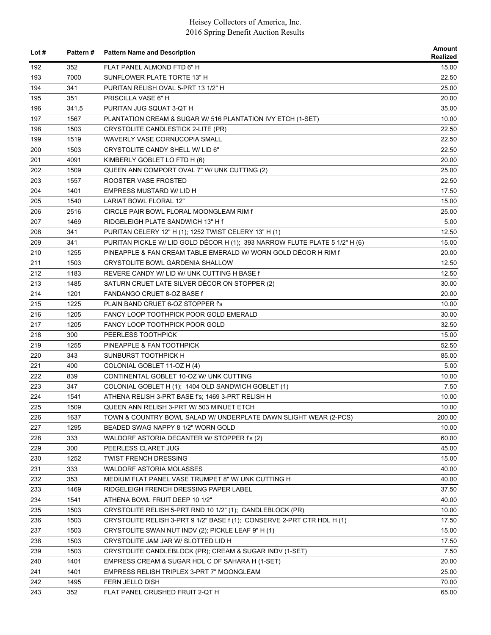| Lot $#$ | Pattern # | <b>Pattern Name and Description</b>                                         | Amount<br>Realized |
|---------|-----------|-----------------------------------------------------------------------------|--------------------|
| 192     | 352       | FLAT PANEL ALMOND FTD 6" H                                                  | 15.00              |
| 193     | 7000      | SUNFLOWER PLATE TORTE 13" H                                                 | 22.50              |
| 194     | 341       | PURITAN RELISH OVAL 5-PRT 13 1/2" H                                         | 25.00              |
| 195     | 351       | PRISCILLA VASE 6" H                                                         | 20.00              |
| 196     | 341.5     | PURITAN JUG SQUAT 3-QT H                                                    | 35.00              |
| 197     | 1567      | PLANTATION CREAM & SUGAR W/ 516 PLANTATION IVY ETCH (1-SET)                 | 10.00              |
| 198     | 1503      | CRYSTOLITE CANDLESTICK 2-LITE (PR)                                          | 22.50              |
| 199     | 1519      | WAVERLY VASE CORNUCOPIA SMALL                                               | 22.50              |
| 200     | 1503      | CRYSTOLITE CANDY SHELL W/ LID 6"                                            | 22.50              |
| 201     | 4091      | KIMBERLY GOBLET LO FTD H (6)                                                | 20.00              |
| 202     | 1509      | QUEEN ANN COMPORT OVAL 7" W/ UNK CUTTING (2)                                | 25.00              |
| 203     | 1557      | ROOSTER VASE FROSTED                                                        | 22.50              |
| 204     | 1401      | EMPRESS MUSTARD W/ LID H                                                    | 17.50              |
| 205     | 1540      | LARIAT BOWL FLORAL 12"                                                      | 15.00              |
| 206     | 2516      | CIRCLE PAIR BOWL FLORAL MOONGLEAM RIM f                                     | 25.00              |
| 207     | 1469      | RIDGELEIGH PLATE SANDWICH 13" H f                                           | 5.00               |
| 208     | 341       | PURITAN CELERY 12" H (1); 1252 TWIST CELERY 13" H (1)                       | 12.50              |
| 209     | 341       | PURITAN PICKLE W/ LID GOLD DÉCOR H (1); 393 NARROW FLUTE PLATE 5 1/2" H (6) | 15.00              |
| 210     | 1255      | PINEAPPLE & FAN CREAM TABLE EMERALD W/ WORN GOLD DÉCOR H RIM f              | 20.00              |
| 211     | 1503      | CRYSTOLITE BOWL GARDENIA SHALLOW                                            | 12.50              |
| 212     | 1183      | REVERE CANDY W/ LID W/ UNK CUTTING H BASE f                                 | 12.50              |
| 213     | 1485      | SATURN CRUET LATE SILVER DÉCOR ON STOPPER (2)                               | 30.00              |
| 214     | 1201      | FANDANGO CRUET 8-OZ BASE f                                                  | 20.00              |
| 215     | 1225      | PLAIN BAND CRUET 6-OZ STOPPER f's                                           | 10.00              |
| 216     | 1205      | FANCY LOOP TOOTHPICK POOR GOLD EMERALD                                      | 30.00              |
| 217     | 1205      | FANCY LOOP TOOTHPICK POOR GOLD                                              | 32.50              |
| 218     | 300       | PEERLESS TOOTHPICK                                                          | 15.00              |
| 219     | 1255      | PINEAPPLE & FAN TOOTHPICK                                                   | 52.50              |
| 220     | 343       | SUNBURST TOOTHPICK H                                                        | 85.00              |
| 221     | 400       | COLONIAL GOBLET 11-OZ H (4)                                                 | 5.00               |
| 222     | 839       | CONTINENTAL GOBLET 10-OZ W/ UNK CUTTING                                     | 10.00              |
| 223     | 347       | COLONIAL GOBLET H (1); 1404 OLD SANDWICH GOBLET (1)                         | 7.50               |
| 224     | 1541      | ATHENA RELISH 3-PRT BASE f's; 1469 3-PRT RELISH H                           | 10.00              |
| 225     | 1509      | QUEEN ANN RELISH 3-PRT W/ 503 MINUET ETCH                                   | 10.00              |
| 226     | 1637      | TOWN & COUNTRY BOWL SALAD W/ UNDERPLATE DAWN SLIGHT WEAR (2-PCS)            | 200.00             |
| 227     | 1295      | BEADED SWAG NAPPY 8 1/2" WORN GOLD                                          | 10.00              |
| 228     | 333       | WALDORF ASTORIA DECANTER W/ STOPPER f's (2)                                 | 60.00              |
| 229     | 300       | PEERLESS CLARET JUG                                                         | 45.00              |
| 230     | 1252      | <b>TWIST FRENCH DRESSING</b>                                                | 15.00              |
| 231     | 333       | WALDORF ASTORIA MOLASSES                                                    | 40.00              |
| 232     | 353       | MEDIUM FLAT PANEL VASE TRUMPET 8" W/ UNK CUTTING H                          | 40.00              |
| 233     | 1469      | RIDGELEIGH FRENCH DRESSING PAPER LABEL                                      | 37.50              |
| 234     | 1541      | ATHENA BOWL FRUIT DEEP 10 1/2"                                              | 40.00              |
| 235     | 1503      | CRYSTOLITE RELISH 5-PRT RND 10 1/2" (1); CANDLEBLOCK (PR)                   | 10.00              |
| 236     | 1503      | CRYSTOLITE RELISH 3-PRT 9 1/2" BASE f (1); CONSERVE 2-PRT CTR HDL H (1)     | 17.50              |
| 237     | 1503      | CRYSTOLITE SWAN NUT INDV (2); PICKLE LEAF 9" H (1)                          | 15.00              |
| 238     | 1503      | CRYSTOLITE JAM JAR W/ SLOTTED LID H                                         | 17.50              |
| 239     | 1503      | CRYSTOLITE CANDLEBLOCK (PR); CREAM & SUGAR INDV (1-SET)                     | 7.50               |
| 240     | 1401      | EMPRESS CREAM & SUGAR HDL C DF SAHARA H (1-SET)                             | 20.00              |
| 241     | 1401      | EMPRESS RELISH TRIPLEX 3-PRT 7" MOONGLEAM                                   | 25.00              |
| 242     | 1495      | FERN JELLO DISH                                                             | 70.00              |
| 243     | 352       | FLAT PANEL CRUSHED FRUIT 2-QT H                                             | 65.00              |
|         |           |                                                                             |                    |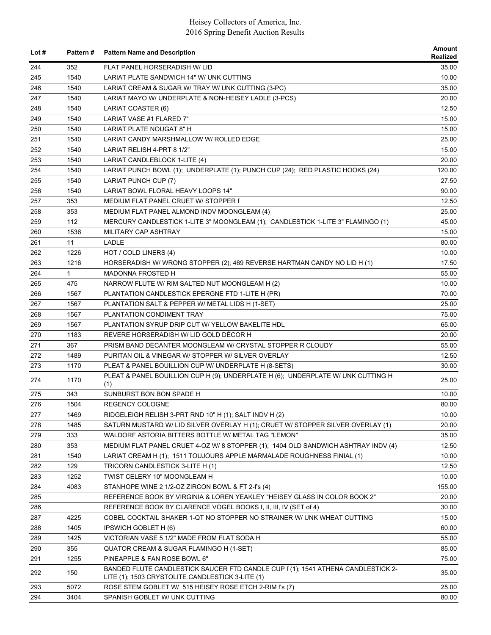| Lot $#$ | <b>Pattern#</b> | <b>Pattern Name and Description</b>                                                     | Amount<br>Realized |
|---------|-----------------|-----------------------------------------------------------------------------------------|--------------------|
| 244     | 352             | FLAT PANEL HORSERADISH W/ LID                                                           | 35.00              |
| 245     | 1540            | LARIAT PLATE SANDWICH 14" W/ UNK CUTTING                                                | 10.00              |
| 246     | 1540            | LARIAT CREAM & SUGAR W/ TRAY W/ UNK CUTTING (3-PC)                                      | 35.00              |
| 247     | 1540            | LARIAT MAYO W/ UNDERPLATE & NON-HEISEY LADLE (3-PCS)                                    | 20.00              |
| 248     | 1540            | LARIAT COASTER (6)                                                                      | 12.50              |
| 249     | 1540            | LARIAT VASE #1 FLARED 7"                                                                | 15.00              |
| 250     | 1540            | LARIAT PLATE NOUGAT 8" H                                                                | 15.00              |
| 251     | 1540            | LARIAT CANDY MARSHMALLOW W/ ROLLED EDGE                                                 | 25.00              |
| 252     | 1540            | LARIAT RELISH 4-PRT 8 1/2"                                                              | 15.00              |
| 253     | 1540            | LARIAT CANDLEBLOCK 1-LITE (4)                                                           | 20.00              |
| 254     | 1540            | LARIAT PUNCH BOWL (1); UNDERPLATE (1); PUNCH CUP (24); RED PLASTIC HOOKS (24)           | 120.00             |
| 255     | 1540            | LARIAT PUNCH CUP (7)                                                                    | 27.50              |
| 256     | 1540            | LARIAT BOWL FLORAL HEAVY LOOPS 14"                                                      | 90.00              |
| 257     | 353             | MEDIUM FLAT PANEL CRUET W/ STOPPER f                                                    | 12.50              |
| 258     | 353             | MEDIUM FLAT PANEL ALMOND INDV MOONGLEAM (4)                                             | 25.00              |
| 259     | 112             | MERCURY CANDLESTICK 1-LITE 3" MOONGLEAM (1); CANDLESTICK 1-LITE 3" FLAMINGO (1)         | 45.00              |
| 260     | 1536            | MILITARY CAP ASHTRAY                                                                    | 15.00              |
| 261     | 11              | LADLE                                                                                   | 80.00              |
| 262     | 1226            | HOT / COLD LINERS (4)                                                                   | 10.00              |
| 263     | 1216            | HORSERADISH W/ WRONG STOPPER (2); 469 REVERSE HARTMAN CANDY NO LID H (1)                | 17.50              |
| 264     | $\mathbf{1}$    | <b>MADONNA FROSTED H</b>                                                                | 55.00              |
| 265     | 475             | NARROW FLUTE W/ RIM SALTED NUT MOONGLEAM H (2)                                          | 10.00              |
| 266     | 1567            | PLANTATION CANDLESTICK EPERGNE FTD 1-LITE H (PR)                                        | 70.00              |
| 267     | 1567            | PLANTATION SALT & PEPPER W/ METAL LIDS H (1-SET)                                        | 25.00              |
| 268     | 1567            | PLANTATION CONDIMENT TRAY                                                               | 75.00              |
| 269     | 1567            | PLANTATION SYRUP DRIP CUT W/ YELLOW BAKELITE HDL                                        | 65.00              |
| 270     | 1183            | REVERE HORSERADISH W/ LID GOLD DÉCOR H                                                  | 20.00              |
| 271     | 367             | PRISM BAND DECANTER MOONGLEAM W/ CRYSTAL STOPPER R CLOUDY                               | 55.00              |
| 272     | 1489            | PURITAN OIL & VINEGAR W/ STOPPER W/ SILVER OVERLAY                                      | 12.50              |
| 273     | 1170            | PLEAT & PANEL BOUILLION CUP W/ UNDERPLATE H (8-SETS)                                    | 30.00              |
| 274     | 1170            | PLEAT & PANEL BOUILLION CUP H (9); UNDERPLATE H (6); UNDERPLATE W/ UNK CUTTING H<br>(1) | 25.00              |
| 275     | 343             | SUNBURST BON BON SPADE H                                                                | 10.00              |
| 276     | 1504            | REGENCY COLOGNE                                                                         | 80.00              |
| 277     | 1469            | RIDGELEIGH RELISH 3-PRT RND 10" H (1); SALT INDV H (2)                                  | 10.00              |
| 278     | 1485            | SATURN MUSTARD W/ LID SILVER OVERLAY H (1); CRUET W/ STOPPER SILVER OVERLAY (1)         | 20.00              |
| 279     | 333             | WALDORF ASTORIA BITTERS BOTTLE W/ METAL TAG "LEMON"                                     | 35.00              |
| 280     | 353             | MEDIUM FLAT PANEL CRUET 4-OZ W/ 8 STOPPER (1); 1404 OLD SANDWICH ASHTRAY INDV (4)       | 12.50              |
| 281     | 1540            | LARIAT CREAM H (1); 1511 TOUJOURS APPLE MARMALADE ROUGHNESS FINIAL (1)                  | 10.00              |
| 282     | 129             | TRICORN CANDLESTICK 3-LITE H (1)                                                        | 12.50              |
| 283     | 1252            | TWIST CELERY 10" MOONGLEAM H                                                            | 10.00              |
| 284     | 4083            | STANHOPE WINE 2 1/2-OZ ZIRCON BOWL & FT 2-f's (4)                                       | 155.00             |
| 285     |                 | REFERENCE BOOK BY VIRGINIA & LOREN YEAKLEY "HEISEY GLASS IN COLOR BOOK 2"               | 20.00              |
| 286     |                 | REFERENCE BOOK BY CLARENCE VOGEL BOOKS I, II, III, IV (SET of 4)                        | 30.00              |
| 287     | 4225            | COBEL COCKTAIL SHAKER 1-QT NO STOPPER NO STRAINER W/ UNK WHEAT CUTTING                  | 15.00              |
| 288     | 1405            | IPSWICH GOBLET H (6)                                                                    | 60.00              |
| 289     | 1425            | VICTORIAN VASE 5 1/2" MADE FROM FLAT SODA H                                             | 55.00              |
| 290     | 355             | QUATOR CREAM & SUGAR FLAMINGO H (1-SET)                                                 | 85.00              |
| 291     | 1255            | PINEAPPLE & FAN ROSE BOWL 6"                                                            | 75.00              |
|         |                 | BANDED FLUTE CANDLESTICK SAUCER FTD CANDLE CUP f (1); 1541 ATHENA CANDLESTICK 2-        |                    |
| 292     | 150             | LITE (1); 1503 CRYSTOLITE CANDLESTICK 3-LITE (1)                                        | 35.00              |
| 293     | 5072            | ROSE STEM GOBLET W/ 515 HEISEY ROSE ETCH 2-RIM fs (7)                                   | 25.00              |
| 294     | 3404            | SPANISH GOBLET W/ UNK CUTTING                                                           | 80.00              |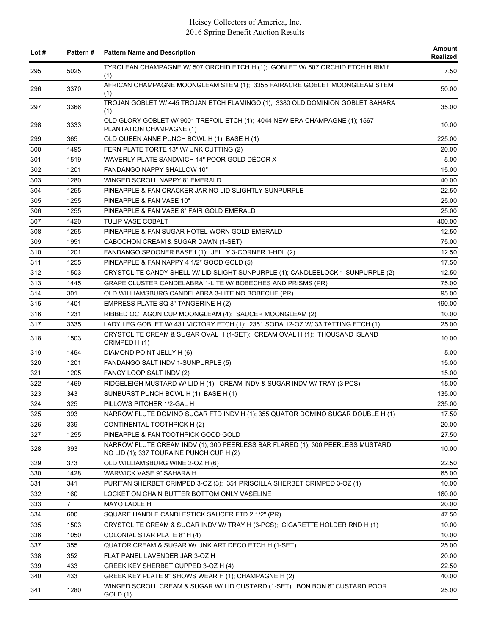| Lot $#$ | <b>Pattern#</b> | <b>Pattern Name and Description</b>                                                                                        | Amount<br><b>Realized</b> |
|---------|-----------------|----------------------------------------------------------------------------------------------------------------------------|---------------------------|
| 295     | 5025            | TYROLEAN CHAMPAGNE W/ 507 ORCHID ETCH H (1); GOBLET W/ 507 ORCHID ETCH H RIM f<br>(1)                                      | 7.50                      |
| 296     | 3370            | AFRICAN CHAMPAGNE MOONGLEAM STEM (1); 3355 FAIRACRE GOBLET MOONGLEAM STEM<br>(1)                                           | 50.00                     |
| 297     | 3366            | TROJAN GOBLET W/ 445 TROJAN ETCH FLAMINGO (1); 3380 OLD DOMINION GOBLET SAHARA<br>(1)                                      | 35.00                     |
| 298     | 3333            | OLD GLORY GOBLET W/ 9001 TREFOIL ETCH (1); 4044 NEW ERA CHAMPAGNE (1); 1567<br>PLANTATION CHAMPAGNE (1)                    | 10.00                     |
| 299     | 365             | OLD QUEEN ANNE PUNCH BOWL H (1); BASE H (1)                                                                                | 225.00                    |
| 300     | 1495            | FERN PLATE TORTE 13" W/ UNK CUTTING (2)                                                                                    | 20.00                     |
| 301     | 1519            | WAVERLY PLATE SANDWICH 14" POOR GOLD DÉCOR X                                                                               | 5.00                      |
| 302     | 1201            | <b>FANDANGO NAPPY SHALLOW 10"</b>                                                                                          | 15.00                     |
| 303     | 1280            | WINGED SCROLL NAPPY 8" EMERALD                                                                                             | 40.00                     |
| 304     | 1255            | PINEAPPLE & FAN CRACKER JAR NO LID SLIGHTLY SUNPURPLE                                                                      | 22.50                     |
| 305     | 1255            | PINEAPPLE & FAN VASE 10"                                                                                                   | 25.00                     |
| 306     | 1255            | PINEAPPLE & FAN VASE 8" FAIR GOLD EMERALD                                                                                  | 25.00                     |
| 307     | 1420            | <b>TULIP VASE COBALT</b>                                                                                                   | 400.00                    |
| 308     | 1255            | PINEAPPLE & FAN SUGAR HOTEL WORN GOLD EMERALD                                                                              | 12.50                     |
| 309     | 1951            | CABOCHON CREAM & SUGAR DAWN (1-SET)                                                                                        | 75.00                     |
| 310     | 1201            | FANDANGO SPOONER BASE f (1); JELLY 3-CORNER 1-HDL (2)                                                                      | 12.50                     |
| 311     | 1255            | PINEAPPLE & FAN NAPPY 4 1/2" GOOD GOLD (5)                                                                                 | 17.50                     |
| 312     | 1503            | CRYSTOLITE CANDY SHELL W/ LID SLIGHT SUNPURPLE (1); CANDLEBLOCK 1-SUNPURPLE (2)                                            | 12.50                     |
| 313     | 1445            | GRAPE CLUSTER CANDELABRA 1-LITE W/ BOBECHES AND PRISMS (PR)                                                                | 75.00                     |
| 314     | 301             | OLD WILLIAMSBURG CANDELABRA 3-LITE NO BOBECHE (PR)                                                                         | 95.00                     |
| 315     | 1401            | EMPRESS PLATE SQ 8" TANGERINE H (2)                                                                                        | 190.00                    |
| 316     | 1231            | RIBBED OCTAGON CUP MOONGLEAM (4); SAUCER MOONGLEAM (2)                                                                     | 10.00                     |
| 317     | 3335            | LADY LEG GOBLET W/ 431 VICTORY ETCH (1); 2351 SODA 12-OZ W/ 33 TATTING ETCH (1)                                            | 25.00                     |
| 318     | 1503            | CRYSTOLITE CREAM & SUGAR OVAL H (1-SET); CREAM OVAL H (1); THOUSAND ISLAND<br>CRIMPED H(1)                                 | 10.00                     |
| 319     | 1454            | DIAMOND POINT JELLY H (6)                                                                                                  | 5.00                      |
| 320     | 1201            | FANDANGO SALT INDV 1-SUNPURPLE (5)                                                                                         | 15.00                     |
| 321     | 1205            | FANCY LOOP SALT INDV (2)                                                                                                   | 15.00                     |
| 322     | 1469            | RIDGELEIGH MUSTARD W/ LID H (1); CREAM INDV & SUGAR INDV W/ TRAY (3 PCS)                                                   | 15.00                     |
| 323     | 343             | SUNBURST PUNCH BOWL H (1); BASE H (1)                                                                                      | 135.00                    |
| 324     | 325             | PILLOWS PITCHER 1/2-GAL H                                                                                                  | 235.00                    |
| 325     | 393             | NARROW FLUTE DOMINO SUGAR FTD INDV H (1); 355 QUATOR DOMINO SUGAR DOUBLE H (1)                                             | 17.50                     |
| 326     | 339             | CONTINENTAL TOOTHPICK H (2)                                                                                                | 20.00                     |
| 327     | 1255            | PINEAPPLE & FAN TOOTHPICK GOOD GOLD                                                                                        | 27.50                     |
| 328     | 393             | NARROW FLUTE CREAM INDV (1); 300 PEERLESS BAR FLARED (1); 300 PEERLESS MUSTARD<br>NO LID (1); 337 TOURAINE PUNCH CUP H (2) | 10.00                     |
| 329     | 373             | OLD WILLIAMSBURG WINE 2-OZ H (6)                                                                                           | 22.50                     |
| 330     | 1428            | WARWICK VASE 9" SAHARA H                                                                                                   | 65.00                     |
| 331     | 341             | PURITAN SHERBET CRIMPED 3-OZ (3); 351 PRISCILLA SHERBET CRIMPED 3-OZ (1)                                                   | 10.00                     |
| 332     | 160             | LOCKET ON CHAIN BUTTER BOTTOM ONLY VASELINE                                                                                | 160.00                    |
| 333     | $\overline{7}$  | MAYO LADLE H                                                                                                               | 20.00                     |
| 334     | 600             | SQUARE HANDLE CANDLESTICK SAUCER FTD 2 1/2" (PR)                                                                           | 47.50                     |
| 335     | 1503            | CRYSTOLITE CREAM & SUGAR INDV W/ TRAY H (3-PCS); CIGARETTE HOLDER RND H (1)                                                | 10.00                     |
| 336     | 1050            | COLONIAL STAR PLATE 8" H (4)                                                                                               | 10.00                     |
| 337     | 355             | QUATOR CREAM & SUGAR W/ UNK ART DECO ETCH H (1-SET)                                                                        | 25.00                     |
| 338     | 352             | FLAT PANEL LAVENDER JAR 3-OZ H                                                                                             | 20.00                     |
| 339     | 433             | GREEK KEY SHERBET CUPPED 3-OZ H (4)                                                                                        | 22.50                     |
| 340     | 433             | GREEK KEY PLATE 9" SHOWS WEAR H (1); CHAMPAGNE H (2)                                                                       | 40.00                     |
| 341     | 1280            | WINGED SCROLL CREAM & SUGAR W/ LID CUSTARD (1-SET); BON BON 6" CUSTARD POOR<br>GOLD (1)                                    | 25.00                     |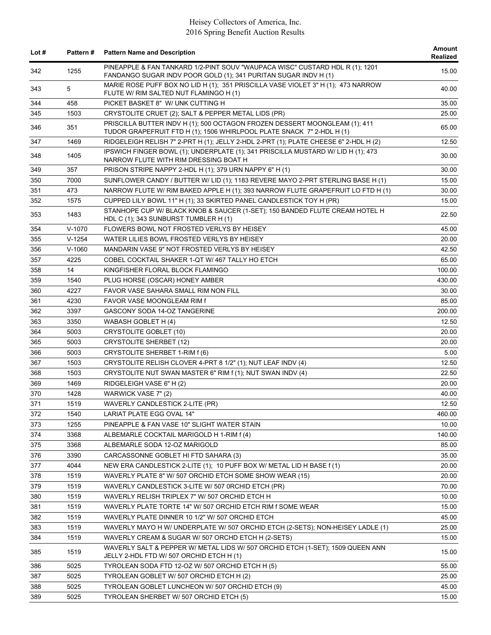| Lot $#$    | <b>Pattern#</b> | <b>Pattern Name and Description</b>                                                                                                                 | <b>Amount</b><br>Realized |
|------------|-----------------|-----------------------------------------------------------------------------------------------------------------------------------------------------|---------------------------|
| 342        | 1255            | PINEAPPLE & FAN TANKARD 1/2-PINT SOUV "WAUPACA WISC" CUSTARD HDL R (1); 1201<br>FANDANGO SUGAR INDV POOR GOLD (1); 341 PURITAN SUGAR INDV H (1)     | 15.00                     |
| 343        | 5               | MARIE ROSE PUFF BOX NO LID H (1); 351 PRISCILLA VASE VIOLET 3" H (1); 473 NARROW<br>FLUTE W/ RIM SALTED NUT FLAMINGO H (1)                          | 40.00                     |
| 344        | 458             | PICKET BASKET 8" W/ UNK CUTTING H                                                                                                                   | 35.00                     |
| 345        | 1503            | CRYSTOLITE CRUET (2); SALT & PEPPER METAL LIDS (PR)                                                                                                 | 25.00                     |
| 346        | 351             | PRISCILLA BUTTER INDV H (1); 500 OCTAGON FROZEN DESSERT MOONGLEAM (1); 411<br>TUDOR GRAPEFRUIT FTD H (1); 1506 WHIRLPOOL PLATE SNACK 7" 2-HDL H (1) | 65.00                     |
| 347        | 1469            | RIDGELEIGH RELISH 7" 2-PRT H (1); JELLY 2-HDL 2-PRT (1); PLATE CHEESE 6" 2-HDL H (2)                                                                | 12.50                     |
| 348        | 1405            | IPSWICH FINGER BOWL (1); UNDERPLATE (1); 341 PRISCILLA MUSTARD W/ LID H (1); 473<br>NARROW FLUTE WITH RIM DRESSING BOAT H                           | 30.00                     |
| 349        | 357             | PRISON STRIPE NAPPY 2-HDL H (1); 379 URN NAPPY 6" H (1)                                                                                             | 30.00                     |
| 350        | 7000            | SUNFLOWER CANDY / BUTTER W/ LID (1); 1183 REVERE MAYO 2-PRT STERLING BASE H (1)                                                                     | 15.00                     |
| 351        | 473             | NARROW FLUTE W/ RIM BAKED APPLE H (1); 393 NARROW FLUTE GRAPEFRUIT LO FTD H (1)                                                                     | 30.00                     |
| 352        | 1575            | CUPPED LILY BOWL 11" H (1); 33 SKIRTED PANEL CANDLESTICK TOY H (PR)                                                                                 | 15.00                     |
| 353        | 1483            | STANHOPE CUP W/ BLACK KNOB & SAUCER (1-SET); 150 BANDED FLUTE CREAM HOTEL H<br>HDL C (1); 343 SUNBURST TUMBLER H (1)                                | 22.50                     |
| 354        | $V-1070$        | FLOWERS BOWL NOT FROSTED VERLYS BY HEISEY                                                                                                           | 45.00                     |
| 355        | $V-1254$        | WATER LILIES BOWL FROSTED VERLYS BY HEISEY                                                                                                          | 20.00                     |
| 356        | $V-1060$        | MANDARIN VASE 9" NOT FROSTED VERLYS BY HEISEY                                                                                                       | 42.50                     |
| 357        | 4225            | COBEL COCKTAIL SHAKER 1-QT W/ 467 TALLY HO ETCH                                                                                                     | 65.00                     |
| 358        | 14              | KINGFISHER FLORAL BLOCK FLAMINGO                                                                                                                    | 100.00                    |
| 359        | 1540            | PLUG HORSE (OSCAR) HONEY AMBER                                                                                                                      | 430.00                    |
| 360        | 4227            | FAVOR VASE SAHARA SMALL RIM NON FILL                                                                                                                | 30.00                     |
| 361        | 4230            | FAVOR VASE MOONGLEAM RIM f                                                                                                                          | 85.00                     |
| 362        | 3397            | GASCONY SODA 14-OZ TANGERINE                                                                                                                        | 200.00                    |
| 363        | 3350            | WABASH GOBLET H (4)                                                                                                                                 | 12.50                     |
| 364        | 5003            | <b>CRYSTOLITE GOBLET (10)</b>                                                                                                                       | 20.00                     |
| 365        | 5003            | <b>CRYSTOLITE SHERBET (12)</b>                                                                                                                      | 20.00                     |
| 366        | 5003            | CRYSTOLITE SHERBET 1-RIM f (6)                                                                                                                      | 5.00                      |
| 367        | 1503            | CRYSTOLITE RELISH CLOVER 4-PRT 8 1/2" (1); NUT LEAF INDV (4)                                                                                        | 12.50                     |
| 368        | 1503            | CRYSTOLITE NUT SWAN MASTER 6" RIM f (1); NUT SWAN INDV (4)                                                                                          | 22.50                     |
| 369        | 1469            | RIDGELEIGH VASE 6" H (2)                                                                                                                            | 20.00                     |
| 370        | 1428            | WARWICK VASE 7" (2)                                                                                                                                 | 40.00                     |
| 371        | 1519            | WAVERLY CANDLESTICK 2-LITE (PR)                                                                                                                     | 12.50                     |
| 372        | 1540            | LARIAT PLATE EGG OVAL 14"                                                                                                                           | 460.00                    |
| 373        | 1255            | PINEAPPLE & FAN VASE 10" SLIGHT WATER STAIN                                                                                                         | 10.00                     |
| 374        | 3368            | ALBEMARLE COCKTAIL MARIGOLD H 1-RIM f (4)                                                                                                           | 140.00                    |
| 375        | 3368            | ALBEMARLE SODA 12-OZ MARIGOLD                                                                                                                       | 85.00                     |
| 376        | 3390            | CARCASSONNE GOBLET HI FTD SAHARA (3)                                                                                                                | 35.00                     |
| 377        | 4044            | NEW ERA CANDLESTICK 2-LITE (1); 10 PUFF BOX W/ METAL LID H BASE f (1)                                                                               | 20.00                     |
| 378        | 1519            | WAVERLY PLATE 8" W/ 507 ORCHID ETCH SOME SHOW WEAR (15)                                                                                             | 20.00                     |
| 379        | 1519            | WAVERLY CANDLESTICK 3-LITE W/ 507 0RCHID ETCH (PR)                                                                                                  | 70.00                     |
| 380        | 1519            | WAVERLY RELISH TRIPLEX 7" W/ 507 ORCHID ETCH H                                                                                                      | 10.00                     |
| 381        | 1519            | WAVERLY PLATE TORTE 14" W/ 507 ORCHID ETCH RIM f SOME WEAR                                                                                          | 15.00                     |
|            |                 | WAVERLY PLATE DINNER 10 1/2" W/ 507 ORCHID ETCH                                                                                                     |                           |
| 382<br>383 | 1519<br>1519    | WAVERLY MAYO H W/ UNDERPLATE W/ 507 ORCHID ETCH (2-SETS); NON-HEISEY LADLE (1)                                                                      | 45.00<br>25.00            |
|            |                 | WAVERLY CREAM & SUGAR W/ 507 ORCHD ETCH H (2-SETS)                                                                                                  |                           |
| 384<br>385 | 1519<br>1519    | WAVERLY SALT & PEPPER W/ METAL LIDS W/ 507 ORCHID ETCH (1-SET); 1509 QUEEN ANN                                                                      | 15.00<br>15.00            |
|            |                 | JELLY 2-HDL FTD W/ 507 ORCHID ETCH H (1)                                                                                                            |                           |
| 386        | 5025            | TYROLEAN SODA FTD 12-OZ W/ 507 ORCHID ETCH H (5)                                                                                                    | 55.00                     |
| 387        | 5025            | TYROLEAN GOBLET W/ 507 ORCHID ETCH H (2)                                                                                                            | 25.00                     |
| 388        | 5025            | TYROLEAN GOBLET LUNCHEON W/ 507 ORCHID ETCH (9)                                                                                                     | 45.00                     |
| 389        | 5025            | TYROLEAN SHERBET W/ 507 ORCHID ETCH (5)                                                                                                             | 15.00                     |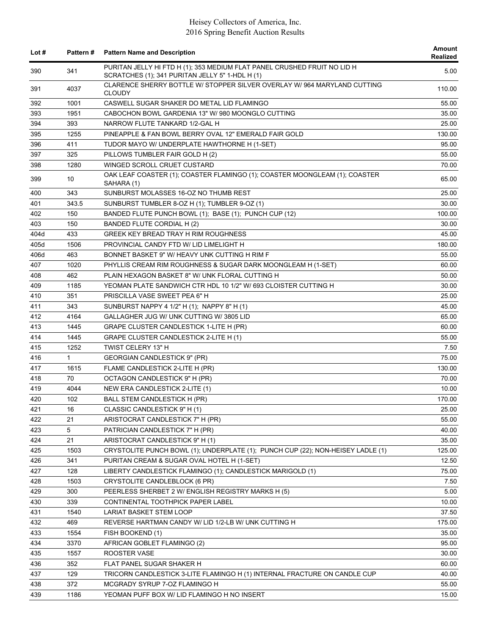| Lot $#$ | <b>Pattern#</b> | <b>Pattern Name and Description</b>                                                                                         | Amount<br>Realized |
|---------|-----------------|-----------------------------------------------------------------------------------------------------------------------------|--------------------|
| 390     | 341             | PURITAN JELLY HI FTD H (1); 353 MEDIUM FLAT PANEL CRUSHED FRUIT NO LID H<br>SCRATCHES (1); 341 PURITAN JELLY 5" 1-HDL H (1) | 5.00               |
| 391     | 4037            | CLARENCE SHERRY BOTTLE W/ STOPPER SILVER OVERLAY W/ 964 MARYLAND CUTTING<br><b>CLOUDY</b>                                   | 110.00             |
| 392     | 1001            | CASWELL SUGAR SHAKER DO METAL LID FLAMINGO                                                                                  | 55.00              |
| 393     | 1951            | CABOCHON BOWL GARDENIA 13" W/ 980 MOONGLO CUTTING                                                                           | 35.00              |
| 394     | 393             | NARROW FLUTE TANKARD 1/2-GAL H                                                                                              | 25.00              |
| 395     | 1255            | PINEAPPLE & FAN BOWL BERRY OVAL 12" EMERALD FAIR GOLD                                                                       | 130.00             |
| 396     | 411             | TUDOR MAYO W/ UNDERPLATE HAWTHORNE H (1-SET)                                                                                | 95.00              |
| 397     | 325             | PILLOWS TUMBLER FAIR GOLD H (2)                                                                                             | 55.00              |
| 398     | 1280            | WINGED SCROLL CRUET CUSTARD                                                                                                 | 70.00              |
| 399     | 10              | OAK LEAF COASTER (1); COASTER FLAMINGO (1); COASTER MOONGLEAM (1); COASTER<br>SAHARA (1)                                    | 65.00              |
| 400     | 343             | SUNBURST MOLASSES 16-OZ NO THUMB REST                                                                                       | 25.00              |
| 401     | 343.5           | SUNBURST TUMBLER 8-OZ H (1); TUMBLER 9-OZ (1)                                                                               | 30.00              |
| 402     | 150             | BANDED FLUTE PUNCH BOWL (1); BASE (1); PUNCH CUP (12)                                                                       | 100.00             |
| 403     | 150             | BANDED FLUTE CORDIAL H (2)                                                                                                  | 30.00              |
| 404d    | 433             | <b>GREEK KEY BREAD TRAY H RIM ROUGHNESS</b>                                                                                 | 45.00              |
| 405d    | 1506            | PROVINCIAL CANDY FTD W/ LID LIMELIGHT H                                                                                     | 180.00             |
| 406d    | 463             | BONNET BASKET 9" W/ HEAVY UNK CUTTING H RIM F                                                                               | 55.00              |
| 407     | 1020            | PHYLLIS CREAM RIM ROUGHNESS & SUGAR DARK MOONGLEAM H (1-SET)                                                                | 60.00              |
| 408     | 462             | PLAIN HEXAGON BASKET 8" W/ UNK FLORAL CUTTING H                                                                             | 50.00              |
| 409     | 1185            | YEOMAN PLATE SANDWICH CTR HDL 10 1/2" W/ 693 CLOISTER CUTTING H                                                             | 30.00              |
| 410     | 351             | PRISCILLA VASE SWEET PEA 6" H                                                                                               | 25.00              |
| 411     | 343             | SUNBURST NAPPY 4 1/2" H (1); NAPPY 8" H (1)                                                                                 | 45.00              |
| 412     | 4164            | GALLAGHER JUG W/ UNK CUTTING W/ 3805 LID                                                                                    | 65.00              |
| 413     | 1445            | GRAPE CLUSTER CANDLESTICK 1-LITE H (PR)                                                                                     | 60.00              |
| 414     | 1445            | GRAPE CLUSTER CANDLESTICK 2-LITE H (1)                                                                                      | 55.00              |
| 415     | 1252            | TWIST CELERY 13" H                                                                                                          | 7.50               |
| 416     | 1               | <b>GEORGIAN CANDLESTICK 9" (PR)</b>                                                                                         | 75.00              |
| 417     | 1615            | FLAME CANDLESTICK 2-LITE H (PR)                                                                                             | 130.00             |
| 418     | 70              | OCTAGON CANDLESTICK 9" H (PR)                                                                                               | 70.00              |
| 419     | 4044            | NEW ERA CANDLESTICK 2-LITE (1)                                                                                              | 10.00              |
| 420     | 102             | BALL STEM CANDLESTICK H (PR)                                                                                                | 170.00             |
| 421     | 16              | CLASSIC CANDLESTICK 9" H (1)                                                                                                | 25.00              |
| 422     | 21              |                                                                                                                             | 55.00              |
|         | 5               | ARISTOCRAT CANDLESTICK 7" H (PR)<br>PATRICIAN CANDLESTICK 7" H (PR)                                                         |                    |
| 423     |                 |                                                                                                                             | 40.00              |
| 424     | 21              | ARISTOCRAT CANDLESTICK 9" H (1)                                                                                             | 35.00              |
| 425     | 1503            | CRYSTOLITE PUNCH BOWL (1); UNDERPLATE (1); PUNCH CUP (22); NON-HEISEY LADLE (1)                                             | 125.00             |
| 426     | 341             | PURITAN CREAM & SUGAR OVAL HOTEL H (1-SET)                                                                                  | 12.50              |
| 427     | 128             | LIBERTY CANDLESTICK FLAMINGO (1); CANDLESTICK MARIGOLD (1)                                                                  | 75.00              |
| 428     | 1503            | CRYSTOLITE CANDLEBLOCK (6 PR)                                                                                               | 7.50               |
| 429     | 300             | PEERLESS SHERBET 2 W/ ENGLISH REGISTRY MARKS H (5)                                                                          | 5.00               |
| 430     | 339             | CONTINENTAL TOOTHPICK PAPER LABEL                                                                                           | 10.00              |
| 431     | 1540            | LARIAT BASKET STEM LOOP                                                                                                     | 37.50              |
| 432     | 469             | REVERSE HARTMAN CANDY W/ LID 1/2-LB W/ UNK CUTTING H                                                                        | 175.00             |
| 433     | 1554            | FISH BOOKEND (1)                                                                                                            | 35.00              |
| 434     | 3370            | AFRICAN GOBLET FLAMINGO (2)                                                                                                 | 95.00              |
| 435     | 1557            | ROOSTER VASE                                                                                                                | 30.00              |
| 436     | 352             | FLAT PANEL SUGAR SHAKER H                                                                                                   | 60.00              |
| 437     | 129             | TRICORN CANDLESTICK 3-LITE FLAMINGO H (1) INTERNAL FRACTURE ON CANDLE CUP                                                   | 40.00              |
| 438     | 372             | MCGRADY SYRUP 7-OZ FLAMINGO H                                                                                               | 55.00              |
| 439     | 1186            | YEOMAN PUFF BOX W/ LID FLAMINGO H NO INSERT                                                                                 | 15.00              |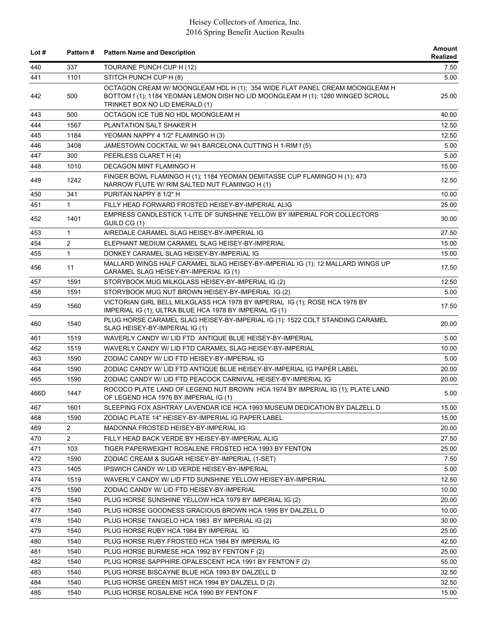| Lot $#$ | Pattern #      | <b>Pattern Name and Description</b>                                                                                                                                                              | Amount<br>Realized |
|---------|----------------|--------------------------------------------------------------------------------------------------------------------------------------------------------------------------------------------------|--------------------|
| 440     | 337            | TOURAINE PUNCH CUP H (12)                                                                                                                                                                        | 7.50               |
| 441     | 1101           | STITCH PUNCH CUP H (8)                                                                                                                                                                           | 5.00               |
| 442     | 500            | OCTAGON CREAM W/ MOONGLEAM HDL H (1); 354 WIDE FLAT PANEL CREAM MOONGLEAM H<br>BOTTOM f (1); 1184 YEOMAN LEMON DISH NO LID MOONGLEAM H (1); 1280 WINGED SCROLL<br>TRINKET BOX NO LID EMERALD (1) | 25.00              |
| 443     | 500            | OCTAGON ICE TUB NO HDL MOONGLEAM H                                                                                                                                                               | 40.00              |
| 444     | 1567           | PLANTATION SALT SHAKER H                                                                                                                                                                         | 12.50              |
| 445     | 1184           | YEOMAN NAPPY 4 1/2" FLAMINGO H (3)                                                                                                                                                               | 12.50              |
| 446     | 3408           | JAMESTOWN COCKTAIL W/ 941 BARCELONA CUTTING H 1-RIM f (5)                                                                                                                                        | 5.00               |
| 447     | 300            | PEERLESS CLARET H (4)                                                                                                                                                                            | 5.00               |
| 448     | 1010           | DECAGON MINT FLAMINGO H                                                                                                                                                                          | 15.00              |
| 449     | 1242           | FINGER BOWL FLAMINGO H (1); 1184 YEOMAN DEMITASSE CUP FLAMINGO H (1); 473<br>NARROW FLUTE W/ RIM SALTED NUT FLAMINGO H (1)                                                                       | 12.50              |
| 450     | 341            | PURITAN NAPPY 8 1/2" H                                                                                                                                                                           | 10.00              |
| 451     | $\mathbf{1}$   | FILLY HEAD FORWARD FROSTED HEISEY-BY-IMPERIAL ALIG                                                                                                                                               | 25.00              |
| 452     | 1401           | EMPRESS CANDLESTICK 1-LITE DF SUNSHINE YELLOW BY IMPERIAL FOR COLLECTORS<br>GUILD CG (1)                                                                                                         | 30.00              |
| 453     | $\mathbf{1}$   | AIREDALE CARAMEL SLAG HEISEY-BY-IMPERIAL IG                                                                                                                                                      | 27.50              |
| 454     | $\overline{2}$ | ELEPHANT MEDIUM CARAMEL SLAG HEISEY-BY-IMPERIAL                                                                                                                                                  | 15.00              |
| 455     | $\mathbf{1}$   | DONKEY CARAMEL SLAG HEISEY-BY-IMPERIAL IG                                                                                                                                                        | 15.00              |
| 456     | 11             | MALLARD WINGS HALF CARAMEL SLAG HEISEY-BY-IMPERIAL IG (1); 12 MALLARD WINGS UP<br>CARAMEL SLAG HEISEY-BY-IMPERIAL IG (1)                                                                         | 17.50              |
| 457     | 1591           | STORYBOOK MUG MILKGLASS HEISEY-BY-IMPERIAL IG (2)                                                                                                                                                | 12.50              |
| 458     | 1591           | STORYBOOK MUG NUT BROWN HEISEY-BY-IMPERIAL IG (2)                                                                                                                                                | 5.00               |
| 459     | 1560           | VICTORIAN GIRL BELL MILKGLASS HCA 1978 BY IMPERIAL IG (1); ROSE HCA 1978 BY<br>IMPERIAL IG (1); ULTRA BLUE HCA 1978 BY IMPERIAL IG (1)                                                           | 17.50              |
| 460     | 1540           | PLUG HORSE CARAMEL SLAG HEISEY-BY-IMPERIAL IG (1): 1522 COLT STANDING CARAMEL<br>SLAG HEISEY-BY-IMPERIAL IG (1)                                                                                  | 20.00              |
| 461     | 1519           | WAVERLY CANDY W/ LID FTD ANTIQUE BLUE HEISEY-BY-IMPERIAL                                                                                                                                         | 5.00               |
| 462     | 1519           | WAVERLY CANDY W/ LID FTD CARAMEL SLAG HEISEY-BY-IMPERIAL                                                                                                                                         | 10.00              |
| 463     | 1590           | ZODIAC CANDY W/ LID FTD HEISEY-BY-IMPERIAL IG                                                                                                                                                    | 5.00               |
| 464     | 1590           | ZODIAC CANDY W/ LID FTD ANTIQUE BLUE HEISEY-BY-IMPERIAL IG PAPER LABEL                                                                                                                           | 20.00              |
| 465     | 1590           | ZODIAC CANDY W/ LID FTD PEACOCK CARNIVAL HEISEY-BY-IMPERIAL IG                                                                                                                                   | 20.00              |
| 466D    | 1447           | ROCOCO PLATE LAND OF LEGEND NUT BROWN HCA 1974 BY IMPERIAL IG (1); PLATE LAND<br>OF LEGEND HCA 1976 BY IMPERIAL IG (1)                                                                           | 5.00               |
| 467     | 1601           | SLEEPING FOX ASHTRAY LAVENDAR ICE HCA 1993 MUSEUM DEDICATION BY DALZELL D                                                                                                                        | 15.00              |
| 468     | 1590           | ZODIAC PLATE 14" HEISEY-BY-IMPERIAL IG PAPER LABEL                                                                                                                                               | 15.00              |
| 469     | $\overline{2}$ | MADONNA FROSTED HEISEY-BY-IMPERIAL IG                                                                                                                                                            | 20.00              |
| 470     | $\overline{c}$ | FILLY HEAD BACK VERDE BY HEISEY-BY-IMPERIAL ALIG                                                                                                                                                 | 27.50              |
| 471     | 103            | TIGER PAPERWEIGHT ROSALENE FROSTED HCA 1993 BY FENTON                                                                                                                                            | 25.00              |
| 472     | 1590           | ZODIAC CREAM & SUGAR HEISEY-BY-IMPERIAL (1-SET)                                                                                                                                                  | 7.50               |
| 473     | 1405           | <b>IPSWICH CANDY W/ LID VERDE HEISEY-BY-IMPERIAL</b>                                                                                                                                             | 5.00               |
| 474     | 1519           | WAVERLY CANDY W/ LID FTD SUNSHINE YELLOW HEISEY-BY-IMPERIAL                                                                                                                                      | 12.50              |
| 475     | 1590           | ZODIAC CANDY W/ LID FTD HEISEY-BY-IMPERIAL                                                                                                                                                       | 10.00              |
| 476     | 1540           | PLUG HORSE SUNSHINE YELLOW HCA 1979 BY IMPERIAL IG (2)                                                                                                                                           | 20.00              |
| 477     | 1540           | PLUG HORSE GOODNESS GRACIOUS BROWN HCA 1995 BY DALZELL D                                                                                                                                         | 10.00              |
| 478     | 1540           | PLUG HORSE TANGELO HCA 1983 BY IMPERIAL IG (2)                                                                                                                                                   | 30.00              |
| 479     | 1540           | PLUG HORSE RUBY HCA 1984 BY IMPERIAL IG                                                                                                                                                          | 25.00              |
| 480     | 1540           | PLUG HORSE RUBY FROSTED HCA 1984 BY IMPERIAL IG                                                                                                                                                  | 42.50              |
| 481     | 1540           | PLUG HORSE BURMESE HCA 1992 BY FENTON F (2)                                                                                                                                                      | 25.00              |
| 482     | 1540           | PLUG HORSE SAPPHIRE OPALESCENT HCA 1991 BY FENTON F (2)                                                                                                                                          | 55.00              |
| 483     | 1540           | PLUG HORSE BISCAYNE BLUE HCA 1993 BY DALZELL D                                                                                                                                                   | 32.50              |
| 484     | 1540           | PLUG HORSE GREEN MIST HCA 1994 BY DALZELL D (2)                                                                                                                                                  | 32.50              |
| 485     | 1540           | PLUG HORSE ROSALENE HCA 1990 BY FENTON F                                                                                                                                                         | 15.00              |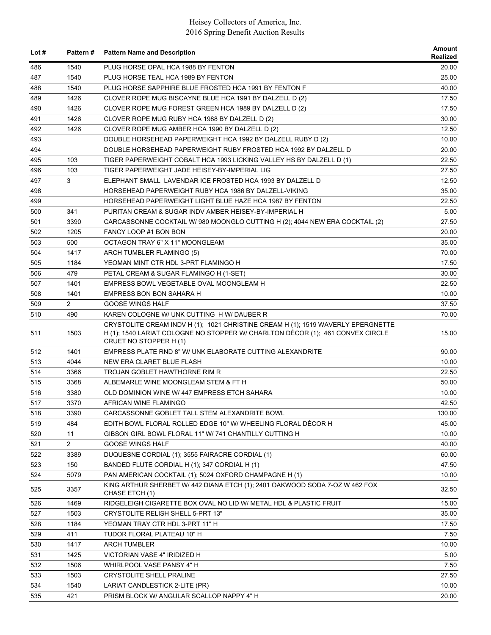| Lot $#$ |                | Pattern # Pattern Name and Description                                                                                                                                                       | <b>Amount</b><br>Realized |
|---------|----------------|----------------------------------------------------------------------------------------------------------------------------------------------------------------------------------------------|---------------------------|
| 486     | 1540           | PLUG HORSE OPAL HCA 1988 BY FENTON                                                                                                                                                           | 20.00                     |
| 487     | 1540           | PLUG HORSE TEAL HCA 1989 BY FENTON                                                                                                                                                           | 25.00                     |
| 488     | 1540           | PLUG HORSE SAPPHIRE BLUE FROSTED HCA 1991 BY FENTON F                                                                                                                                        | 40.00                     |
| 489     | 1426           | CLOVER ROPE MUG BISCAYNE BLUE HCA 1991 BY DALZELL D (2)                                                                                                                                      | 17.50                     |
| 490     | 1426           | CLOVER ROPE MUG FOREST GREEN HCA 1989 BY DALZELL D (2)                                                                                                                                       | 17.50                     |
| 491     | 1426           | CLOVER ROPE MUG RUBY HCA 1988 BY DALZELL D (2)                                                                                                                                               | 30.00                     |
| 492     | 1426           | CLOVER ROPE MUG AMBER HCA 1990 BY DALZELL D (2)                                                                                                                                              | 12.50                     |
| 493     |                | DOUBLE HORSEHEAD PAPERWEIGHT HCA 1992 BY DALZELL RUBY D (2)                                                                                                                                  | 10.00                     |
| 494     |                | DOUBLE HORSEHEAD PAPERWEIGHT RUBY FROSTED HCA 1992 BY DALZELL D                                                                                                                              | 20.00                     |
| 495     | 103            | TIGER PAPERWEIGHT COBALT HCA 1993 LICKING VALLEY HS BY DALZELL D (1)                                                                                                                         | 22.50                     |
| 496     | 103            | TIGER PAPERWEIGHT JADE HEISEY-BY-IMPERIAL LIG                                                                                                                                                | 27.50                     |
| 497     | 3              | ELEPHANT SMALL LAVENDAR ICE FROSTED HCA 1993 BY DALZELL D                                                                                                                                    | 12.50                     |
| 498     |                | HORSEHEAD PAPERWEIGHT RUBY HCA 1986 BY DALZELL-VIKING                                                                                                                                        | 35.00                     |
| 499     |                | HORSEHEAD PAPERWEIGHT LIGHT BLUE HAZE HCA 1987 BY FENTON                                                                                                                                     | 22.50                     |
| 500     | 341            | PURITAN CREAM & SUGAR INDV AMBER HEISEY-BY-IMPERIAL H                                                                                                                                        | 5.00                      |
| 501     | 3390           | CARCASSONNE COCKTAIL W/ 980 MOONGLO CUTTING H (2); 4044 NEW ERA COCKTAIL (2)                                                                                                                 | 27.50                     |
| 502     | 1205           | FANCY LOOP #1 BON BON                                                                                                                                                                        | 20.00                     |
| 503     | 500            | OCTAGON TRAY 6" X 11" MOONGLEAM                                                                                                                                                              | 35.00                     |
| 504     | 1417           | ARCH TUMBLER FLAMINGO (5)                                                                                                                                                                    | 70.00                     |
| 505     | 1184           | YEOMAN MINT CTR HDL 3-PRT FLAMINGO H                                                                                                                                                         | 17.50                     |
| 506     | 479            | PETAL CREAM & SUGAR FLAMINGO H (1-SET)                                                                                                                                                       | 30.00                     |
| 507     | 1401           | EMPRESS BOWL VEGETABLE OVAL MOONGLEAM H                                                                                                                                                      | 22.50                     |
| 508     | 1401           | EMPRESS BON BON SAHARA H                                                                                                                                                                     | 10.00                     |
| 509     | $\overline{2}$ | <b>GOOSE WINGS HALF</b>                                                                                                                                                                      | 37.50                     |
| 510     | 490            | KAREN COLOGNE W/ UNK CUTTING H W/ DAUBER R                                                                                                                                                   | 70.00                     |
| 511     | 1503           | CRYSTOLITE CREAM INDV H (1); 1021 CHRISTINE CREAM H (1); 1519 WAVERLY EPERGNETTE<br>H (1); 1540 LARIAT COLOGNE NO STOPPER W/ CHARLTON DÉCOR (1); 461 CONVEX CIRCLE<br>CRUET NO STOPPER H (1) | 15.00                     |
| 512     | 1401           | EMPRESS PLATE RND 8" W/ UNK ELABORATE CUTTING ALEXANDRITE                                                                                                                                    | 90.00                     |
| 513     | 4044           | NEW ERA CLARET BLUE FLASH                                                                                                                                                                    | 10.00                     |
| 514     | 3366           | <b>TROJAN GOBLET HAWTHORNE RIM R</b>                                                                                                                                                         | 22.50                     |
| 515     | 3368           | ALBEMARLE WINE MOONGLEAM STEM & FT H                                                                                                                                                         | 50.00                     |
| 516     | 3380           | OLD DOMINION WINE W/ 447 EMPRESS ETCH SAHARA                                                                                                                                                 | 10.00                     |
| 517     | 3370           | AFRICAN WINE FLAMINGO                                                                                                                                                                        | 42.50                     |
| 518     | 3390           | CARCASSONNE GOBLET TALL STEM ALEXANDRITE BOWL                                                                                                                                                | 130.00                    |
| 519     | 484            | EDITH BOWL FLORAL ROLLED EDGE 10" W/ WHEELING FLORAL DECOR H                                                                                                                                 | 45.00                     |
| 520     | 11             | GIBSON GIRL BOWL FLORAL 11" W/ 741 CHANTILLY CUTTING H                                                                                                                                       | 10.00                     |
| 521     | $\overline{2}$ | <b>GOOSE WINGS HALF</b>                                                                                                                                                                      | 40.00                     |
| 522     | 3389           | DUQUESNE CORDIAL (1); 3555 FAIRACRE CORDIAL (1)                                                                                                                                              | 60.00                     |
| 523     | 150            | BANDED FLUTE CORDIAL H (1); 347 CORDIAL H (1)                                                                                                                                                | 47.50                     |
| 524     | 5079           | PAN AMERICAN COCKTAIL (1); 5024 OXFORD CHAMPAGNE H (1)                                                                                                                                       | 10.00                     |
| 525     | 3357           | KING ARTHUR SHERBET W/ 442 DIANA ETCH (1); 2401 OAKWOOD SODA 7-OZ W 462 FOX<br>CHASE ETCH (1)                                                                                                | 32.50                     |
| 526     | 1469           | RIDGELEIGH CIGARETTE BOX OVAL NO LID W/ METAL HDL & PLASTIC FRUIT                                                                                                                            | 15.00                     |
| 527     | 1503           | CRYSTOLITE RELISH SHELL 5-PRT 13"                                                                                                                                                            | 35.00                     |
| 528     | 1184           | YEOMAN TRAY CTR HDL 3-PRT 11" H                                                                                                                                                              | 17.50                     |
| 529     | 411            | TUDOR FLORAL PLATEAU 10" H                                                                                                                                                                   | 7.50                      |
| 530     | 1417           | <b>ARCH TUMBLER</b>                                                                                                                                                                          | 10.00                     |
| 531     | 1425           | VICTORIAN VASE 4" IRIDIZED H                                                                                                                                                                 | 5.00                      |
| 532     | 1506           | WHIRLPOOL VASE PANSY 4" H                                                                                                                                                                    | 7.50                      |
| 533     | 1503           | CRYSTOLITE SHELL PRALINE                                                                                                                                                                     | 27.50                     |
| 534     | 1540           | LARIAT CANDLESTICK 2-LITE (PR)                                                                                                                                                               | 10.00                     |
| 535     | 421            | PRISM BLOCK W/ ANGULAR SCALLOP NAPPY 4" H                                                                                                                                                    | 20.00                     |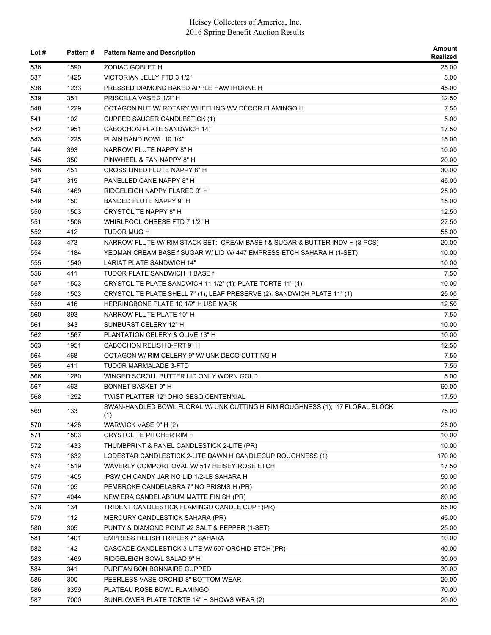| Lot $#$    | <b>Pattern#</b> | <b>Pattern Name and Description</b>                                                    | Amount<br>Realized |
|------------|-----------------|----------------------------------------------------------------------------------------|--------------------|
| 536        | 1590            | ZODIAC GOBLET H                                                                        | 25.00              |
| 537        | 1425            | VICTORIAN JELLY FTD 3 1/2"                                                             | 5.00               |
| 538        | 1233            | PRESSED DIAMOND BAKED APPLE HAWTHORNE H                                                | 45.00              |
| 539        | 351             | PRISCILLA VASE 2 1/2" H                                                                | 12.50              |
| 540        | 1229            | OCTAGON NUT W/ ROTARY WHEELING WV DÉCOR FLAMINGO H                                     | 7.50               |
| 541        | 102             | <b>CUPPED SAUCER CANDLESTICK (1)</b>                                                   | 5.00               |
| 542        | 1951            | CABOCHON PLATE SANDWICH 14"                                                            | 17.50              |
| 543        | 1225            | PLAIN BAND BOWL 10 1/4"                                                                | 15.00              |
| 544        | 393             | NARROW FLUTE NAPPY 8" H                                                                | 10.00              |
| 545        | 350             | PINWHEEL & FAN NAPPY 8" H                                                              | 20.00              |
| 546        | 451             | CROSS LINED FLUTE NAPPY 8" H                                                           | 30.00              |
| 547        | 315             | PANELLED CANE NAPPY 8" H                                                               | 45.00              |
| 548        | 1469            | RIDGELEIGH NAPPY FLARED 9" H                                                           | 25.00              |
| 549        | 150             | BANDED FLUTE NAPPY 9" H                                                                | 15.00              |
| 550        | 1503            | CRYSTOLITE NAPPY 8" H                                                                  | 12.50              |
| 551        | 1506            | WHIRLPOOL CHEESE FTD 7 1/2" H                                                          | 27.50              |
| 552        | 412             | TUDOR MUG H                                                                            | 55.00              |
| 553        | 473             | NARROW FLUTE W/ RIM STACK SET: CREAM BASE f & SUGAR & BUTTER INDV H (3-PCS)            | 20.00              |
| 554        | 1184            | YEOMAN CREAM BASE f SUGAR W/ LID W/ 447 EMPRESS ETCH SAHARA H (1-SET)                  | 10.00              |
| 555        | 1540            | <b>LARIAT PLATE SANDWICH 14"</b>                                                       | 10.00              |
|            | 411             |                                                                                        |                    |
| 556        |                 | TUDOR PLATE SANDWICH H BASE f                                                          | 7.50               |
| 557        | 1503            | CRYSTOLITE PLATE SANDWICH 11 1/2" (1); PLATE TORTE 11" (1)                             | 10.00              |
| 558        | 1503            | CRYSTOLITE PLATE SHELL 7" (1); LEAF PRESERVE (2); SANDWICH PLATE 11" (1)               | 25.00              |
| 559        | 416             | HERRINGBONE PLATE 10 1/2" H USE MARK                                                   | 12.50              |
| 560        | 393             | NARROW FLUTE PLATE 10" H                                                               | 7.50               |
| 561        | 343             | SUNBURST CELERY 12" H                                                                  | 10.00              |
| 562        | 1567            | PLANTATION CELERY & OLIVE 13" H                                                        | 10.00              |
| 563        | 1951            | CABOCHON RELISH 3-PRT 9" H                                                             | 12.50              |
| 564        | 468             | OCTAGON W/ RIM CELERY 9" W/ UNK DECO CUTTING H                                         | 7.50               |
| 565        | 411             | TUDOR MARMALADE 3-FTD                                                                  | 7.50               |
| 566        | 1280            | WINGED SCROLL BUTTER LID ONLY WORN GOLD                                                | 5.00               |
| 567        | 463             | <b>BONNET BASKET 9" H</b>                                                              | 60.00              |
| 568        | 1252            | <b>TWIST PLATTER 12" OHIO SESQICENTENNIAL</b>                                          | 17.50              |
| 569        | 133             | SWAN-HANDLED BOWL FLORAL W/ UNK CUTTING H RIM ROUGHNESS (1); 17 FLORAL BLOCK<br>(1)    | 75.00              |
| 570        | 1428            | WARWICK VASE 9" H (2)                                                                  | 25.00              |
| 571        | 1503            | <b>CRYSTOLITE PITCHER RIM F</b>                                                        | 10.00              |
| 572        | 1433            | THUMBPRINT & PANEL CANDLESTICK 2-LITE (PR)                                             | 10.00              |
| 573        | 1632            | LODESTAR CANDLESTICK 2-LITE DAWN H CANDLECUP ROUGHNESS (1)                             | 170.00             |
| 574        | 1519            | WAVERLY COMPORT OVAL W/ 517 HEISEY ROSE ETCH                                           | 17.50              |
| 575        | 1405            | IPSWICH CANDY JAR NO LID 1/2-LB SAHARA H                                               | 50.00              |
| 576        | 105             | PEMBROKE CANDELABRA 7" NO PRISMS H (PR)                                                | 20.00              |
| 577        | 4044            | NEW ERA CANDELABRUM MATTE FINISH (PR)                                                  | 60.00              |
| 578        | 134             | TRIDENT CANDLESTICK FLAMINGO CANDLE CUP f (PR)                                         | 65.00              |
| 579        | 112             | MERCURY CANDLESTICK SAHARA (PR)                                                        | 45.00              |
| 580        | 305             | PUNTY & DIAMOND POINT #2 SALT & PEPPER (1-SET)                                         | 25.00              |
|            | 1401            |                                                                                        |                    |
| 581<br>582 | 142             | EMPRESS RELISH TRIPLEX 7" SAHARA<br>CASCADE CANDLESTICK 3-LITE W/ 507 ORCHID ETCH (PR) | 10.00<br>40.00     |
|            |                 |                                                                                        |                    |
| 583        | 1469            | RIDGELEIGH BOWL SALAD 9" H                                                             | 30.00              |
| 584        | 341             | PURITAN BON BONNAIRE CUPPED                                                            | 30.00              |
| 585        | 300             | PEERLESS VASE ORCHID 8" BOTTOM WEAR                                                    | 20.00              |
| 586        | 3359            | PLATEAU ROSE BOWL FLAMINGO                                                             | 70.00              |
| 587        | 7000            | SUNFLOWER PLATE TORTE 14" H SHOWS WEAR (2)                                             | 20.00              |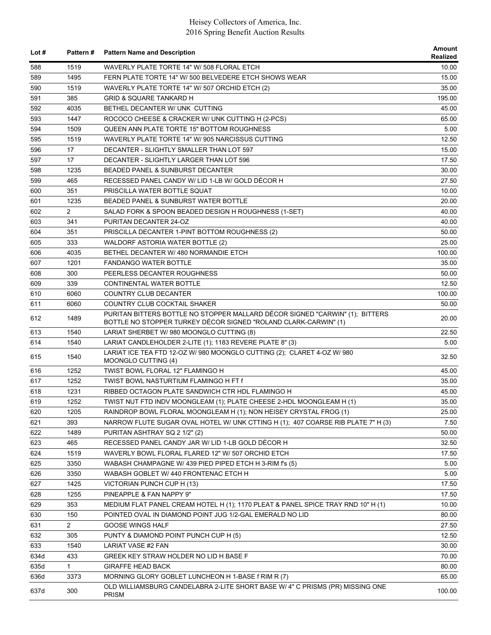| Lot $#$ |                | Pattern # Pattern Name and Description                                                                                                          | Amount<br>Realized |
|---------|----------------|-------------------------------------------------------------------------------------------------------------------------------------------------|--------------------|
| 588     | 1519           | WAVERLY PLATE TORTE 14" W/ 508 FLORAL ETCH                                                                                                      | 10.00              |
| 589     | 1495           | FERN PLATE TORTE 14" W/ 500 BELVEDERE ETCH SHOWS WEAR                                                                                           | 15.00              |
| 590     | 1519           | WAVERLY PLATE TORTE 14" W/ 507 ORCHID ETCH (2)                                                                                                  | 35.00              |
| 591     | 385            | <b>GRID &amp; SQUARE TANKARD H</b>                                                                                                              | 195.00             |
| 592     | 4035           | BETHEL DECANTER W/ UNK CUTTING                                                                                                                  | 45.00              |
| 593     | 1447           | ROCOCO CHEESE & CRACKER W/ UNK CUTTING H (2-PCS)                                                                                                | 65.00              |
| 594     | 1509           | QUEEN ANN PLATE TORTE 15" BOTTOM ROUGHNESS                                                                                                      | 5.00               |
| 595     | 1519           | WAVERLY PLATE TORTE 14" W/ 905 NARCISSUS CUTTING                                                                                                | 12.50              |
| 596     | 17             | DECANTER - SLIGHTLY SMALLER THAN LOT 597                                                                                                        | 15.00              |
| 597     | 17             | DECANTER - SLIGHTLY LARGER THAN LOT 596                                                                                                         | 17.50              |
| 598     | 1235           | <b>BEADED PANEL &amp; SUNBURST DECANTER</b>                                                                                                     | 30.00              |
| 599     | 465            | RECESSED PANEL CANDY W/ LID 1-LB W/ GOLD DÉCOR H                                                                                                | 27.50              |
| 600     | 351            | PRISCILLA WATER BOTTLE SQUAT                                                                                                                    | 10.00              |
| 601     | 1235           | BEADED PANEL & SUNBURST WATER BOTTLE                                                                                                            | 20.00              |
| 602     | $\overline{2}$ | SALAD FORK & SPOON BEADED DESIGN H ROUGHNESS (1-SET)                                                                                            | 40.00              |
| 603     | 341            | PURITAN DECANTER 24-OZ                                                                                                                          | 40.00              |
| 604     | 351            | PRISCILLA DECANTER 1-PINT BOTTOM ROUGHNESS (2)                                                                                                  | 50.00              |
| 605     | 333            | WALDORF ASTORIA WATER BOTTLE (2)                                                                                                                | 25.00              |
| 606     | 4035           | BETHEL DECANTER W/480 NORMANDIE ETCH                                                                                                            | 100.00             |
| 607     | 1201           | <b>FANDANGO WATER BOTTLE</b>                                                                                                                    | 35.00              |
| 608     | 300            | PEERLESS DECANTER ROUGHNESS                                                                                                                     | 50.00              |
| 609     | 339            | CONTINENTAL WATER BOTTLE                                                                                                                        | 12.50              |
| 610     | 6060           | COUNTRY CLUB DECANTER                                                                                                                           | 100.00             |
| 611     | 6060           | COUNTRY CLUB COCKTAIL SHAKER                                                                                                                    | 50.00              |
| 612     | 1489           | PURITAN BITTERS BOTTLE NO STOPPER MALLARD DÉCOR SIGNED "CARWIN" (1); BITTERS<br>BOTTLE NO STOPPER TURKEY DÉCOR SIGNED "ROLAND CLARK-CARWIN" (1) | 20.00              |
| 613     | 1540           | LARIAT SHERBET W/ 980 MOONGLO CUTTING (8)                                                                                                       | 22.50              |
| 614     | 1540           | LARIAT CANDLEHOLDER 2-LITE (1); 1183 REVERE PLATE 8" (3)                                                                                        | 5.00               |
| 615     | 1540           | LARIAT ICE TEA FTD 12-OZ W/ 980 MOONGLO CUTTING (2); CLARET 4-OZ W/ 980<br>MOONGLO CUTTING (4)                                                  | 32.50              |
| 616     | 1252           | TWIST BOWL FLORAL 12" FLAMINGO H                                                                                                                | 45.00              |
| 617     | 1252           | TWIST BOWL NASTURTIUM FLAMINGO H FT f                                                                                                           | 35.00              |
| 618     | 1231           | RIBBED OCTAGON PLATE SANDWICH CTR HDL FLAMINGO H                                                                                                | 45.00              |
| 619     | 1252           | TWIST NUT FTD INDV MOONGLEAM (1); PLATE CHEESE 2-HDL MOONGLEAM H (1)                                                                            | 35.00              |
| 620     | 1205           | RAINDROP BOWL FLORAL MOONGLEAM H (1); NON HEISEY CRYSTAL FROG (1)                                                                               | 25.00              |
| 621     | 393            | NARROW FLUTE SUGAR OVAL HOTEL W/ UNK CTTING H (1); 407 COARSE RIB PLATE 7" H (3)                                                                | 7.50               |
| 622     | 1489           | PURITAN ASHTRAY SQ 2 1/2" (2)                                                                                                                   | 50.00              |
| 623     | 465            | RECESSED PANEL CANDY JAR W/ LID 1-LB GOLD DÉCOR H                                                                                               | 32.50              |
| 624     | 1519           | WAVERLY BOWL FLORAL FLARED 12" W/ 507 ORCHID ETCH                                                                                               | 17.50              |
| 625     | 3350           | WABASH CHAMPAGNE W/ 439 PIED PIPED ETCH H 3-RIM f's (5)                                                                                         | 5.00               |
| 626     | 3350           | WABASH GOBLET W/ 440 FRONTENAC ETCH H                                                                                                           | 5.00               |
| 627     | 1425           | VICTORIAN PUNCH CUP H (13)                                                                                                                      | 17.50              |
| 628     | 1255           | PINEAPPLE & FAN NAPPY 9"                                                                                                                        | 17.50              |
| 629     | 353            | MEDIUM FLAT PANEL CREAM HOTEL H (1); 1170 PLEAT & PANEL SPICE TRAY RND 10" H (1)                                                                | 10.00              |
| 630     | 150            | POINTED OVAL IN DIAMOND POINT JUG 1/2-GAL EMERALD NO LID                                                                                        | 80.00              |
| 631     | $\overline{2}$ | <b>GOOSE WINGS HALF</b>                                                                                                                         | 27.50              |
| 632     | 305            | PUNTY & DIAMOND POINT PUNCH CUP H (5)                                                                                                           | 12.50              |
| 633     | 1540           | LARIAT VASE #2 FAN                                                                                                                              | 30.00              |
| 634d    | 433            | GREEK KEY STRAW HOLDER NO LID H BASE F                                                                                                          | 70.00              |
| 635d    | $\mathbf{1}$   | <b>GIRAFFE HEAD BACK</b>                                                                                                                        | 80.00              |
| 636d    | 3373           | MORNING GLORY GOBLET LUNCHEON H 1-BASE f RIM R (7)                                                                                              | 65.00              |
| 637d    | 300            | OLD WILLIAMSBURG CANDELABRA 2-LITE SHORT BASE W/ 4" C PRISMS (PR) MISSING ONE<br><b>PRISM</b>                                                   | 100.00             |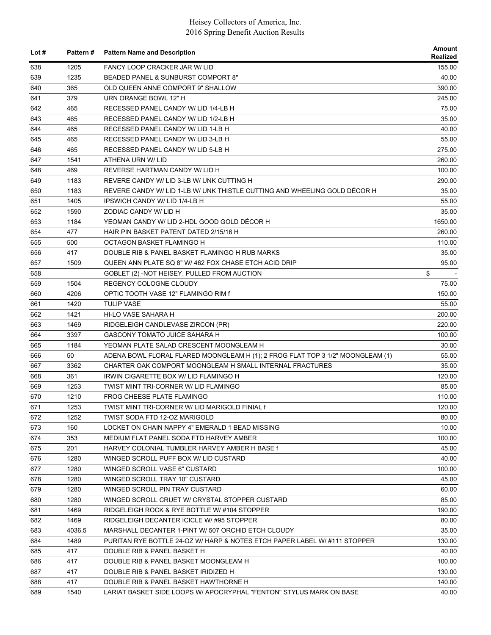| Lot $#$    |        | Pattern # Pattern Name and Description                                         | Amount<br>Realized |
|------------|--------|--------------------------------------------------------------------------------|--------------------|
| 638        | 1205   | <b>FANCY LOOP CRACKER JAR W/ LID</b>                                           | 155.00             |
| 639        | 1235   | BEADED PANEL & SUNBURST COMPORT 8"                                             | 40.00              |
| 640        | 365    | OLD QUEEN ANNE COMPORT 9" SHALLOW                                              | 390.00             |
| 641        | 379    | URN ORANGE BOWL 12" H                                                          | 245.00             |
| 642        | 465    | RECESSED PANEL CANDY W/ LID 1/4-LB H                                           | 75.00              |
| 643        | 465    | RECESSED PANEL CANDY W/ LID 1/2-LB H                                           | 35.00              |
| 644        | 465    | RECESSED PANEL CANDY W/ LID 1-LB H                                             | 40.00              |
| 645        | 465    | RECESSED PANEL CANDY W/ LID 3-LB H                                             | 55.00              |
| 646        | 465    | RECESSED PANEL CANDY W/ LID 5-LB H                                             | 275.00             |
| 647        | 1541   | ATHENA URN W/ LID                                                              | 260.00             |
| 648        | 469    | REVERSE HARTMAN CANDY W/ LID H                                                 | 100.00             |
| 649        | 1183   | REVERE CANDY W/ LID 3-LB W/ UNK CUTTING H                                      | 290.00             |
| 650        | 1183   | REVERE CANDY W/ LID 1-LB W/ UNK THISTLE CUTTING AND WHEELING GOLD DÉCOR H      | 35.00              |
| 651        | 1405   | IPSWICH CANDY W/ LID 1/4-LB H                                                  | 55.00              |
| 652        | 1590   | ZODIAC CANDY W/ LID H                                                          | 35.00              |
| 653        | 1184   | YEOMAN CANDY W/ LID 2-HDL GOOD GOLD DÉCOR H                                    | 1650.00            |
| 654        | 477    | HAIR PIN BASKET PATENT DATED 2/15/16 H                                         | 260.00             |
| 655        | 500    | OCTAGON BASKET FLAMINGO H                                                      | 110.00             |
| 656        | 417    | DOUBLE RIB & PANEL BASKET FLAMINGO H RUB MARKS                                 | 35.00              |
| 657        | 1509   | QUEEN ANN PLATE SQ 8" W/ 462 FOX CHASE ETCH ACID DRIP                          | 95.00              |
| 658        |        | GOBLET (2) -NOT HEISEY, PULLED FROM AUCTION                                    | \$                 |
| 659        | 1504   | REGENCY COLOGNE CLOUDY                                                         | 75.00              |
| 660        | 4206   | OPTIC TOOTH VASE 12" FLAMINGO RIM f                                            | 150.00             |
| 661        | 1420   | <b>TULIP VASE</b>                                                              | 55.00              |
| 662        | 1421   | HI-LO VASE SAHARA H                                                            | 200.00             |
| 663        | 1469   | RIDGELEIGH CANDLEVASE ZIRCON (PR)                                              | 220.00             |
| 664        | 3397   | <b>GASCONY TOMATO JUICE SAHARA H</b>                                           | 100.00             |
| 665        | 1184   | YEOMAN PLATE SALAD CRESCENT MOONGLEAM H                                        | 30.00              |
| 666        | 50     | ADENA BOWL FLORAL FLARED MOONGLEAM H (1); 2 FROG FLAT TOP 3 1/2" MOONGLEAM (1) | 55.00              |
| 667        | 3362   | CHARTER OAK COMPORT MOONGLEAM H SMALL INTERNAL FRACTURES                       | 35.00              |
| 668        | 361    | IRWIN CIGARETTE BOX W/ LID FLAMINGO H                                          | 120.00             |
| 669        | 1253   | TWIST MINT TRI-CORNER W/ LID FLAMINGO                                          | 85.00              |
| 670        | 1210   | FROG CHEESE PLATE FLAMINGO                                                     | 110.00             |
| 671        | 1253   | TWIST MINT TRI-CORNER W/ LID MARIGOLD FINIAL f                                 | 120.00             |
| 672        | 1252   | TWIST SODA FTD 12-OZ MARIGOLD                                                  | 80.00              |
| 673        | 160    | LOCKET ON CHAIN NAPPY 4" EMERALD 1 BEAD MISSING                                | 10.00              |
| 674        | 353    | MEDIUM FLAT PANEL SODA FTD HARVEY AMBER                                        | 100.00             |
| 675        | 201    | HARVEY COLONIAL TUMBLER HARVEY AMBER H BASE f                                  | 45.00              |
| 676        | 1280   | WINGED SCROLL PUFF BOX W/ LID CUSTARD                                          | 40.00              |
| 677        | 1280   | WINGED SCROLL VASE 6" CUSTARD                                                  | 100.00             |
| 678        | 1280   | WINGED SCROLL TRAY 10" CUSTARD                                                 | 45.00              |
| 679        | 1280   | WINGED SCROLL PIN TRAY CUSTARD                                                 | 60.00              |
|            | 1280   | WINGED SCROLL CRUET W/ CRYSTAL STOPPER CUSTARD                                 | 85.00              |
| 680<br>681 | 1469   | RIDGELEIGH ROCK & RYE BOTTLE W/#104 STOPPER                                    | 190.00             |
|            |        |                                                                                |                    |
| 682        | 1469   | RIDGELEIGH DECANTER ICICLE W/#95 STOPPER                                       | 80.00              |
| 683        | 4036.5 | MARSHALL DECANTER 1-PINT W/ 507 ORCHID ETCH CLOUDY                             | 35.00              |
| 684        | 1489   | PURITAN RYE BOTTLE 24-OZ W/ HARP & NOTES ETCH PAPER LABEL W/ #111 STOPPER      | 130.00             |
| 685        | 417    | DOUBLE RIB & PANEL BASKET H                                                    | 40.00              |
| 686        | 417    | DOUBLE RIB & PANEL BASKET MOONGLEAM H                                          | 100.00             |
| 687        | 417    | DOUBLE RIB & PANEL BASKET IRIDIZED H                                           | 130.00             |
| 688        | 417    | DOUBLE RIB & PANEL BASKET HAWTHORNE H                                          | 140.00             |
| 689        | 1540   | LARIAT BASKET SIDE LOOPS W/ APOCRYPHAL "FENTON" STYLUS MARK ON BASE            | 40.00              |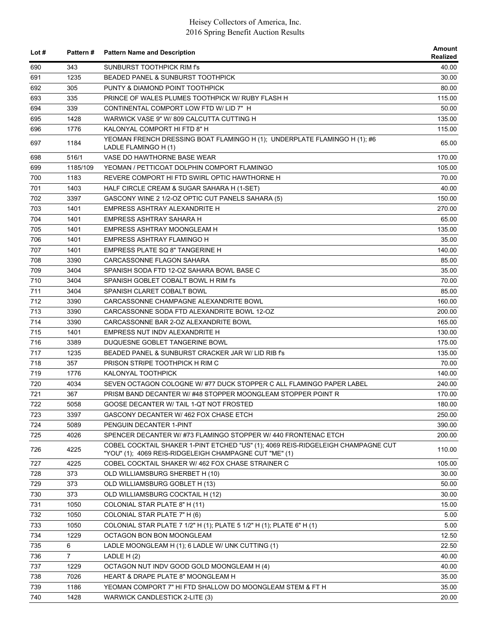| Lot $#$    | Pattern#       | <b>Pattern Name and Description</b>                                                                                                                                                                          | Amount<br>Realized |
|------------|----------------|--------------------------------------------------------------------------------------------------------------------------------------------------------------------------------------------------------------|--------------------|
| 690        | 343            | SUNBURST TOOTHPICK RIM fs                                                                                                                                                                                    | 40.00              |
| 691        | 1235           | <b>BEADED PANEL &amp; SUNBURST TOOTHPICK</b>                                                                                                                                                                 | 30.00              |
| 692        | 305            | PUNTY & DIAMOND POINT TOOTHPICK                                                                                                                                                                              | 80.00              |
| 693        | 335            | PRINCE OF WALES PLUMES TOOTHPICK W/ RUBY FLASH H                                                                                                                                                             | 115.00             |
| 694        | 339            | CONTINENTAL COMPORT LOW FTD W/ LID 7" H                                                                                                                                                                      | 50.00              |
| 695        | 1428           | WARWICK VASE 9" W/ 809 CALCUTTA CUTTING H                                                                                                                                                                    | 135.00             |
| 696        | 1776           | KALONYAL COMPORT HI FTD 8" H                                                                                                                                                                                 | 115.00             |
| 697        | 1184           | YEOMAN FRENCH DRESSING BOAT FLAMINGO H (1); UNDERPLATE FLAMINGO H (1); #6<br>LADLE FLAMINGO H (1)                                                                                                            | 65.00              |
| 698        | 516/1          | VASE DO HAWTHORNE BASE WEAR                                                                                                                                                                                  | 170.00             |
| 699        | 1185/109       | YEOMAN / PETTICOAT DOLPHIN COMPORT FLAMINGO                                                                                                                                                                  | 105.00             |
| 700        | 1183           | REVERE COMPORT HI FTD SWIRL OPTIC HAWTHORNE H                                                                                                                                                                | 70.00              |
| 701        | 1403           | HALF CIRCLE CREAM & SUGAR SAHARA H (1-SET)                                                                                                                                                                   | 40.00              |
| 702        | 3397           | GASCONY WINE 2 1/2-OZ OPTIC CUT PANELS SAHARA (5)                                                                                                                                                            | 150.00             |
| 703        | 1401           | EMPRESS ASHTRAY ALEXANDRITE H                                                                                                                                                                                | 270.00             |
| 704        | 1401           | EMPRESS ASHTRAY SAHARA H                                                                                                                                                                                     | 65.00              |
| 705        | 1401           | EMPRESS ASHTRAY MOONGLEAM H                                                                                                                                                                                  | 135.00             |
| 706        | 1401           | EMPRESS ASHTRAY FLAMINGO H                                                                                                                                                                                   | 35.00              |
| 707        | 1401           | <b>EMPRESS PLATE SQ 8" TANGERINE H</b>                                                                                                                                                                       | 140.00             |
| 708        | 3390           | CARCASSONNE FLAGON SAHARA                                                                                                                                                                                    | 85.00              |
| 709        | 3404           | SPANISH SODA FTD 12-OZ SAHARA BOWL BASE C                                                                                                                                                                    | 35.00              |
| 710        | 3404           | SPANISH GOBLET COBALT BOWL H RIM f's                                                                                                                                                                         | 70.00              |
| 711        | 3404           | SPANISH CLARET COBALT BOWL                                                                                                                                                                                   | 85.00              |
| 712        | 3390           | CARCASSONNE CHAMPAGNE ALEXANDRITE BOWL                                                                                                                                                                       | 160.00             |
| 713        | 3390           | CARCASSONNE SODA FTD ALEXANDRITE BOWL 12-OZ                                                                                                                                                                  | 200.00             |
| 714        | 3390           | CARCASSONNE BAR 2-OZ ALEXANDRITE BOWL                                                                                                                                                                        | 165.00             |
| 715        | 1401           | EMPRESS NUT INDV ALEXANDRITE H                                                                                                                                                                               | 130.00             |
| 716        | 3389           | DUQUESNE GOBLET TANGERINE BOWL                                                                                                                                                                               | 175.00             |
| 717        | 1235           | BEADED PANEL & SUNBURST CRACKER JAR W/ LID RIB f's                                                                                                                                                           | 135.00             |
| 718        | 357            | PRISON STRIPE TOOTHPICK H RIM C                                                                                                                                                                              | 70.00              |
| 719        | 1776           | KALONYAL TOOTHPICK                                                                                                                                                                                           | 140.00             |
| 720        | 4034           | SEVEN OCTAGON COLOGNE W/#77 DUCK STOPPER C ALL FLAMINGO PAPER LABEL                                                                                                                                          | 240.00             |
| 721        | 367            | PRISM BAND DECANTER W/#48 STOPPER MOONGLEAM STOPPER POINT R                                                                                                                                                  | 170.00             |
| 722        | 5058           | GOOSE DECANTER W/ TAIL 1-QT NOT FROSTED                                                                                                                                                                      | 180.00             |
|            |                |                                                                                                                                                                                                              |                    |
| 723        | 3397           | GASCONY DECANTER W/ 462 FOX CHASE ETCH<br>PENGUIN DECANTER 1-PINT                                                                                                                                            | 250.00             |
| 724        | 5089           |                                                                                                                                                                                                              | 390.00             |
| 725<br>726 | 4026<br>4225   | SPENCER DECANTER W/ #73 FLAMINGO STOPPER W/ 440 FRONTENAC ETCH<br>COBEL COCKTAIL SHAKER 1-PINT ETCHED "US" (1); 4069 REIS-RIDGELEIGH CHAMPAGNE CUT<br>"YOU" (1); 4069 REIS-RIDGELEIGH CHAMPAGNE CUT "ME" (1) | 200.00<br>110.00   |
| 727        | 4225           | COBEL COCKTAIL SHAKER W/ 462 FOX CHASE STRAINER C                                                                                                                                                            | 105.00             |
| 728        | 373            | OLD WILLIAMSBURG SHERBET H (10)                                                                                                                                                                              | 30.00              |
| 729        | 373            | OLD WILLIAMSBURG GOBLET H (13)                                                                                                                                                                               | 50.00              |
| 730        | 373            | OLD WILLIAMSBURG COCKTAIL H (12)                                                                                                                                                                             | 30.00              |
| 731        | 1050           | COLONIAL STAR PLATE 8" H (11)                                                                                                                                                                                | 15.00              |
| 732        | 1050           | COLONIAL STAR PLATE 7" H (6)                                                                                                                                                                                 | 5.00               |
|            |                |                                                                                                                                                                                                              |                    |
| 733        | 1050           | COLONIAL STAR PLATE 7 1/2" H (1); PLATE 5 1/2" H (1); PLATE 6" H (1)                                                                                                                                         | 5.00               |
| 734        | 1229           | OCTAGON BON BON MOONGLEAM                                                                                                                                                                                    | 12.50              |
| 735        | 6              | LADLE MOONGLEAM H (1); 6 LADLE W/ UNK CUTTING (1)                                                                                                                                                            | 22.50              |
| 736        | $\overline{7}$ | LADLE H(2)                                                                                                                                                                                                   | 40.00              |
| 737        | 1229           | OCTAGON NUT INDV GOOD GOLD MOONGLEAM H (4)                                                                                                                                                                   | 40.00              |
| 738        | 7026           | HEART & DRAPE PLATE 8" MOONGLEAM H                                                                                                                                                                           | 35.00              |
| 739        | 1186           | YEOMAN COMPORT 7" HI FTD SHALLOW DO MOONGLEAM STEM & FT H                                                                                                                                                    | 35.00              |
| 740        | 1428           | WARWICK CANDLESTICK 2-LITE (3)                                                                                                                                                                               | 20.00              |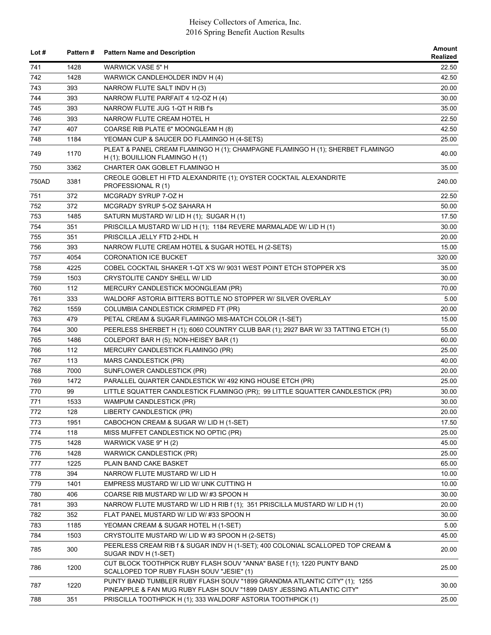| Lot $#$ | <b>Pattern#</b> | <b>Pattern Name and Description</b>                                                                                                                 | Amount<br>Realized |
|---------|-----------------|-----------------------------------------------------------------------------------------------------------------------------------------------------|--------------------|
| 741     | 1428            | <b>WARWICK VASE 5" H</b>                                                                                                                            | 22.50              |
| 742     | 1428            | WARWICK CANDLEHOLDER INDV H (4)                                                                                                                     | 42.50              |
| 743     | 393             | NARROW FLUTE SALT INDV H (3)                                                                                                                        | 20.00              |
| 744     | 393             | NARROW FLUTE PARFAIT 4 1/2-OZ H (4)                                                                                                                 | 30.00              |
| 745     | 393             | NARROW FLUTE JUG 1-QT H RIB f's                                                                                                                     | 35.00              |
| 746     | 393             | NARROW FLUTE CREAM HOTEL H                                                                                                                          | 22.50              |
| 747     | 407             | COARSE RIB PLATE 6" MOONGLEAM H (8)                                                                                                                 | 42.50              |
| 748     | 1184            | YEOMAN CUP & SAUCER DO FLAMINGO H (4-SETS)                                                                                                          | 25.00              |
| 749     | 1170            | PLEAT & PANEL CREAM FLAMINGO H (1); CHAMPAGNE FLAMINGO H (1); SHERBET FLAMINGO<br>H $(1)$ ; BOUILLION FLAMINGO H $(1)$                              | 40.00              |
| 750     | 3362            | CHARTER OAK GOBLET FLAMINGO H                                                                                                                       | 35.00              |
| 750AD   | 3381            | CREOLE GOBLET HI FTD ALEXANDRITE (1); OYSTER COCKTAIL ALEXANDRITE<br>PROFESSIONAL R(1)                                                              | 240.00             |
| 751     | 372             | MCGRADY SYRUP 7-OZ H                                                                                                                                | 22.50              |
| 752     | 372             | MCGRADY SYRUP 5-OZ SAHARA H                                                                                                                         | 50.00              |
| 753     | 1485            | SATURN MUSTARD W/ LID H (1); SUGAR H (1)                                                                                                            | 17.50              |
| 754     | 351             | PRISCILLA MUSTARD W/ LID H (1); 1184 REVERE MARMALADE W/ LID H (1)                                                                                  | 30.00              |
| 755     | 351             | PRISCILLA JELLY FTD 2-HDL H                                                                                                                         | 20.00              |
| 756     | 393             | NARROW FLUTE CREAM HOTEL & SUGAR HOTEL H (2-SETS)                                                                                                   | 15.00              |
| 757     | 4054            | <b>CORONATION ICE BUCKET</b>                                                                                                                        | 320.00             |
| 758     | 4225            | COBEL COCKTAIL SHAKER 1-QT X'S W/ 9031 WEST POINT ETCH STOPPER X'S                                                                                  | 35.00              |
| 759     | 1503            | CRYSTOLITE CANDY SHELL W/ LID                                                                                                                       | 30.00              |
| 760     | 112             | MERCURY CANDLESTICK MOONGLEAM (PR)                                                                                                                  | 70.00              |
| 761     | 333             | WALDORF ASTORIA BITTERS BOTTLE NO STOPPER W/ SILVER OVERLAY                                                                                         | 5.00               |
| 762     | 1559            | COLUMBIA CANDLESTICK CRIMPED FT (PR)                                                                                                                | 20.00              |
| 763     | 479             | PETAL CREAM & SUGAR FLAMINGO MIS-MATCH COLOR (1-SET)                                                                                                | 15.00              |
| 764     | 300             | PEERLESS SHERBET H (1); 6060 COUNTRY CLUB BAR (1); 2927 BAR W/ 33 TATTING ETCH (1)                                                                  | 55.00              |
| 765     | 1486            | COLEPORT BAR H (5); NON-HEISEY BAR (1)                                                                                                              | 60.00              |
| 766     | 112             | MERCURY CANDLESTICK FLAMINGO (PR)                                                                                                                   | 25.00              |
| 767     | 113             | MARS CANDLESTICK (PR)                                                                                                                               | 40.00              |
| 768     | 7000            | SUNFLOWER CANDLESTICK (PR)                                                                                                                          | 20.00              |
| 769     | 1472            | PARALLEL QUARTER CANDLESTICK W/ 492 KING HOUSE ETCH (PR)                                                                                            | 25.00              |
|         | 99              | LITTLE SQUATTER CANDLESTICK FLAMINGO (PR); 99 LITTLE SQUATTER CANDLESTICK (PR)                                                                      |                    |
| 770     |                 |                                                                                                                                                     | 30.00              |
| 771     | 1533            | WAMPUM CANDLESTICK (PR)                                                                                                                             | 30.00              |
| 772     | 128             | LIBERTY CANDLESTICK (PR)                                                                                                                            | 20.00              |
| 773     | 1951            | CABOCHON CREAM & SUGAR W/ LID H (1-SET)                                                                                                             | 17.50              |
| 774     | 118             | MISS MUFFET CANDLESTICK NO OPTIC (PR)                                                                                                               | 25.00              |
| 775     | 1428            | WARWICK VASE 9" H (2)                                                                                                                               | 45.00              |
| 776     | 1428            | WARWICK CANDLESTICK (PR)                                                                                                                            | 25.00              |
| 777     | 1225            | PLAIN BAND CAKE BASKET                                                                                                                              | 65.00              |
| 778     | 394             | NARROW FLUTE MUSTARD W/ LID H                                                                                                                       | 10.00              |
| 779     | 1401            | EMPRESS MUSTARD W/ LID W/ UNK CUTTING H                                                                                                             | 10.00              |
| 780     | 406             | COARSE RIB MUSTARD W/ LID W/#3 SPOON H                                                                                                              | 30.00              |
| 781     | 393             | NARROW FLUTE MUSTARD W/ LID H RIB f (1); 351 PRISCILLA MUSTARD W/ LID H (1)                                                                         | 20.00              |
| 782     | 352             | FLAT PANEL MUSTARD W/ LID W/ #33 SPOON H                                                                                                            | 30.00              |
| 783     | 1185            | YEOMAN CREAM & SUGAR HOTEL H (1-SET)                                                                                                                | 5.00               |
| 784     | 1503            | CRYSTOLITE MUSTARD W/ LID W #3 SPOON H (2-SETS)                                                                                                     | 45.00              |
| 785     | 300             | PEERLESS CREAM RIB f & SUGAR INDV H (1-SET); 400 COLONIAL SCALLOPED TOP CREAM &<br>SUGAR INDV H (1-SET)                                             | 20.00              |
| 786     | 1200            | CUT BLOCK TOOTHPICK RUBY FLASH SOUV "ANNA" BASE f (1); 1220 PUNTY BAND<br>SCALLOPED TOP RUBY FLASH SOUV "JESIE" (1)                                 | 25.00              |
| 787     | 1220            | PUNTY BAND TUMBLER RUBY FLASH SOUV "1899 GRANDMA ATLANTIC CITY" (1); 1255<br>PINEAPPLE & FAN MUG RUBY FLASH SOUV "1899 DAISY JESSING ATLANTIC CITY" | 30.00              |
| 788     | 351             | PRISCILLA TOOTHPICK H (1); 333 WALDORF ASTORIA TOOTHPICK (1)                                                                                        | 25.00              |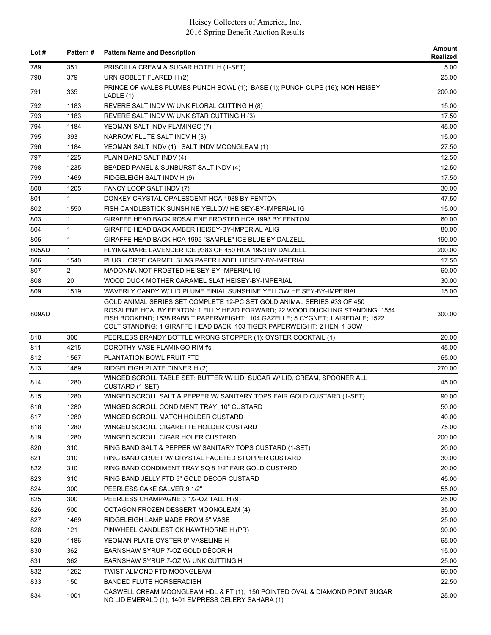| Lot # | Pattern#       | <b>Pattern Name and Description</b>                                                                                                                                                                                                                                                                                   | Amount<br>Realized |
|-------|----------------|-----------------------------------------------------------------------------------------------------------------------------------------------------------------------------------------------------------------------------------------------------------------------------------------------------------------------|--------------------|
| 789   | 351            | PRISCILLA CREAM & SUGAR HOTEL H (1-SET)                                                                                                                                                                                                                                                                               | 5.00               |
| 790   | 379            | URN GOBLET FLARED H (2)                                                                                                                                                                                                                                                                                               | 25.00              |
| 791   | 335            | PRINCE OF WALES PLUMES PUNCH BOWL (1); BASE (1); PUNCH CUPS (16); NON-HEISEY<br>LADLE (1)                                                                                                                                                                                                                             | 200.00             |
| 792   | 1183           | REVERE SALT INDV W/ UNK FLORAL CUTTING H (8)                                                                                                                                                                                                                                                                          | 15.00              |
| 793   | 1183           | REVERE SALT INDV W/ UNK STAR CUTTING H (3)                                                                                                                                                                                                                                                                            | 17.50              |
| 794   | 1184           | YEOMAN SALT INDV FLAMINGO (7)                                                                                                                                                                                                                                                                                         | 45.00              |
| 795   | 393            | NARROW FLUTE SALT INDV H (3)                                                                                                                                                                                                                                                                                          | 15.00              |
| 796   | 1184           | YEOMAN SALT INDV (1); SALT INDV MOONGLEAM (1)                                                                                                                                                                                                                                                                         | 27.50              |
| 797   | 1225           | PLAIN BAND SALT INDV (4)                                                                                                                                                                                                                                                                                              | 12.50              |
| 798   | 1235           | BEADED PANEL & SUNBURST SALT INDV (4)                                                                                                                                                                                                                                                                                 | 12.50              |
| 799   | 1469           | RIDGELEIGH SALT INDV H (9)                                                                                                                                                                                                                                                                                            | 17.50              |
| 800   | 1205           | FANCY LOOP SALT INDV (7)                                                                                                                                                                                                                                                                                              | 30.00              |
| 801   | $\mathbf{1}$   | DONKEY CRYSTAL OPALESCENT HCA 1988 BY FENTON                                                                                                                                                                                                                                                                          | 47.50              |
| 802   | 1550           | FISH CANDLESTICK SUNSHINE YELLOW HEISEY-BY-IMPERIAL IG                                                                                                                                                                                                                                                                | 15.00              |
| 803   | $\mathbf{1}$   | GIRAFFE HEAD BACK ROSALENE FROSTED HCA 1993 BY FENTON                                                                                                                                                                                                                                                                 | 60.00              |
| 804   | $\mathbf{1}$   | GIRAFFE HEAD BACK AMBER HEISEY-BY-IMPERIAL ALIG                                                                                                                                                                                                                                                                       | 80.00              |
| 805   | $\mathbf{1}$   | GIRAFFE HEAD BACK HCA 1995 "SAMPLE" ICE BLUE BY DALZELL                                                                                                                                                                                                                                                               | 190.00             |
| 805AD | $\mathbf{1}$   | FLYING MARE LAVENDER ICE #383 OF 450 HCA 1993 BY DALZELL                                                                                                                                                                                                                                                              | 200.00             |
| 806   | 1540           | PLUG HORSE CARMEL SLAG PAPER LABEL HEISEY-BY-IMPERIAL                                                                                                                                                                                                                                                                 | 17.50              |
| 807   | $\overline{2}$ | MADONNA NOT FROSTED HEISEY-BY-IMPERIAL IG                                                                                                                                                                                                                                                                             | 60.00              |
| 808   | 20             | WOOD DUCK MOTHER CARAMEL SLAT HEISEY-BY-IMPERIAL                                                                                                                                                                                                                                                                      | 30.00              |
| 809   | 1519           | WAVERLY CANDY W/ LID PLUME FINIAL SUNSHINE YELLOW HEISEY-BY-IMPERIAL                                                                                                                                                                                                                                                  | 15.00              |
| 809AD |                | GOLD ANIMAL SERIES SET COMPLETE 12-PC SET GOLD ANIMAL SERIES #33 OF 450<br>ROSALENE HCA BY FENTON: 1 FILLY HEAD FORWARD; 22 WOOD DUCKLING STANDING; 1554<br>FISH BOOKEND; 1538 RABBIT PAPERWEIGHT; 104 GAZELLE; 5 CYGNET; 1 AIREDALE; 1522<br>COLT STANDING: 1 GIRAFFE HEAD BACK: 103 TIGER PAPERWEIGHT: 2 HEN: 1 SOW | 300.00             |
| 810   | 300            | PEERLESS BRANDY BOTTLE WRONG STOPPER (1); OYSTER COCKTAIL (1)                                                                                                                                                                                                                                                         | 20.00              |
| 811   | 4215           | DOROTHY VASE FLAMINGO RIM fs                                                                                                                                                                                                                                                                                          | 45.00              |
| 812   | 1567           | PLANTATION BOWL FRUIT FTD                                                                                                                                                                                                                                                                                             | 65.00              |
| 813   | 1469           | RIDGELEIGH PLATE DINNER H (2)                                                                                                                                                                                                                                                                                         | 270.00             |
| 814   | 1280           | WINGED SCROLL TABLE SET: BUTTER W/ LID; SUGAR W/ LID, CREAM, SPOONER ALL<br>CUSTARD (1-SET)                                                                                                                                                                                                                           | 45.00              |
| 815   | 1280           | WINGED SCROLL SALT & PEPPER W/ SANITARY TOPS FAIR GOLD CUSTARD (1-SET)                                                                                                                                                                                                                                                | 90.00              |
| 816   | 1280           | WINGED SCROLL CONDIMENT TRAY 10" CUSTARD                                                                                                                                                                                                                                                                              | 50.00              |
| 817   | 1280           | WINGED SCROLL MATCH HOLDER CUSTARD                                                                                                                                                                                                                                                                                    | 40.00              |
| 818   | 1280           | WINGED SCROLL CIGARETTE HOLDER CUSTARD                                                                                                                                                                                                                                                                                | 75.00              |
| 819   | 1280           | WINGED SCROLL CIGAR HOLER CUSTARD                                                                                                                                                                                                                                                                                     | 200.00             |
| 820   | 310            | RING BAND SALT & PEPPER W/ SANITARY TOPS CUSTARD (1-SET)                                                                                                                                                                                                                                                              | 20.00              |
| 821   | 310            | RING BAND CRUET W/ CRYSTAL FACETED STOPPER CUSTARD                                                                                                                                                                                                                                                                    | 30.00              |
| 822   | 310            | RING BAND CONDIMENT TRAY SQ 8 1/2" FAIR GOLD CUSTARD                                                                                                                                                                                                                                                                  | 20.00              |
| 823   | 310            | RING BAND JELLY FTD 5" GOLD DECOR CUSTARD                                                                                                                                                                                                                                                                             | 45.00              |
| 824   | 300            | PEERLESS CAKE SALVER 9 1/2"                                                                                                                                                                                                                                                                                           | 55.00              |
| 825   | 300            | PEERLESS CHAMPAGNE 3 1/2-OZ TALL H (9)                                                                                                                                                                                                                                                                                | 25.00              |
| 826   | 500            | OCTAGON FROZEN DESSERT MOONGLEAM (4)                                                                                                                                                                                                                                                                                  | 35.00              |
| 827   | 1469           | RIDGELEIGH LAMP MADE FROM 5" VASE                                                                                                                                                                                                                                                                                     | 25.00              |
| 828   | 121            | PINWHEEL CANDLESTICK HAWTHORNE H (PR)                                                                                                                                                                                                                                                                                 | 90.00              |
| 829   | 1186           | YEOMAN PLATE OYSTER 9" VASELINE H                                                                                                                                                                                                                                                                                     | 65.00              |
| 830   | 362            | EARNSHAW SYRUP 7-OZ GOLD DÉCOR H                                                                                                                                                                                                                                                                                      | 15.00              |
| 831   | 362            | EARNSHAW SYRUP 7-OZ W/ UNK CUTTING H                                                                                                                                                                                                                                                                                  | 25.00              |
| 832   | 1252           | TWIST ALMOND FTD MOONGLEAM                                                                                                                                                                                                                                                                                            | 60.00              |
| 833   | 150            | <b>BANDED FLUTE HORSERADISH</b>                                                                                                                                                                                                                                                                                       | 22.50              |
| 834   | 1001           | CASWELL CREAM MOONGLEAM HDL & FT (1); 150 POINTED OVAL & DIAMOND POINT SUGAR<br>NO LID EMERALD (1); 1401 EMPRESS CELERY SAHARA (1)                                                                                                                                                                                    | 25.00              |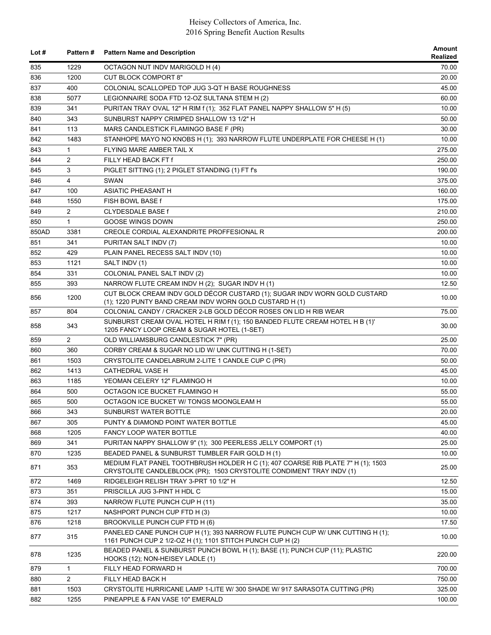| Lot # | Pattern#       | <b>Pattern Name and Description</b>                                                                                                                      | Amount<br>Realized |
|-------|----------------|----------------------------------------------------------------------------------------------------------------------------------------------------------|--------------------|
| 835   | 1229           | OCTAGON NUT INDV MARIGOLD H (4)                                                                                                                          | 70.00              |
| 836   | 1200           | <b>CUT BLOCK COMPORT 8"</b>                                                                                                                              | 20.00              |
| 837   | 400            | COLONIAL SCALLOPED TOP JUG 3-QT H BASE ROUGHNESS                                                                                                         | 45.00              |
| 838   | 5077           | LEGIONNAIRE SODA FTD 12-OZ SULTANA STEM H (2)                                                                                                            | 60.00              |
| 839   | 341            | PURITAN TRAY OVAL 12" H RIM f (1); 352 FLAT PANEL NAPPY SHALLOW 5" H (5)                                                                                 | 10.00              |
| 840   | 343            | SUNBURST NAPPY CRIMPED SHALLOW 13 1/2" H                                                                                                                 | 50.00              |
| 841   | 113            | MARS CANDLESTICK FLAMINGO BASE F (PR)                                                                                                                    | 30.00              |
| 842   | 1483           | STANHOPE MAYO NO KNOBS H (1); 393 NARROW FLUTE UNDERPLATE FOR CHEESE H (1)                                                                               | 10.00              |
| 843   | $\mathbf{1}$   | FLYING MARE AMBER TAIL X                                                                                                                                 | 275.00             |
| 844   | $\overline{2}$ | FILLY HEAD BACK FT f                                                                                                                                     | 250.00             |
| 845   | 3              | PIGLET SITTING (1); 2 PIGLET STANDING (1) FT f's                                                                                                         | 190.00             |
| 846   | $\overline{4}$ | SWAN                                                                                                                                                     | 375.00             |
| 847   | 100            | <b>ASIATIC PHEASANT H</b>                                                                                                                                | 160.00             |
| 848   | 1550           | FISH BOWL BASE f                                                                                                                                         | 175.00             |
| 849   | $\overline{2}$ | <b>CLYDESDALE BASE f</b>                                                                                                                                 | 210.00             |
| 850   | $\mathbf{1}$   | <b>GOOSE WINGS DOWN</b>                                                                                                                                  | 250.00             |
| 850AD | 3381           | CREOLE CORDIAL ALEXANDRITE PROFFESIONAL R                                                                                                                | 200.00             |
| 851   | 341            | PURITAN SALT INDV (7)                                                                                                                                    | 10.00              |
| 852   | 429            | PLAIN PANEL RECESS SALT INDV (10)                                                                                                                        | 10.00              |
| 853   | 1121           | SALT INDV (1)                                                                                                                                            | 10.00              |
| 854   | 331            | COLONIAL PANEL SALT INDV (2)                                                                                                                             | 10.00              |
| 855   | 393            | NARROW FLUTE CREAM INDV H (2); SUGAR INDV H (1)                                                                                                          | 12.50              |
| 856   | 1200           | CUT BLOCK CREAM INDV GOLD DÉCOR CUSTARD (1); SUGAR INDV WORN GOLD CUSTARD<br>(1); 1220 PUNTY BAND CREAM INDV WORN GOLD CUSTARD H (1)                     | 10.00              |
| 857   | 804            | COLONIAL CANDY / CRACKER 2-LB GOLD DÉCOR ROSES ON LID H RIB WEAR                                                                                         | 75.00              |
| 858   | 343            | SUNBURST CREAM OVAL HOTEL H RIM f (1); 150 BANDED FLUTE CREAM HOTEL H B (1)'<br>1205 FANCY LOOP CREAM & SUGAR HOTEL (1-SET)                              | 30.00              |
| 859   | $\overline{2}$ | OLD WILLIAMSBURG CANDLESTICK 7" (PR)                                                                                                                     | 25.00              |
| 860   | 360            | CORBY CREAM & SUGAR NO LID W/ UNK CUTTING H (1-SET)                                                                                                      | 70.00              |
| 861   | 1503           | CRYSTOLITE CANDELABRUM 2-LITE 1 CANDLE CUP C (PR)                                                                                                        | 50.00              |
| 862   | 1413           | CATHEDRAL VASE H                                                                                                                                         | 45.00              |
| 863   | 1185           | YEOMAN CELERY 12" FLAMINGO H                                                                                                                             | 10.00              |
| 864   | 500            | OCTAGON ICE BUCKET FLAMINGO H                                                                                                                            | 55.00              |
| 865   | 500            | OCTAGON ICE BUCKET W/ TONGS MOONGLEAM H                                                                                                                  | 55.00              |
| 866   | 343            | SUNBURST WATER BOTTLE                                                                                                                                    | 20.00              |
| 867   | 305            | PUNTY & DIAMOND POINT WATER BOTTLE                                                                                                                       | 45.00              |
| 868   | 1205           | <b>FANCY LOOP WATER BOTTLE</b>                                                                                                                           | 40.00              |
| 869   | 341            | PURITAN NAPPY SHALLOW 9" (1); 300 PEERLESS JELLY COMPORT (1)                                                                                             | 25.00              |
| 870   | 1235           | BEADED PANEL & SUNBURST TUMBLER FAIR GOLD H (1)                                                                                                          | 10.00              |
| 871   | 353            | MEDIUM FLAT PANEL TOOTHBRUSH HOLDER H C (1); 407 COARSE RIB PLATE 7" H (1); 1503<br>CRYSTOLITE CANDLEBLOCK (PR); 1503 CRYSTOLITE CONDIMENT TRAY INDV (1) | 25.00              |
| 872   | 1469           | RIDGELEIGH RELISH TRAY 3-PRT 10 1/2" H                                                                                                                   | 12.50              |
| 873   | 351            | PRISCILLA JUG 3-PINT H HDL C                                                                                                                             | 15.00              |
| 874   | 393            | NARROW FLUTE PUNCH CUP H (11)                                                                                                                            | 35.00              |
| 875   | 1217           | NASHPORT PUNCH CUP FTD H (3)                                                                                                                             | 10.00              |
| 876   | 1218           | BROOKVILLE PUNCH CUP FTD H (6)                                                                                                                           | 17.50              |
| 877   | 315            | PANELED CANE PUNCH CUP H (1); 393 NARROW FLUTE PUNCH CUP W/ UNK CUTTING H (1);<br>1161 PUNCH CUP 2 1/2-OZ H (1); 1101 STITCH PUNCH CUP H (2)             | 10.00              |
| 878   | 1235           | BEADED PANEL & SUNBURST PUNCH BOWL H (1); BASE (1); PUNCH CUP (11); PLASTIC<br>HOOKS (12); NON-HEISEY LADLE (1)                                          | 220.00             |
| 879   | $\mathbf{1}$   | FILLY HEAD FORWARD H                                                                                                                                     | 700.00             |
| 880   | 2              | FILLY HEAD BACK H                                                                                                                                        | 750.00             |
| 881   | 1503           | CRYSTOLITE HURRICANE LAMP 1-LITE W/ 300 SHADE W/ 917 SARASOTA CUTTING (PR)                                                                               | 325.00             |
| 882   | 1255           | PINEAPPLE & FAN VASE 10" EMERALD                                                                                                                         | 100.00             |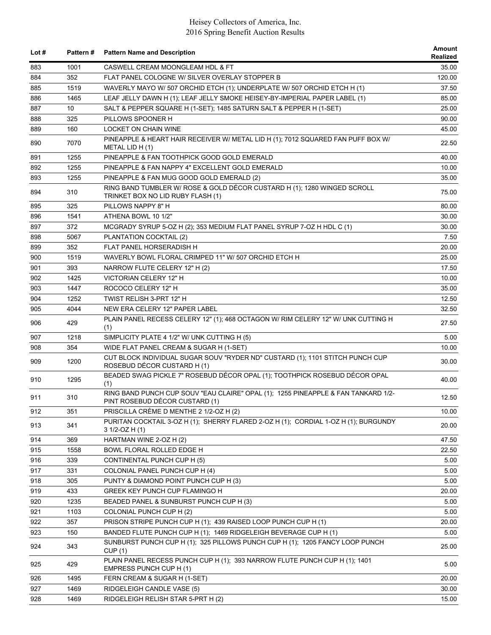| Lot $#$ |      | Pattern # Pattern Name and Description                                                                              | Amount<br>Realized |
|---------|------|---------------------------------------------------------------------------------------------------------------------|--------------------|
| 883     | 1001 | CASWELL CREAM MOONGLEAM HDL & FT                                                                                    | 35.00              |
| 884     | 352  | FLAT PANEL COLOGNE W/ SILVER OVERLAY STOPPER B                                                                      | 120.00             |
| 885     | 1519 | WAVERLY MAYO W/ 507 ORCHID ETCH (1); UNDERPLATE W/ 507 ORCHID ETCH H (1)                                            | 37.50              |
| 886     | 1465 | LEAF JELLY DAWN H (1); LEAF JELLY SMOKE HEISEY-BY-IMPERIAL PAPER LABEL (1)                                          | 85.00              |
| 887     | 10   | SALT & PEPPER SQUARE H (1-SET); 1485 SATURN SALT & PEPPER H (1-SET)                                                 | 25.00              |
| 888     | 325  | PILLOWS SPOONER H                                                                                                   | 90.00              |
| 889     | 160  | LOCKET ON CHAIN WINE                                                                                                | 45.00              |
| 890     | 7070 | PINEAPPLE & HEART HAIR RECEIVER W/ METAL LID H (1); 7012 SQUARED FAN PUFF BOX W/<br>METAL LID H(1)                  | 22.50              |
| 891     | 1255 | PINEAPPLE & FAN TOOTHPICK GOOD GOLD EMERALD                                                                         | 40.00              |
| 892     | 1255 | PINEAPPLE & FAN NAPPY 4" EXCELLENT GOLD EMERALD                                                                     | 10.00              |
| 893     | 1255 | PINEAPPLE & FAN MUG GOOD GOLD EMERALD (2)                                                                           | 35.00              |
| 894     | 310  | RING BAND TUMBLER W/ ROSE & GOLD DÉCOR CUSTARD H (1); 1280 WINGED SCROLL<br>TRINKET BOX NO LID RUBY FLASH (1)       | 75.00              |
| 895     | 325  | PILLOWS NAPPY 8" H                                                                                                  | 80.00              |
| 896     | 1541 | ATHENA BOWL 10 1/2"                                                                                                 | 30.00              |
| 897     | 372  | MCGRADY SYRUP 5-OZ H (2); 353 MEDIUM FLAT PANEL SYRUP 7-OZ H HDL C (1)                                              | 30.00              |
| 898     | 5067 | PLANTATION COCKTAIL (2)                                                                                             | 7.50               |
| 899     | 352  | FLAT PANEL HORSERADISH H                                                                                            | 20.00              |
| 900     | 1519 | WAVERLY BOWL FLORAL CRIMPED 11" W/ 507 ORCHID ETCH H                                                                | 25.00              |
| 901     | 393  | NARROW FLUTE CELERY 12" H (2)                                                                                       | 17.50              |
| 902     | 1425 | VICTORIAN CELERY 12" H                                                                                              | 10.00              |
| 903     | 1447 | ROCOCO CELERY 12" H                                                                                                 | 35.00              |
| 904     | 1252 | TWIST RELISH 3-PRT 12" H                                                                                            | 12.50              |
| 905     | 4044 | NEW ERA CELERY 12" PAPER LABEL                                                                                      | 32.50              |
| 906     | 429  | PLAIN PANEL RECESS CELERY 12" (1); 468 OCTAGON W/ RIM CELERY 12" W/ UNK CUTTING H<br>(1)                            | 27.50              |
| 907     | 1218 | SIMPLICITY PLATE 4 1/2" W/ UNK CUTTING H (5)                                                                        | 5.00               |
| 908     | 354  | WIDE FLAT PANEL CREAM & SUGAR H (1-SET)                                                                             | 10.00              |
| 909     | 1200 | CUT BLOCK INDIVIDUAL SUGAR SOUV "RYDER ND" CUSTARD (1); 1101 STITCH PUNCH CUP<br>ROSEBUD DÉCOR CUSTARD H (1)        | 30.00              |
| 910     | 1295 | BEADED SWAG PICKLE 7" ROSEBUD DÉCOR OPAL (1); TOOTHPICK ROSEBUD DÉCOR OPAL<br>(1)                                   | 40.00              |
| 911     | 310  | RING BAND PUNCH CUP SOUV "EAU CLAIRE" OPAL (1); 1255 PINEAPPLE & FAN TANKARD 1/2-<br>PINT ROSEBUD DÉCOR CUSTARD (1) | 12.50              |
| 912     | 351  | PRISCILLA CRÈME D MENTHE 2 1/2-OZ H (2)                                                                             | 10.00              |
| 913     | 341  | PURITAN COCKTAIL 3-OZ H (1); SHERRY FLARED 2-OZ H (1); CORDIAL 1-OZ H (1); BURGUNDY<br>$31/2-OZH(1)$                | 20.00              |
| 914     | 369  | HARTMAN WINE 2-OZ H (2)                                                                                             | 47.50              |
| 915     | 1558 | BOWL FLORAL ROLLED EDGE H                                                                                           | 22.50              |
| 916     | 339  | CONTINENTAL PUNCH CUP H (5)                                                                                         | 5.00               |
| 917     | 331  | COLONIAL PANEL PUNCH CUP H (4)                                                                                      | 5.00               |
| 918     | 305  | PUNTY & DIAMOND POINT PUNCH CUP H (3)                                                                               | 5.00               |
| 919     | 433  | GREEK KEY PUNCH CUP FLAMINGO H                                                                                      | 20.00              |
| 920     | 1235 | BEADED PANEL & SUNBURST PUNCH CUP H (3)                                                                             | 5.00               |
| 921     | 1103 | COLONIAL PUNCH CUP H (2)                                                                                            | 5.00               |
| 922     | 357  | PRISON STRIPE PUNCH CUP H (1); 439 RAISED LOOP PUNCH CUP H (1)                                                      | 20.00              |
| 923     | 150  | BANDED FLUTE PUNCH CUP H (1); 1469 RIDGELEIGH BEVERAGE CUP H (1)                                                    | 5.00               |
| 924     | 343  | SUNBURST PUNCH CUP H (1); 325 PILLOWS PUNCH CUP H (1); 1205 FANCY LOOP PUNCH<br>CUP(1)                              | 25.00              |
| 925     | 429  | PLAIN PANEL RECESS PUNCH CUP H (1); 393 NARROW FLUTE PUNCH CUP H (1); 1401<br>EMPRESS PUNCH CUP H (1)               | 5.00               |
| 926     | 1495 | FERN CREAM & SUGAR H (1-SET)                                                                                        | 20.00              |
| 927     | 1469 | RIDGELEIGH CANDLE VASE (5)                                                                                          | 30.00              |
| 928     | 1469 | RIDGELEIGH RELISH STAR 5-PRT H (2)                                                                                  | 15.00              |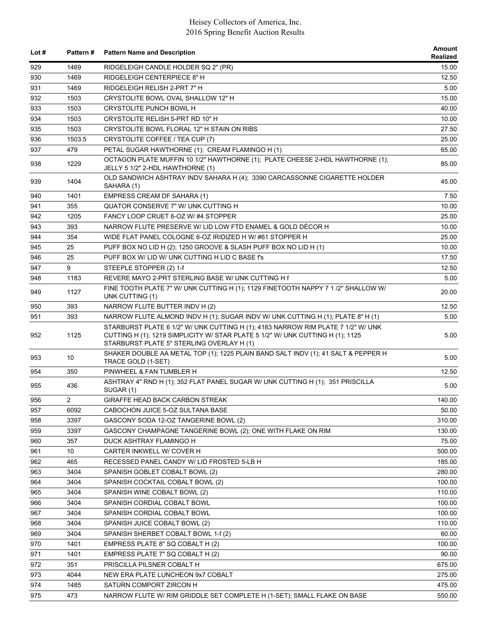| Lot $#$    | <b>Pattern#</b> | <b>Pattern Name and Description</b>                                                                                                                                                                             | <b>Amount</b><br>Realized |
|------------|-----------------|-----------------------------------------------------------------------------------------------------------------------------------------------------------------------------------------------------------------|---------------------------|
| 929        | 1469            | RIDGELEIGH CANDLE HOLDER SQ 2" (PR)                                                                                                                                                                             | 15.00                     |
| 930        | 1469            | RIDGELEIGH CENTERPIECE 8" H                                                                                                                                                                                     | 12.50                     |
| 931        | 1469            | RIDGELEIGH RELISH 2-PRT 7" H                                                                                                                                                                                    | 5.00                      |
| 932        | 1503            | CRYSTOLITE BOWL OVAL SHALLOW 12" H                                                                                                                                                                              | 15.00                     |
| 933        | 1503            | <b>CRYSTOLITE PUNCH BOWL H</b>                                                                                                                                                                                  | 40.00                     |
| 934        | 1503            | CRYSTOLITE RELISH 5-PRT RD 10" H                                                                                                                                                                                | 10.00                     |
| 935        | 1503            | CRYSTOLITE BOWL FLORAL 12" H STAIN ON RIBS                                                                                                                                                                      | 27.50                     |
| 936        | 1503.5          | CRYSTOLITE COFFEE / TEA CUP (7)                                                                                                                                                                                 | 25.00                     |
| 937        | 479             | PETAL SUGAR HAWTHORNE (1); CREAM FLAMINGO H (1)                                                                                                                                                                 | 65.00                     |
| 938        | 1229            | OCTAGON PLATE MUFFIN 10 1/2" HAWTHORNE (1); PLATE CHEESE 2-HDL HAWTHORNE (1);<br>JELLY 5 1/2" 2-HDL HAWTHORNE (1)                                                                                               | 85.00                     |
| 939        | 1404            | OLD SANDWICH ASHTRAY INDV SAHARA H (4); 3390 CARCASSONNE CIGARETTE HOLDER<br>SAHARA (1)                                                                                                                         | 45.00                     |
| 940        | 1401            | EMPRESS CREAM DF SAHARA (1)                                                                                                                                                                                     | 7.50                      |
| 941        | 355             | QUATOR CONSERVE 7" W/ UNK CUTTING H                                                                                                                                                                             | 10.00                     |
| 942        | 1205            | FANCY LOOP CRUET 6-OZ W/#4 STOPPER                                                                                                                                                                              | 25.00                     |
| 943        | 393             | NARROW FLUTE PRESERVE W/ LID LOW FTD ENAMEL & GOLD DÉCOR H                                                                                                                                                      | 10.00                     |
| 944        | 354             | WIDE FLAT PANEL COLOGNE 6-OZ IRIDIZED H W/#61 STOPPER H                                                                                                                                                         | 25.00                     |
| 945        | 25              | PUFF BOX NO LID H (2); 1250 GROOVE & SLASH PUFF BOX NO LID H (1)                                                                                                                                                | 10.00                     |
| 946        | 25              | PUFF BOX W/ LID W/ UNK CUTTING H LID C BASE f's                                                                                                                                                                 | 17.50                     |
| 947        | 9               | STEEPLE STOPPER (2) 1-f                                                                                                                                                                                         | 12.50                     |
| 948        | 1183            | REVERE MAYO 2-PRT STERLING BASE W/ UNK CUTTING H f                                                                                                                                                              | 5.00                      |
| 949        | 1127            | FINE TOOTH PLATE 7" W/ UNK CUTTING H (1); 1129 FINETOOTH NAPPY 7 1 /2" SHALLOW W/<br>UNK CUTTING (1)                                                                                                            | 20.00                     |
| 950        | 393             | NARROW FLUTE BUTTER INDV H (2)                                                                                                                                                                                  | 12.50                     |
| 951        | 393             | NARROW FLUTE ALMOND INDV H (1); SUGAR INDV W/ UNK CUTTING H (1); PLATE 8" H (1)                                                                                                                                 | 5.00                      |
| 952        | 1125            | STARBURST PLATE 6 1/2" W/ UNK CUTTING H (1); 4183 NARROW RIM PLATE 7 1/2" W/ UNK<br>CUTTING H (1); 1219 SIMPLICITY W/ STAR PLATE 5 1/2" W/ UNK CUTTING H (1); 1125<br>STARBURST PLATE 5" STERLING OVERLAY H (1) | 5.00                      |
| 953        | 10              | SHAKER DOUBLE AA METAL TOP (1); 1225 PLAIN BAND SALT INDV (1); 41 SALT & PEPPER H<br>TRACE GOLD (1-SET)                                                                                                         | 5.00                      |
| 954        | 350             | PINWHEEL & FAN TUMBLER H                                                                                                                                                                                        | 12.50                     |
| 955        | 436             | ASHTRAY 4" RND H (1); 352 FLAT PANEL SUGAR W/ UNK CUTTING H (1); 351 PRISCILLA<br>SUGAR (1)                                                                                                                     | 5.00                      |
| 956        | $\overline{2}$  | <b>GIRAFFE HEAD BACK CARBON STREAK</b>                                                                                                                                                                          | 140.00                    |
| 957        | 6092            | CABOCHON JUICE 5-OZ SULTANA BASE                                                                                                                                                                                | 50.00                     |
| 958        | 3397            | GASCONY SODA 12-OZ TANGERINE BOWL (2)                                                                                                                                                                           | 310.00                    |
| 959        | 3397            | GASCONY CHAMPAGNE TANGERINE BOWL (2); ONE WITH FLAKE ON RIM                                                                                                                                                     | 130.00                    |
| 960        | 357             | DUCK ASHTRAY FLAMINGO H                                                                                                                                                                                         | 75.00                     |
| 961        | 10              | CARTER INKWELL W/ COVER H                                                                                                                                                                                       | 500.00                    |
| 962        | 465             | RECESSED PANEL CANDY W/ LID FROSTED 5-LB H                                                                                                                                                                      | 185.00                    |
| 963        | 3404            | SPANISH GOBLET COBALT BOWL (2)                                                                                                                                                                                  | 280.00                    |
| 964        | 3404            | SPANISH COCKTAIL COBALT BOWL (2)                                                                                                                                                                                | 100.00                    |
| 965        | 3404            | SPANISH WINE COBALT BOWL (2)                                                                                                                                                                                    | 110.00                    |
| 966        | 3404            | SPANISH CORDIAL COBALT BOWL                                                                                                                                                                                     | 100.00                    |
| 967        | 3404            | SPANISH CORDIAL COBALT BOWL                                                                                                                                                                                     | 100.00                    |
| 968        | 3404            | SPANISH JUICE COBALT BOWL (2)                                                                                                                                                                                   | 110.00                    |
|            | 3404            |                                                                                                                                                                                                                 |                           |
| 969        |                 | SPANISH SHERBET COBALT BOWL 1-f (2)                                                                                                                                                                             | 60.00                     |
| 970<br>971 | 1401<br>1401    | EMPRESS PLATE 8" SQ COBALT H (2)<br>EMPRESS PLATE 7" SQ COBALT H (2)                                                                                                                                            | 100.00<br>90.00           |
|            |                 |                                                                                                                                                                                                                 |                           |
| 972        | 351             | PRISCILLA PILSNER COBALT H                                                                                                                                                                                      | 675.00                    |
| 973        | 4044            | NEW ERA PLATE LUNCHEON 9x7 COBALT                                                                                                                                                                               | 275.00                    |
| 974        | 1485            | SATURN COMPORT ZIRCON H                                                                                                                                                                                         | 475.00                    |
| 975        | 473             | NARROW FLUTE W/ RIM GRIDDLE SET COMPLETE H (1-SET); SMALL FLAKE ON BASE                                                                                                                                         | 550.00                    |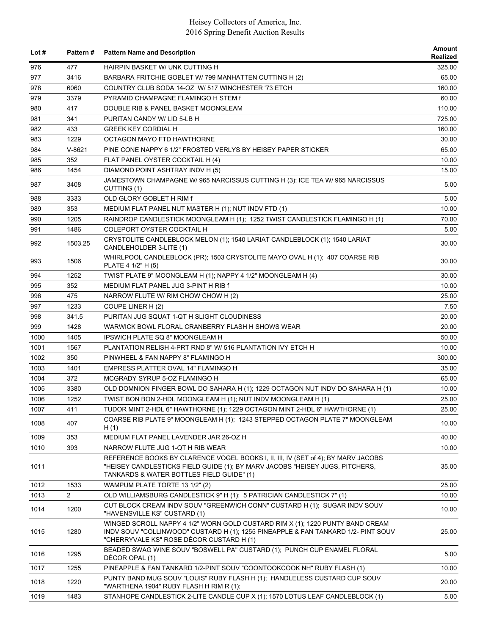| Lot $#$ |                | Pattern # Pattern Name and Description                                                                                                                                                                         | Amount<br>Realized |
|---------|----------------|----------------------------------------------------------------------------------------------------------------------------------------------------------------------------------------------------------------|--------------------|
| 976     | 477            | HAIRPIN BASKET W/ UNK CUTTING H                                                                                                                                                                                | 325.00             |
| 977     | 3416           | BARBARA FRITCHIE GOBLET W/ 799 MANHATTEN CUTTING H (2)                                                                                                                                                         | 65.00              |
| 978     | 6060           | COUNTRY CLUB SODA 14-OZ W/ 517 WINCHESTER '73 ETCH                                                                                                                                                             | 160.00             |
| 979     | 3379           | PYRAMID CHAMPAGNE FLAMINGO H STEM f                                                                                                                                                                            | 60.00              |
| 980     | 417            | DOUBLE RIB & PANEL BASKET MOONGLEAM                                                                                                                                                                            | 110.00             |
| 981     | 341            | PURITAN CANDY W/ LID 5-LB H                                                                                                                                                                                    | 725.00             |
| 982     | 433            | <b>GREEK KEY CORDIAL H</b>                                                                                                                                                                                     | 160.00             |
| 983     | 1229           | OCTAGON MAYO FTD HAWTHORNE                                                                                                                                                                                     | 30.00              |
| 984     | $V-8621$       | PINE CONE NAPPY 6 1/2" FROSTED VERLYS BY HEISEY PAPER STICKER                                                                                                                                                  | 65.00              |
| 985     | 352            | FLAT PANEL OYSTER COCKTAIL H (4)                                                                                                                                                                               | 10.00              |
| 986     | 1454           | DIAMOND POINT ASHTRAY INDV H (5)                                                                                                                                                                               | 15.00              |
| 987     | 3408           | JAMESTOWN CHAMPAGNE W/ 965 NARCISSUS CUTTING H (3); ICE TEA W/ 965 NARCISSUS<br>CUTTING (1)                                                                                                                    | 5.00               |
| 988     | 3333           | OLD GLORY GOBLET H RIM f                                                                                                                                                                                       | 5.00               |
| 989     | 353            | MEDIUM FLAT PANEL NUT MASTER H (1); NUT INDV FTD (1)                                                                                                                                                           | 10.00              |
| 990     | 1205           | RAINDROP CANDLESTICK MOONGLEAM H (1); 1252 TWIST CANDLESTICK FLAMINGO H (1)                                                                                                                                    | 70.00              |
| 991     | 1486           | COLEPORT OYSTER COCKTAIL H                                                                                                                                                                                     | 5.00               |
| 992     | 1503.25        | CRYSTOLITE CANDLEBLOCK MELON (1); 1540 LARIAT CANDLEBLOCK (1); 1540 LARIAT<br>CANDLEHOLDER 3-LITE (1)                                                                                                          | 30.00              |
| 993     | 1506           | WHIRLPOOL CANDLEBLOCK (PR); 1503 CRYSTOLITE MAYO OVAL H (1); 407 COARSE RIB<br>PLATE 4 1/2" H (5)                                                                                                              | 30.00              |
| 994     | 1252           | TWIST PLATE 9" MOONGLEAM H (1); NAPPY 4 1/2" MOONGLEAM H (4)                                                                                                                                                   | 30.00              |
| 995     | 352            | MEDIUM FLAT PANEL JUG 3-PINT H RIB f                                                                                                                                                                           | 10.00              |
| 996     | 475            | NARROW FLUTE W/ RIM CHOW CHOW H (2)                                                                                                                                                                            | 25.00              |
| 997     | 1233           | COUPE LINER H (2)                                                                                                                                                                                              | 7.50               |
| 998     | 341.5          | PURITAN JUG SQUAT 1-QT H SLIGHT CLOUDINESS                                                                                                                                                                     | 20.00              |
| 999     | 1428           | WARWICK BOWL FLORAL CRANBERRY FLASH H SHOWS WEAR                                                                                                                                                               | 20.00              |
| 1000    | 1405           | <b>IPSWICH PLATE SQ 8" MOONGLEAM H</b>                                                                                                                                                                         | 50.00              |
| 1001    | 1567           | PLANTATION RELISH 4-PRT RND 8" W/ 516 PLANTATION IVY ETCH H                                                                                                                                                    | 10.00              |
| 1002    | 350            | PINWHEEL & FAN NAPPY 8" FLAMINGO H                                                                                                                                                                             | 300.00             |
| 1003    | 1401           | EMPRESS PLATTER OVAL 14" FLAMINGO H                                                                                                                                                                            | 35.00              |
| 1004    | 372            | MCGRADY SYRUP 5-OZ FLAMINGO H                                                                                                                                                                                  | 65.00              |
| 1005    | 3380           | OLD DOMNION FINGER BOWL DO SAHARA H (1); 1229 OCTAGON NUT INDV DO SAHARA H (1)                                                                                                                                 | 10.00              |
| 1006    | 1252           | TWIST BON BON 2-HDL MOONGLEAM H (1); NUT INDV MOONGLEAM H (1)                                                                                                                                                  | 25.00              |
| 1007    | 411            | TUDOR MINT 2-HDL 6" HAWTHORNE (1); 1229 OCTAGON MINT 2-HDL 6" HAWTHORNE (1)                                                                                                                                    | 25.00              |
|         |                | COARSE RIB PLATE 9" MOONGLEAM H (1); 1243 STEPPED OCTAGON PLATE 7" MOONGLEAM                                                                                                                                   |                    |
| 1008    | 407            | H(1)                                                                                                                                                                                                           | 10.00              |
| 1009    | 353            | MEDIUM FLAT PANEL LAVENDER JAR 26-OZ H                                                                                                                                                                         | 40.00              |
| 1010    | 393            | NARROW FLUTE JUG 1-QT H RIB WEAR                                                                                                                                                                               | 10.00              |
| 1011    |                | REFERENCE BOOKS BY CLARENCE VOGEL BOOKS I, II, III, IV (SET of 4); BY MARV JACOBS<br>"HEISEY CANDLESTICKS FIELD GUIDE (1); BY MARV JACOBS "HEISEY JUGS, PITCHERS,<br>TANKARDS & WATER BOTTLES FIELD GUIDE" (1) | 35.00              |
| 1012    | 1533           | WAMPUM PLATE TORTE 13 1/2" (2)                                                                                                                                                                                 | 25.00              |
| 1013    | $\overline{2}$ | OLD WILLIAMSBURG CANDLESTICK 9" H (1); 5 PATRICIAN CANDLESTICK 7" (1)                                                                                                                                          | 10.00              |
| 1014    | 1200           | CUT BLOCK CREAM INDV SOUV "GREENWICH CONN" CUSTARD H (1); SUGAR INDV SOUV<br>"HAVENSVILLE KS" CUSTARD (1)                                                                                                      | 10.00              |
| 1015    | 1280           | WINGED SCROLL NAPPY 4 1/2" WORN GOLD CUSTARD RIM X (1); 1220 PUNTY BAND CREAM<br>INDV SOUV "COLLINWOOD" CUSTARD H (1); 1255 PINEAPPLE & FAN TANKARD 1/2- PINT SOUV<br>"CHERRYVALE KS" ROSE DÉCOR CUSTARD H (1) | 25.00              |
| 1016    | 1295           | BEADED SWAG WINE SOUV "BOSWELL PA" CUSTARD (1); PUNCH CUP ENAMEL FLORAL<br>DÉCOR OPAL (1)                                                                                                                      | 5.00               |
| 1017    | 1255           | PINEAPPLE & FAN TANKARD 1/2-PINT SOUV "COONTOOKCOOK NH" RUBY FLASH (1)                                                                                                                                         | 10.00              |
| 1018    | 1220           | PUNTY BAND MUG SOUV "LOUIS" RUBY FLASH H (1); HANDLELESS CUSTARD CUP SOUV<br>"WARTHENA 1904" RUBY FLASH H RIM R (1);                                                                                           | 20.00              |
| 1019    | 1483           | STANHOPE CANDLESTICK 2-LITE CANDLE CUP X (1); 1570 LOTUS LEAF CANDLEBLOCK (1)                                                                                                                                  | 5.00               |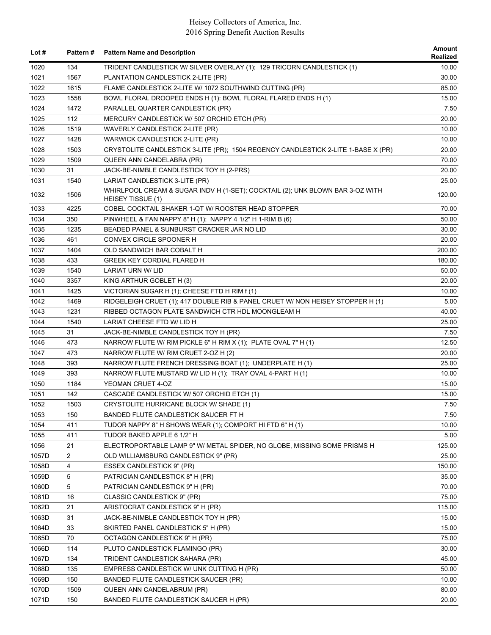| Lot $#$        | <b>Pattern#</b> | <b>Pattern Name and Description</b>                                                                | Amount<br>Realized |
|----------------|-----------------|----------------------------------------------------------------------------------------------------|--------------------|
| 1020           | 134             | TRIDENT CANDLESTICK W/ SILVER OVERLAY (1); 129 TRICORN CANDLESTICK (1)                             | 10.00              |
| 1021           | 1567            | PLANTATION CANDLESTICK 2-LITE (PR)                                                                 | 30.00              |
| 1022           | 1615            | FLAME CANDLESTICK 2-LITE W/ 1072 SOUTHWIND CUTTING (PR)                                            | 85.00              |
| 1023           | 1558            | BOWL FLORAL DROOPED ENDS H (1): BOWL FLORAL FLARED ENDS H (1)                                      | 15.00              |
| 1024           | 1472            | PARALLEL QUARTER CANDLESTICK (PR)                                                                  | 7.50               |
| 1025           | 112             | MERCURY CANDLESTICK W/ 507 ORCHID ETCH (PR)                                                        | 20.00              |
| 1026           | 1519            | WAVERLY CANDLESTICK 2-LITE (PR)                                                                    | 10.00              |
| 1027           | 1428            | WARWICK CANDLESTICK 2-LITE (PR)                                                                    | 10.00              |
| 1028           | 1503            | CRYSTOLITE CANDLESTICK 3-LITE (PR); 1504 REGENCY CANDLESTICK 2-LITE 1-BASE X (PR)                  | 20.00              |
| 1029           | 1509            | QUEEN ANN CANDELABRA (PR)                                                                          | 70.00              |
| 1030           | 31              | JACK-BE-NIMBLE CANDLESTICK TOY H (2-PRS)                                                           | 20.00              |
| 1031           | 1540            | LARIAT CANDLESTICK 3-LITE (PR)                                                                     | 25.00              |
| 1032           | 1506            | WHIRLPOOL CREAM & SUGAR INDV H (1-SET); COCKTAIL (2); UNK BLOWN BAR 3-OZ WITH<br>HEISEY TISSUE (1) | 120.00             |
| 1033           | 4225            | COBEL COCKTAIL SHAKER 1-QT W/ ROOSTER HEAD STOPPER                                                 | 70.00              |
| 1034           | 350             | PINWHEEL & FAN NAPPY 8" H (1); NAPPY 4 1/2" H 1-RIM B (6)                                          | 50.00              |
| 1035           | 1235            | BEADED PANEL & SUNBURST CRACKER JAR NO LID                                                         | 30.00              |
| 1036           | 461             | CONVEX CIRCLE SPOONER H                                                                            | 20.00              |
| 1037           | 1404            | OLD SANDWICH BAR COBALT H                                                                          | 200.00             |
| 1038           | 433             | <b>GREEK KEY CORDIAL FLARED H</b>                                                                  | 180.00             |
| 1039           | 1540            | LARIAT URN W/ LID                                                                                  | 50.00              |
| 1040           | 3357            | KING ARTHUR GOBLET H (3)                                                                           | 20.00              |
| 1041           | 1425            | VICTORIAN SUGAR H (1); CHEESE FTD H RIM f (1)                                                      | 10.00              |
| 1042           | 1469            | RIDGELEIGH CRUET (1); 417 DOUBLE RIB & PANEL CRUET W/ NON HEISEY STOPPER H (1)                     | 5.00               |
| 1043           | 1231            | RIBBED OCTAGON PLATE SANDWICH CTR HDL MOONGLEAM H                                                  | 40.00              |
| 1044           | 1540            | LARIAT CHEESE FTD W/ LID H                                                                         | 25.00              |
| 1045           | 31              | JACK-BE-NIMBLE CANDLESTICK TOY H (PR)                                                              | 7.50               |
| 1046           | 473             | NARROW FLUTE W/ RIM PICKLE 6" H RIM X (1); PLATE OVAL 7" H (1)                                     | 12.50              |
| 1047           | 473             | NARROW FLUTE W/ RIM CRUET 2-OZ H (2)                                                               | 20.00              |
| 1048           | 393             | NARROW FLUTE FRENCH DRESSING BOAT (1); UNDERPLATE H (1)                                            | 25.00              |
| 1049           | 393             | NARROW FLUTE MUSTARD W/ LID H (1); TRAY OVAL 4-PART H (1)                                          | 10.00              |
| 1050           | 1184            | YEOMAN CRUET 4-OZ                                                                                  | 15.00              |
| 1051           | 142             | CASCADE CANDLESTICK W/ 507 ORCHID ETCH (1)                                                         | 15.00              |
| 1052           | 1503            | CRYSTOLITE HURRICANE BLOCK W/ SHADE (1)                                                            | 7.50               |
| 1053           | 150             | BANDED FLUTE CANDLESTICK SAUCER FT H                                                               | 7.50               |
| 1054           | 411             | TUDOR NAPPY 8" H SHOWS WEAR (1); COMPORT HI FTD 6" H (1)                                           | 10.00              |
| 1055           | 411             | TUDOR BAKED APPLE 6 1/2" H                                                                         | 5.00               |
| 1056           | 21              | ELECTROPORTABLE LAMP 9" W/ METAL SPIDER, NO GLOBE, MISSING SOME PRISMS H                           | 125.00             |
| 1057D          | $\overline{2}$  | OLD WILLIAMSBURG CANDLESTICK 9" (PR)                                                               | 25.00              |
| 1058D          | 4               | ESSEX CANDLESTICK 9" (PR)                                                                          | 150.00             |
| 1059D          | 5               | PATRICIAN CANDLESTICK 8" H (PR)                                                                    | 35.00              |
| 1060D          | 5               | PATRICIAN CANDLESTICK 9" H (PR)                                                                    | 70.00              |
| 1061D          | 16              | CLASSIC CANDLESTICK 9" (PR)                                                                        | 75.00              |
| 1062D          | 21              | ARISTOCRAT CANDLESTICK 9" H (PR)                                                                   | 115.00             |
| 1063D          | 31              | JACK-BE-NIMBLE CANDLESTICK TOY H (PR)                                                              | 15.00              |
| 1064D          | 33              | SKIRTED PANEL CANDLESTICK 5" H (PR)                                                                |                    |
| 1065D          | 70              | OCTAGON CANDLESTICK 9" H (PR)                                                                      | 15.00<br>75.00     |
|                | 114             |                                                                                                    |                    |
| 1066D<br>1067D | 134             | PLUTO CANDLESTICK FLAMINGO (PR)                                                                    | 30.00<br>45.00     |
|                |                 | TRIDENT CANDLESTICK SAHARA (PR)                                                                    |                    |
| 1068D          | 135             | EMPRESS CANDLESTICK W/ UNK CUTTING H (PR)                                                          | 50.00              |
| 1069D          | 150             | BANDED FLUTE CANDLESTICK SAUCER (PR)                                                               | 10.00              |
| 1070D          | 1509            | QUEEN ANN CANDELABRUM (PR)                                                                         | 80.00              |
| 1071D          | 150             | BANDED FLUTE CANDLESTICK SAUCER H (PR)                                                             | 20.00              |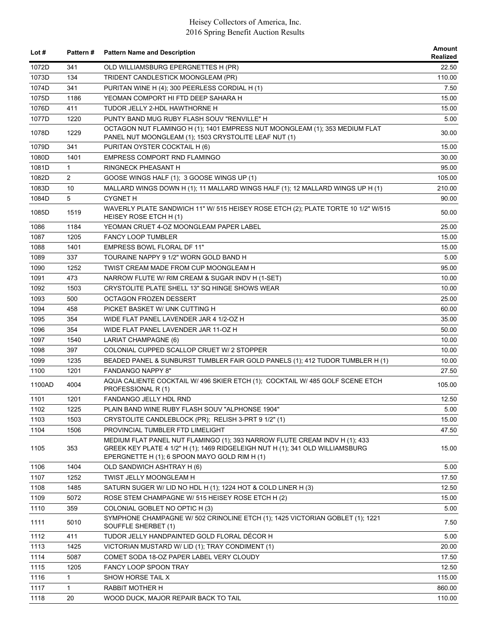| Lot #  | <b>Pattern#</b> | <b>Pattern Name and Description</b>                                                                                                                         | Amount<br>Realized |
|--------|-----------------|-------------------------------------------------------------------------------------------------------------------------------------------------------------|--------------------|
| 1072D  | 341             | OLD WILLIAMSBURG EPERGNETTES H (PR)                                                                                                                         | 22.50              |
| 1073D  | 134             | TRIDENT CANDLESTICK MOONGLEAM (PR)                                                                                                                          | 110.00             |
| 1074D  | 341             | PURITAN WINE H (4); 300 PEERLESS CORDIAL H (1)                                                                                                              | 7.50               |
| 1075D  | 1186            | YEOMAN COMPORT HI FTD DEEP SAHARA H                                                                                                                         | 15.00              |
| 1076D  | 411             | TUDOR JELLY 2-HDL HAWTHORNE H                                                                                                                               | 15.00              |
| 1077D  | 1220            | PUNTY BAND MUG RUBY FLASH SOUV "RENVILLE" H                                                                                                                 | 5.00               |
| 1078D  | 1229            | OCTAGON NUT FLAMINGO H (1); 1401 EMPRESS NUT MOONGLEAM (1); 353 MEDIUM FLAT<br>PANEL NUT MOONGLEAM (1); 1503 CRYSTOLITE LEAF NUT (1)                        | 30.00              |
| 1079D  | 341             | PURITAN OYSTER COCKTAIL H (6)                                                                                                                               | 15.00              |
| 1080D  | 1401            | <b>EMPRESS COMPORT RND FLAMINGO</b>                                                                                                                         | 30.00              |
| 1081D  | $\mathbf{1}$    | RINGNECK PHEASANT H                                                                                                                                         | 95.00              |
| 1082D  | 2               | GOOSE WINGS HALF (1); 3 GOOSE WINGS UP (1)                                                                                                                  | 105.00             |
| 1083D  | 10              | MALLARD WINGS DOWN H (1); 11 MALLARD WINGS HALF (1); 12 MALLARD WINGS UP H (1)                                                                              | 210.00             |
| 1084D  | 5               | <b>CYGNET H</b>                                                                                                                                             | 90.00              |
| 1085D  | 1519            | WAVERLY PLATE SANDWICH 11" W/ 515 HEISEY ROSE ETCH (2); PLATE TORTE 10 1/2" W/515<br>HEISEY ROSE ETCH H (1)                                                 | 50.00              |
| 1086   | 1184            | YEOMAN CRUET 4-OZ MOONGLEAM PAPER LABEL                                                                                                                     | 25.00              |
| 1087   | 1205            | <b>FANCY LOOP TUMBLER</b>                                                                                                                                   | 15.00              |
| 1088   | 1401            | EMPRESS BOWL FLORAL DF 11"                                                                                                                                  | 15.00              |
| 1089   | 337             | TOURAINE NAPPY 9 1/2" WORN GOLD BAND H                                                                                                                      | 5.00               |
| 1090   | 1252            | TWIST CREAM MADE FROM CUP MOONGLEAM H                                                                                                                       | 95.00              |
| 1091   | 473             | NARROW FLUTE W/ RIM CREAM & SUGAR INDV H (1-SET)                                                                                                            | 10.00              |
| 1092   | 1503            | CRYSTOLITE PLATE SHELL 13" SQ HINGE SHOWS WEAR                                                                                                              | 10.00              |
| 1093   | 500             | OCTAGON FROZEN DESSERT                                                                                                                                      | 25.00              |
| 1094   | 458             | PICKET BASKET W/ UNK CUTTING H                                                                                                                              | 60.00              |
| 1095   | 354             | WIDE FLAT PANEL LAVENDER JAR 4 1/2-OZ H                                                                                                                     | 35.00              |
| 1096   | 354             | WIDE FLAT PANEL LAVENDER JAR 11-OZ H                                                                                                                        | 50.00              |
| 1097   | 1540            | LARIAT CHAMPAGNE (6)                                                                                                                                        | 10.00              |
| 1098   | 397             | COLONIAL CUPPED SCALLOP CRUET W/ 2 STOPPER                                                                                                                  | 10.00              |
| 1099   | 1235            | BEADED PANEL & SUNBURST TUMBLER FAIR GOLD PANELS (1); 412 TUDOR TUMBLER H (1)                                                                               | 10.00              |
| 1100   | 1201            | <b>FANDANGO NAPPY 8"</b>                                                                                                                                    |                    |
| 1100AD | 4004            | AQUA CALIENTE COCKTAIL W/ 496 SKIER ETCH (1); COCKTAIL W/ 485 GOLF SCENE ETCH<br>PROFESSIONAL R(1)                                                          | 27.50<br>105.00    |
| 1101   | 1201            | FANDANGO JELLY HDL RND                                                                                                                                      | 12.50              |
| 1102   | 1225            | PLAIN BAND WINE RUBY FLASH SOUV "ALPHONSE 1904"                                                                                                             | 5.00               |
| 1103   | 1503            | CRYSTOLITE CANDLEBLOCK (PR); RELISH 3-PRT 9 1/2" (1)                                                                                                        | 15.00              |
| 1104   | 1506            | PROVINCIAL TUMBLER FTD LIMELIGHT                                                                                                                            | 47.50              |
| 1105   | 353             | MEDIUM FLAT PANEL NUT FLAMINGO (1); 393 NARROW FLUTE CREAM INDV H (1); 433<br>GREEK KEY PLATE 4 1/2" H (1); 1469 RIDGELEIGH NUT H (1); 341 OLD WILLIAMSBURG | 15.00              |
|        |                 | EPERGNETTE H (1); 6 SPOON MAYO GOLD RIM H (1)                                                                                                               |                    |
| 1106   | 1404            | OLD SANDWICH ASHTRAY H (6)                                                                                                                                  | 5.00               |
| 1107   | 1252            | TWIST JELLY MOONGLEAM H                                                                                                                                     | 17.50              |
| 1108   | 1485            | SATURN SUGER W/ LID NO HDL H (1); 1224 HOT & COLD LINER H (3)                                                                                               | 12.50              |
| 1109   | 5072            | ROSE STEM CHAMPAGNE W/ 515 HEISEY ROSE ETCH H (2)                                                                                                           | 15.00              |
| 1110   | 359             | COLONIAL GOBLET NO OPTIC H (3)                                                                                                                              | 5.00               |
| 1111   | 5010            | SYMPHONE CHAMPAGNE W/ 502 CRINOLINE ETCH (1); 1425 VICTORIAN GOBLET (1); 1221<br>SOUFFLE SHERBET (1)                                                        | 7.50               |
| 1112   | 411             | TUDOR JELLY HANDPAINTED GOLD FLORAL DÉCOR H                                                                                                                 | 5.00               |
| 1113   | 1425            | VICTORIAN MUSTARD W/ LID (1); TRAY CONDIMENT (1)                                                                                                            | 20.00              |
| 1114   | 5087            | COMET SODA 18-OZ PAPER LABEL VERY CLOUDY                                                                                                                    | 17.50              |
| 1115   | 1205            | FANCY LOOP SPOON TRAY                                                                                                                                       | 12.50              |
| 1116   | $\mathbf{1}$    | SHOW HORSE TAIL X                                                                                                                                           | 115.00             |
| 1117   | $\mathbf{1}$    | RABBIT MOTHER H                                                                                                                                             | 860.00             |
| 1118   | 20              | WOOD DUCK, MAJOR REPAIR BACK TO TAIL                                                                                                                        | 110.00             |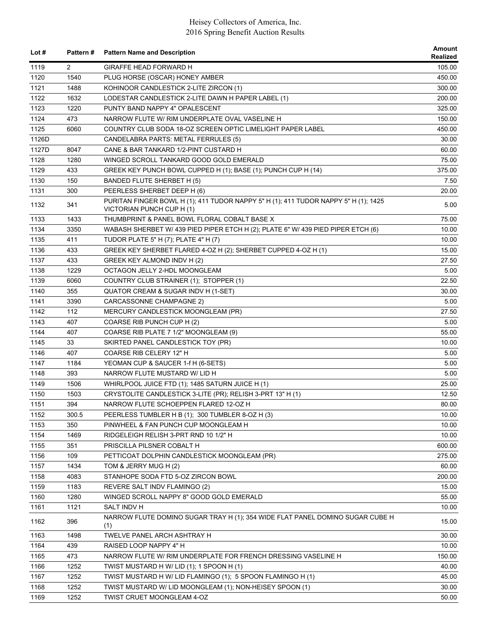| Lot $#$ | Pattern#       | <b>Pattern Name and Description</b>                                                                              | Amount<br>Realized |
|---------|----------------|------------------------------------------------------------------------------------------------------------------|--------------------|
| 1119    | $\overline{2}$ | <b>GIRAFFE HEAD FORWARD H</b>                                                                                    | 105.00             |
| 1120    | 1540           | PLUG HORSE (OSCAR) HONEY AMBER                                                                                   | 450.00             |
| 1121    | 1488           | KOHINOOR CANDLESTICK 2-LITE ZIRCON (1)                                                                           | 300.00             |
| 1122    | 1632           | LODESTAR CANDLESTICK 2-LITE DAWN H PAPER LABEL (1)                                                               | 200.00             |
| 1123    | 1220           | PUNTY BAND NAPPY 4" OPALESCENT                                                                                   | 325.00             |
| 1124    | 473            | NARROW FLUTE W/ RIM UNDERPLATE OVAL VASELINE H                                                                   | 150.00             |
| 1125    | 6060           | COUNTRY CLUB SODA 18-OZ SCREEN OPTIC LIMELIGHT PAPER LABEL                                                       | 450.00             |
| 1126D   |                | CANDELABRA PARTS: METAL FERRULES (5)                                                                             | 30.00              |
| 1127D   | 8047           | CANE & BAR TANKARD 1/2-PINT CUSTARD H                                                                            | 60.00              |
| 1128    | 1280           | WINGED SCROLL TANKARD GOOD GOLD EMERALD                                                                          | 75.00              |
| 1129    | 433            | GREEK KEY PUNCH BOWL CUPPED H (1); BASE (1); PUNCH CUP H (14)                                                    | 375.00             |
| 1130    | 150            | BANDED FLUTE SHERBET H (5)                                                                                       | 7.50               |
| 1131    | 300            | PEERLESS SHERBET DEEP H (6)                                                                                      | 20.00              |
| 1132    | 341            | PURITAN FINGER BOWL H (1); 411 TUDOR NAPPY 5" H (1); 411 TUDOR NAPPY 5" H (1); 1425<br>VICTORIAN PUNCH CUP H (1) | 5.00               |
| 1133    | 1433           | THUMBPRINT & PANEL BOWL FLORAL COBALT BASE X                                                                     | 75.00              |
| 1134    | 3350           | WABASH SHERBET W/ 439 PIED PIPER ETCH H (2); PLATE 6" W/ 439 PIED PIPER ETCH (6)                                 | 10.00              |
| 1135    | 411            | TUDOR PLATE 5" H (7); PLATE 4" H (7)                                                                             | 10.00              |
| 1136    | 433            | GREEK KEY SHERBET FLARED 4-OZ H (2); SHERBET CUPPED 4-OZ H (1)                                                   | 15.00              |
| 1137    | 433            | GREEK KEY ALMOND INDV H (2)                                                                                      | 27.50              |
| 1138    | 1229           | OCTAGON JELLY 2-HDL MOONGLEAM                                                                                    | 5.00               |
| 1139    | 6060           | COUNTRY CLUB STRAINER (1); STOPPER (1)                                                                           | 22.50              |
| 1140    | 355            | QUATOR CREAM & SUGAR INDV H (1-SET)                                                                              | 30.00              |
| 1141    | 3390           | CARCASSONNE CHAMPAGNE 2)                                                                                         | 5.00               |
| 1142    | 112            | MERCURY CANDLESTICK MOONGLEAM (PR)                                                                               | 27.50              |
| 1143    | 407            | COARSE RIB PUNCH CUP H (2)                                                                                       | 5.00               |
| 1144    | 407            | COARSE RIB PLATE 7 1/2" MOONGLEAM (9)                                                                            | 55.00              |
| 1145    | 33             | SKIRTED PANEL CANDLESTICK TOY (PR)                                                                               | 10.00              |
| 1146    | 407            | COARSE RIB CELERY 12" H                                                                                          | 5.00               |
| 1147    | 1184           | YEOMAN CUP & SAUCER 1-f H (6-SETS)                                                                               | 5.00               |
| 1148    | 393            | NARROW FLUTE MUSTARD W/ LID H                                                                                    | 5.00               |
| 1149    | 1506           | WHIRLPOOL JUICE FTD (1); 1485 SATURN JUICE H (1)                                                                 | 25.00              |
| 1150    | 1503           | CRYSTOLITE CANDLESTICK 3-LITE (PR); RELISH 3-PRT 13" H (1)                                                       | 12.50              |
| 1151    | 394            | NARROW FLUTE SCHOEPPEN FLARED 12-OZ H                                                                            | 80.00              |
| 1152    | 300.5          | PEERLESS TUMBLER H B (1); 300 TUMBLER 8-OZ H (3)                                                                 | 10.00              |
| 1153    | 350            | PINWHEEL & FAN PUNCH CUP MOONGLEAM H                                                                             | 10.00              |
| 1154    | 1469           | RIDGELEIGH RELISH 3-PRT RND 10 1/2" H                                                                            | 10.00              |
| 1155    | 351            | PRISCILLA PILSNER COBALT H                                                                                       | 600.00             |
| 1156    | 109            | PETTICOAT DOLPHIN CANDLESTICK MOONGLEAM (PR)                                                                     | 275.00             |
| 1157    | 1434           | TOM & JERRY MUG H (2)                                                                                            | 60.00              |
| 1158    | 4083           | STANHOPE SODA FTD 5-OZ ZIRCON BOWL                                                                               | 200.00             |
| 1159    | 1183           | REVERE SALT INDV FLAMINGO (2)                                                                                    | 15.00              |
| 1160    | 1280           | WINGED SCROLL NAPPY 8" GOOD GOLD EMERALD                                                                         | 55.00              |
| 1161    | 1121           | SALT INDV H                                                                                                      | 10.00              |
| 1162    | 396            | NARROW FLUTE DOMINO SUGAR TRAY H (1); 354 WIDE FLAT PANEL DOMINO SUGAR CUBE H<br>(1)                             | 15.00              |
| 1163    | 1498           | TWELVE PANEL ARCH ASHTRAY H                                                                                      | 30.00              |
| 1164    | 439            | RAISED LOOP NAPPY 4" H                                                                                           | 10.00              |
| 1165    | 473            | NARROW FLUTE W/ RIM UNDERPLATE FOR FRENCH DRESSING VASELINE H                                                    | 150.00             |
| 1166    | 1252           | TWIST MUSTARD H W/ LID (1); 1 SPOON H (1)                                                                        | 40.00              |
| 1167    | 1252           | TWIST MUSTARD H W/ LID FLAMINGO (1); 5 SPOON FLAMINGO H (1)                                                      | 45.00              |
| 1168    | 1252           | TWIST MUSTARD W/ LID MOONGLEAM (1); NON-HEISEY SPOON (1)                                                         | 30.00              |
| 1169    | 1252           | TWIST CRUET MOONGLEAM 4-OZ                                                                                       | 50.00              |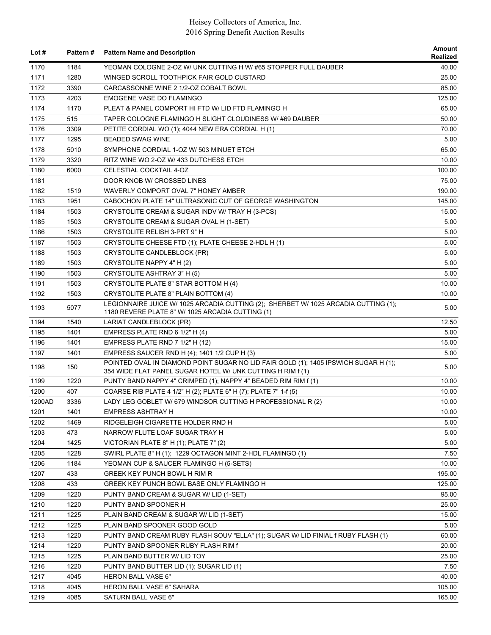| Lot $#$      | <b>Pattern#</b> | <b>Pattern Name and Description</b>                                                                                                                                             | Amount<br><b>Realized</b> |
|--------------|-----------------|---------------------------------------------------------------------------------------------------------------------------------------------------------------------------------|---------------------------|
| 1170         | 1184            | YEOMAN COLOGNE 2-OZ W/ UNK CUTTING H W/ #65 STOPPER FULL DAUBER                                                                                                                 | 40.00                     |
| 1171         | 1280            | WINGED SCROLL TOOTHPICK FAIR GOLD CUSTARD                                                                                                                                       | 25.00                     |
| 1172         | 3390            | CARCASSONNE WINE 2 1/2-OZ COBALT BOWL                                                                                                                                           | 85.00                     |
| 1173         | 4203            | <b>EMOGENE VASE DO FLAMINGO</b>                                                                                                                                                 | 125.00                    |
| 1174         | 1170            | PLEAT & PANEL COMPORT HI FTD W/ LID FTD FLAMINGO H                                                                                                                              | 65.00                     |
| 1175         | 515             | TAPER COLOGNE FLAMINGO H SLIGHT CLOUDINESS W/#69 DAUBER                                                                                                                         | 50.00                     |
| 1176         | 3309            | PETITE CORDIAL WO (1); 4044 NEW ERA CORDIAL H (1)                                                                                                                               | 70.00                     |
| 1177         | 1295            | <b>BEADED SWAG WINE</b>                                                                                                                                                         | 5.00                      |
| 1178         | 5010            | SYMPHONE CORDIAL 1-OZ W/ 503 MINUET ETCH                                                                                                                                        | 65.00                     |
| 1179         | 3320            | RITZ WINE WO 2-OZ W/ 433 DUTCHESS ETCH                                                                                                                                          | 10.00                     |
| 1180         | 6000            | CELESTIAL COCKTAIL 4-OZ                                                                                                                                                         | 100.00                    |
| 1181         |                 | DOOR KNOB W/ CROSSED LINES                                                                                                                                                      | 75.00                     |
| 1182         | 1519            | WAVERLY COMPORT OVAL 7" HONEY AMBER                                                                                                                                             | 190.00                    |
| 1183         | 1951            | CABOCHON PLATE 14" ULTRASONIC CUT OF GEORGE WASHINGTON                                                                                                                          | 145.00                    |
| 1184         | 1503            | CRYSTOLITE CREAM & SUGAR INDV W/ TRAY H (3-PCS)                                                                                                                                 | 15.00                     |
| 1185         | 1503            | CRYSTOLITE CREAM & SUGAR OVAL H (1-SET)                                                                                                                                         | 5.00                      |
| 1186         | 1503            | CRYSTOLITE RELISH 3-PRT 9" H                                                                                                                                                    | 5.00                      |
| 1187         | 1503            | CRYSTOLITE CHEESE FTD (1); PLATE CHEESE 2-HDL H (1)                                                                                                                             | 5.00                      |
| 1188         | 1503            | CRYSTOLITE CANDLEBLOCK (PR)                                                                                                                                                     | 5.00                      |
| 1189         | 1503            | CRYSTOLITE NAPPY 4" H (2)                                                                                                                                                       | 5.00                      |
| 1190         | 1503            | CRYSTOLITE ASHTRAY 3" H (5)                                                                                                                                                     | 5.00                      |
|              |                 |                                                                                                                                                                                 |                           |
| 1191         | 1503            | CRYSTOLITE PLATE 8" STAR BOTTOM H (4)                                                                                                                                           | 10.00                     |
| 1192<br>1193 | 1503<br>5077    | CRYSTOLITE PLATE 8" PLAIN BOTTOM (4)<br>LEGIONNAIRE JUICE W/ 1025 ARCADIA CUTTING (2); SHERBET W/ 1025 ARCADIA CUTTING (1);<br>1180 REVERE PLATE 8" W/ 1025 ARCADIA CUTTING (1) | 10.00<br>5.00             |
| 1194         | 1540            | LARIAT CANDLEBLOCK (PR)                                                                                                                                                         | 12.50                     |
| 1195         | 1401            | EMPRESS PLATE RND 6 1/2" H (4)                                                                                                                                                  | 5.00                      |
| 1196         | 1401            | EMPRESS PLATE RND 7 1/2" H (12)                                                                                                                                                 | 15.00                     |
|              |                 |                                                                                                                                                                                 |                           |
| 1197         | 1401            | EMPRESS SAUCER RND H (4); 1401 1/2 CUP H (3)<br>POINTED OVAL IN DIAMOND POINT SUGAR NO LID FAIR GOLD (1); 1405 IPSWICH SUGAR H (1);                                             | 5.00                      |
| 1198         | 150             | 354 WIDE FLAT PANEL SUGAR HOTEL W/ UNK CUTTING H RIM f (1)                                                                                                                      | 5.00                      |
| 1199         | 1220            | PUNTY BAND NAPPY 4" CRIMPED (1); NAPPY 4" BEADED RIM RIM f (1)                                                                                                                  | 10.00                     |
| 1200         | 407             | COARSE RIB PLATE 4 1/2" H (2); PLATE 6" H (7); PLATE 7" 1-f (5)                                                                                                                 | 10.00                     |
| 1200AD       | 3336            | LADY LEG GOBLET W/ 679 WINDSOR CUTTING H PROFESSIONAL R (2)                                                                                                                     | 10.00                     |
| 1201         | 1401            | <b>EMPRESS ASHTRAY H</b>                                                                                                                                                        | 10.00                     |
| 1202         | 1469            | RIDGELEIGH CIGARETTE HOLDER RND H                                                                                                                                               | 5.00                      |
| 1203         | 473             | NARROW FLUTE LOAF SUGAR TRAY H                                                                                                                                                  | 5.00                      |
| 1204         | 1425            | VICTORIAN PLATE 8" H (1); PLATE 7" (2)                                                                                                                                          | 5.00                      |
| 1205         | 1228            | SWIRL PLATE 8" H (1); 1229 OCTAGON MINT 2-HDL FLAMINGO (1)                                                                                                                      | 7.50                      |
| 1206         | 1184            | YEOMAN CUP & SAUCER FLAMINGO H (5-SETS)                                                                                                                                         | 10.00                     |
| 1207         | 433             | <b>GREEK KEY PUNCH BOWL H RIM R</b>                                                                                                                                             | 195.00                    |
| 1208         | 433             | GREEK KEY PUNCH BOWL BASE ONLY FLAMINGO H                                                                                                                                       | 125.00                    |
| 1209         | 1220            | PUNTY BAND CREAM & SUGAR W/ LID (1-SET)                                                                                                                                         | 95.00                     |
| 1210         | 1220            | PUNTY BAND SPOONER H                                                                                                                                                            | 25.00                     |
| 1211         | 1225            | PLAIN BAND CREAM & SUGAR W/ LID (1-SET)                                                                                                                                         | 15.00                     |
| 1212         | 1225            | PLAIN BAND SPOONER GOOD GOLD                                                                                                                                                    | 5.00                      |
| 1213         | 1220            | PUNTY BAND CREAM RUBY FLASH SOUV "ELLA" (1); SUGAR W/ LID FINIAL f RUBY FLASH (1)                                                                                               | 60.00                     |
| 1214         | 1220            | PUNTY BAND SPOONER RUBY FLASH RIM f                                                                                                                                             | 20.00                     |
| 1215         | 1225            | PLAIN BAND BUTTER W/ LID TOY                                                                                                                                                    | 25.00                     |
| 1216         | 1220            | PUNTY BAND BUTTER LID (1); SUGAR LID (1)                                                                                                                                        | 7.50                      |
| 1217         | 4045            | <b>HERON BALL VASE 6"</b>                                                                                                                                                       | 40.00                     |
| 1218         | 4045            | HERON BALL VASE 6" SAHARA                                                                                                                                                       | 105.00                    |
| 1219         | 4085            | SATURN BALL VASE 6"                                                                                                                                                             | 165.00                    |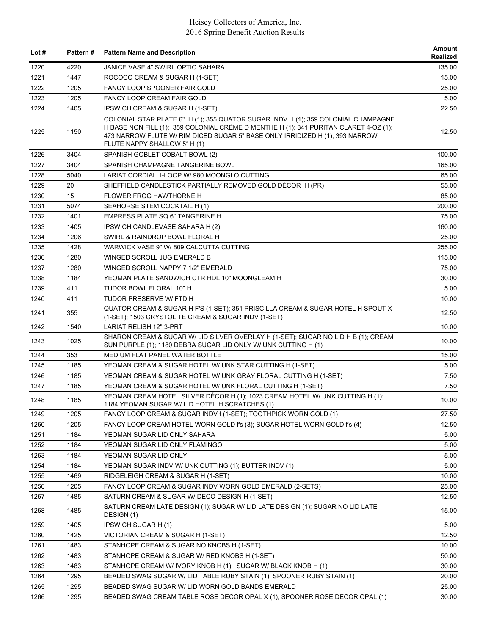| Lot $#$ |      | Pattern # Pattern Name and Description                                                                                                                                                                                                                                                    | <b>Amount</b><br>Realized |
|---------|------|-------------------------------------------------------------------------------------------------------------------------------------------------------------------------------------------------------------------------------------------------------------------------------------------|---------------------------|
| 1220    | 4220 | JANICE VASE 4" SWIRL OPTIC SAHARA                                                                                                                                                                                                                                                         | 135.00                    |
| 1221    | 1447 | ROCOCO CREAM & SUGAR H (1-SET)                                                                                                                                                                                                                                                            | 15.00                     |
| 1222    | 1205 | FANCY LOOP SPOONER FAIR GOLD                                                                                                                                                                                                                                                              | 25.00                     |
| 1223    | 1205 | <b>FANCY LOOP CREAM FAIR GOLD</b>                                                                                                                                                                                                                                                         | 5.00                      |
| 1224    | 1405 | IPSWICH CREAM & SUGAR H (1-SET)                                                                                                                                                                                                                                                           | 22.50                     |
| 1225    | 1150 | COLONIAL STAR PLATE 6" H (1); 355 QUATOR SUGAR INDV H (1); 359 COLONIAL CHAMPAGNE<br>H BASE NON FILL (1): 359 COLONIAL CRÈME D MENTHE H (1): 341 PURITAN CLARET 4-OZ (1):<br>473 NARROW FLUTE W/ RIM DICED SUGAR 5" BASE ONLY IRRIDIZED H (1); 393 NARROW<br>FLUTE NAPPY SHALLOW 5" H (1) | 12.50                     |
| 1226    | 3404 | SPANISH GOBLET COBALT BOWL (2)                                                                                                                                                                                                                                                            | 100.00                    |
| 1227    | 3404 | SPANISH CHAMPAGNE TANGERINE BOWL                                                                                                                                                                                                                                                          | 165.00                    |
| 1228    | 5040 | LARIAT CORDIAL 1-LOOP W/ 980 MOONGLO CUTTING                                                                                                                                                                                                                                              | 65.00                     |
| 1229    | 20   | SHEFFIELD CANDLESTICK PARTIALLY REMOVED GOLD DÉCOR H (PR)                                                                                                                                                                                                                                 | 55.00                     |
| 1230    | 15   | FLOWER FROG HAWTHORNE H                                                                                                                                                                                                                                                                   | 85.00                     |
| 1231    | 5074 | SEAHORSE STEM COCKTAIL H (1)                                                                                                                                                                                                                                                              | 200.00                    |
| 1232    | 1401 | EMPRESS PLATE SQ 6" TANGERINE H                                                                                                                                                                                                                                                           | 75.00                     |
| 1233    | 1405 | IPSWICH CANDLEVASE SAHARA H (2)                                                                                                                                                                                                                                                           | 160.00                    |
| 1234    | 1206 | SWIRL & RAINDROP BOWL FLORAL H                                                                                                                                                                                                                                                            | 25.00                     |
| 1235    | 1428 | WARWICK VASE 9" W/ 809 CALCUTTA CUTTING                                                                                                                                                                                                                                                   | 255.00                    |
| 1236    | 1280 | WINGED SCROLL JUG EMERALD B                                                                                                                                                                                                                                                               | 115.00                    |
| 1237    | 1280 | WINGED SCROLL NAPPY 7 1/2" EMERALD                                                                                                                                                                                                                                                        | 75.00                     |
| 1238    | 1184 | YEOMAN PLATE SANDWICH CTR HDL 10" MOONGLEAM H                                                                                                                                                                                                                                             | 30.00                     |
| 1239    | 411  | TUDOR BOWL FLORAL 10" H                                                                                                                                                                                                                                                                   | 5.00                      |
| 1240    | 411  | TUDOR PRESERVE W/ FTD H                                                                                                                                                                                                                                                                   | 10.00                     |
| 1241    | 355  | QUATOR CREAM & SUGAR H F'S (1-SET); 351 PRISCILLA CREAM & SUGAR HOTEL H SPOUT X<br>(1-SET); 1503 CRYSTOLITE CREAM & SUGAR INDV (1-SET)                                                                                                                                                    | 12.50                     |
| 1242    | 1540 | <b>LARIAT RELISH 12" 3-PRT</b>                                                                                                                                                                                                                                                            | 10.00                     |
| 1243    | 1025 | SHARON CREAM & SUGAR W/ LID SILVER OVERLAY H (1-SET); SUGAR NO LID H B (1); CREAM<br>SUN PURPLE (1); 1180 DEBRA SUGAR LID ONLY W/ UNK CUTTING H (1)                                                                                                                                       | 10.00                     |
| 1244    | 353  | MEDIUM FLAT PANEL WATER BOTTLE                                                                                                                                                                                                                                                            | 15.00                     |
| 1245    | 1185 | YEOMAN CREAM & SUGAR HOTEL W/ UNK STAR CUTTING H (1-SET)                                                                                                                                                                                                                                  | 5.00                      |
| 1246    | 1185 | YEOMAN CREAM & SUGAR HOTEL W/ UNK GRAY FLORAL CUTTING H (1-SET)                                                                                                                                                                                                                           | 7.50                      |
| 1247    | 1185 | YEOMAN CREAM & SUGAR HOTEL W/ UNK FLORAL CUTTING H (1-SET)                                                                                                                                                                                                                                | 7.50                      |
| 1248    | 1185 | YEOMAN CREAM HOTEL SILVER DÉCOR H (1); 1023 CREAM HOTEL W/ UNK CUTTING H (1);<br>1184 YEOMAN SUGAR W/ LID HOTEL H SCRATCHES (1)                                                                                                                                                           | 10.00                     |
| 1249    | 1205 | FANCY LOOP CREAM & SUGAR INDV f (1-SET); TOOTHPICK WORN GOLD (1)                                                                                                                                                                                                                          | 27.50                     |
| 1250    | 1205 | FANCY LOOP CREAM HOTEL WORN GOLD f's (3); SUGAR HOTEL WORN GOLD f's (4)                                                                                                                                                                                                                   | 12.50                     |
| 1251    | 1184 | YEOMAN SUGAR LID ONLY SAHARA                                                                                                                                                                                                                                                              | 5.00                      |
| 1252    | 1184 | YEOMAN SUGAR LID ONLY FLAMINGO                                                                                                                                                                                                                                                            | 5.00                      |
| 1253    | 1184 | YEOMAN SUGAR LID ONLY                                                                                                                                                                                                                                                                     | 5.00                      |
| 1254    | 1184 | YEOMAN SUGAR INDV W/ UNK CUTTING (1); BUTTER INDV (1)                                                                                                                                                                                                                                     | 5.00                      |
| 1255    | 1469 | RIDGELEIGH CREAM & SUGAR H (1-SET)                                                                                                                                                                                                                                                        | 10.00                     |
| 1256    | 1205 | FANCY LOOP CREAM & SUGAR INDV WORN GOLD EMERALD (2-SETS)                                                                                                                                                                                                                                  | 25.00                     |
| 1257    | 1485 | SATURN CREAM & SUGAR W/ DECO DESIGN H (1-SET)                                                                                                                                                                                                                                             | 12.50                     |
| 1258    | 1485 | SATURN CREAM LATE DESIGN (1); SUGAR W/ LID LATE DESIGN (1); SUGAR NO LID LATE<br>DESIGN (1)                                                                                                                                                                                               | 15.00                     |
| 1259    | 1405 | IPSWICH SUGAR H (1)                                                                                                                                                                                                                                                                       | 5.00                      |
| 1260    | 1425 | VICTORIAN CREAM & SUGAR H (1-SET)                                                                                                                                                                                                                                                         | 12.50                     |
| 1261    | 1483 | STANHOPE CREAM & SUGAR NO KNOBS H (1-SET)                                                                                                                                                                                                                                                 | 10.00                     |
| 1262    | 1483 | STANHOPE CREAM & SUGAR W/ RED KNOBS H (1-SET)                                                                                                                                                                                                                                             | 50.00                     |
| 1263    | 1483 | STANHOPE CREAM W/ IVORY KNOB H (1); SUGAR W/ BLACK KNOB H (1)                                                                                                                                                                                                                             | 30.00                     |
| 1264    | 1295 | BEADED SWAG SUGAR W/ LID TABLE RUBY STAIN (1); SPOONER RUBY STAIN (1)                                                                                                                                                                                                                     | 20.00                     |
| 1265    | 1295 | BEADED SWAG SUGAR W/ LID WORN GOLD BANDS EMERALD                                                                                                                                                                                                                                          | 25.00                     |
| 1266    | 1295 | BEADED SWAG CREAM TABLE ROSE DECOR OPAL X (1); SPOONER ROSE DECOR OPAL (1)                                                                                                                                                                                                                | 30.00                     |